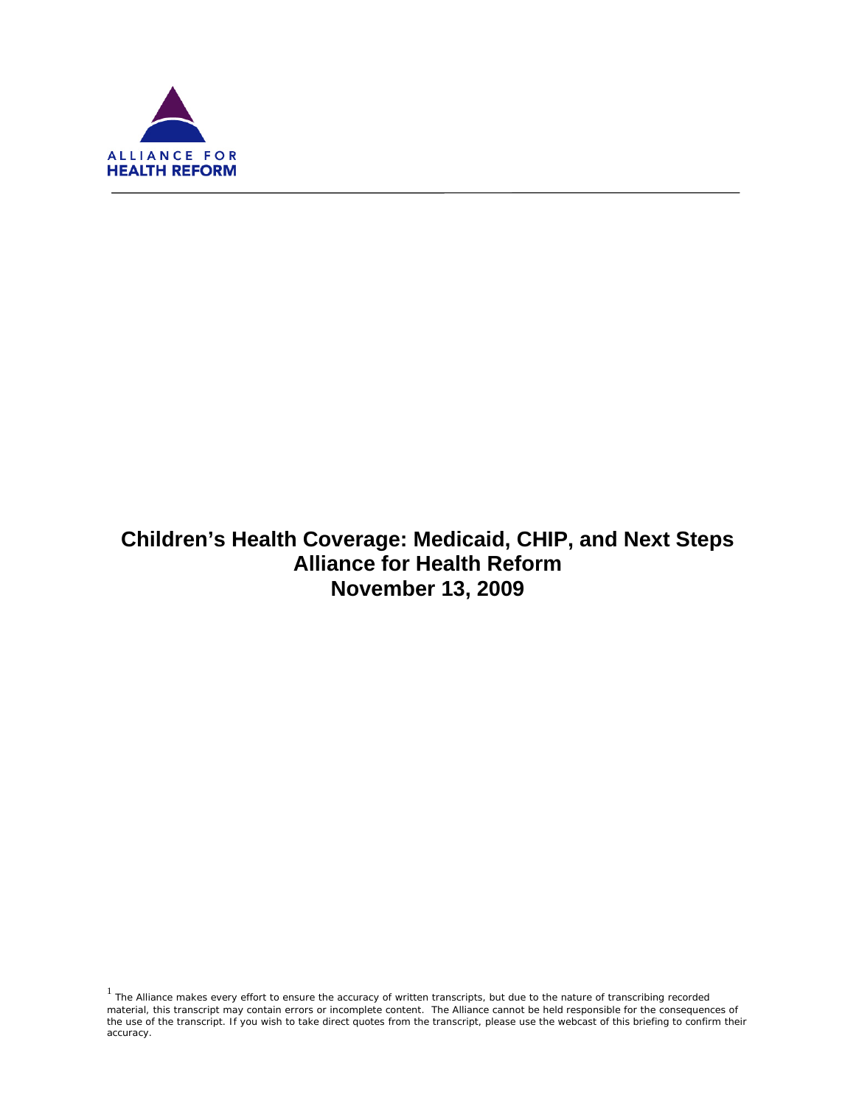

f

# **Children's Health Coverage: Medicaid, CHIP, and Next Steps Alliance for Health Reform November 13, 2009**

 $1$  The Alliance makes every effort to ensure the accuracy of written transcripts, but due to the nature of transcribing recorded material, this transcript may contain errors or incomplete content. The Alliance cannot be held responsible for the consequences of the use of the transcript. If you wish to take direct quotes from the transcript, please use the webcast of this briefing to confirm their accuracy.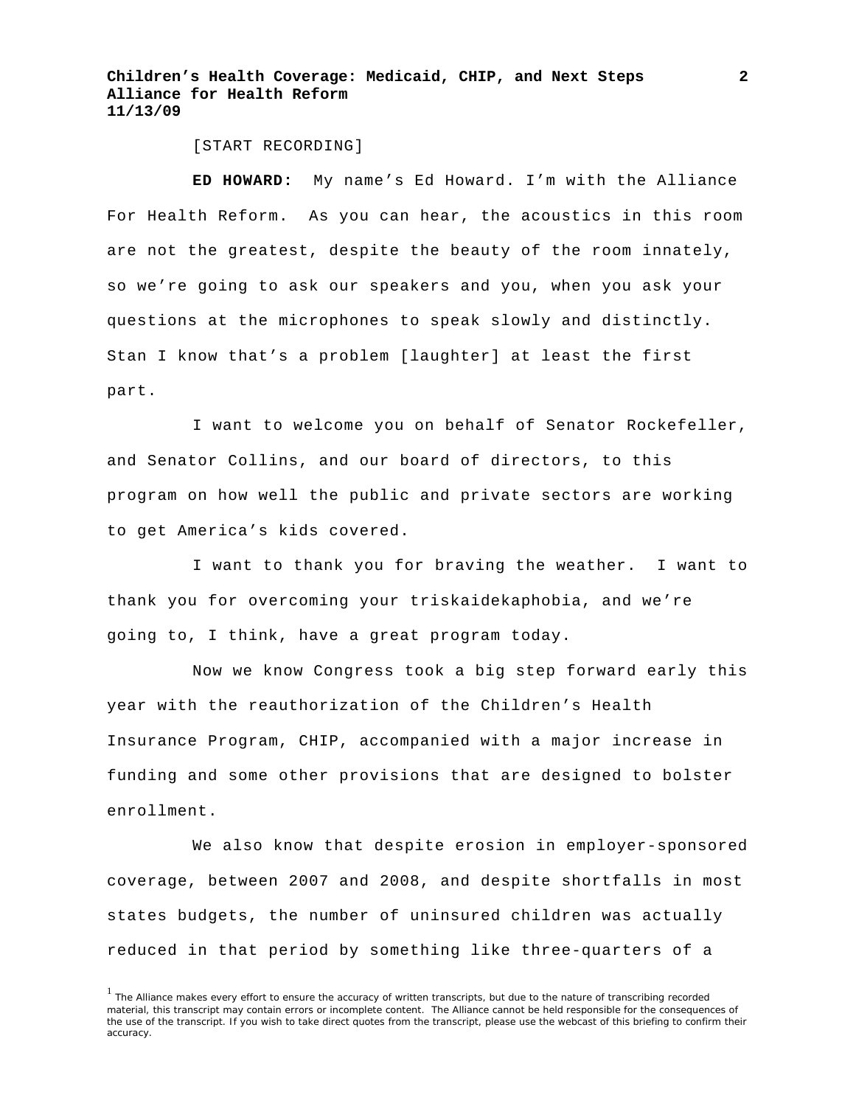[START RECORDING]

**ED HOWARD:** My name's Ed Howard. I'm with the Alliance For Health Reform. As you can hear, the acoustics in this room are not the greatest, despite the beauty of the room innately, so we're going to ask our speakers and you, when you ask your questions at the microphones to speak slowly and distinctly. Stan I know that's a problem [laughter] at least the first part.

I want to welcome you on behalf of Senator Rockefeller, and Senator Collins, and our board of directors, to this program on how well the public and private sectors are working to get America's kids covered.

I want to thank you for braving the weather. I want to thank you for overcoming your triskaidekaphobia, and we're going to, I think, have a great program today.

Now we know Congress took a big step forward early this year with the reauthorization of the Children's Health Insurance Program, CHIP, accompanied with a major increase in funding and some other provisions that are designed to bolster enrollment.

We also know that despite erosion in employer-sponsored coverage, between 2007 and 2008, and despite shortfalls in most states budgets, the number of uninsured children was actually reduced in that period by something like three-quarters of a

<sup>&</sup>lt;sup>1</sup> The Alliance makes every effort to ensure the accuracy of written transcripts, but due to the nature of transcribing recorded material, this transcript may contain errors or incomplete content. The Alliance cannot be held responsible for the consequences of the use of the transcript. If you wish to take direct quotes from the transcript, please use the webcast of this briefing to confirm their accuracy.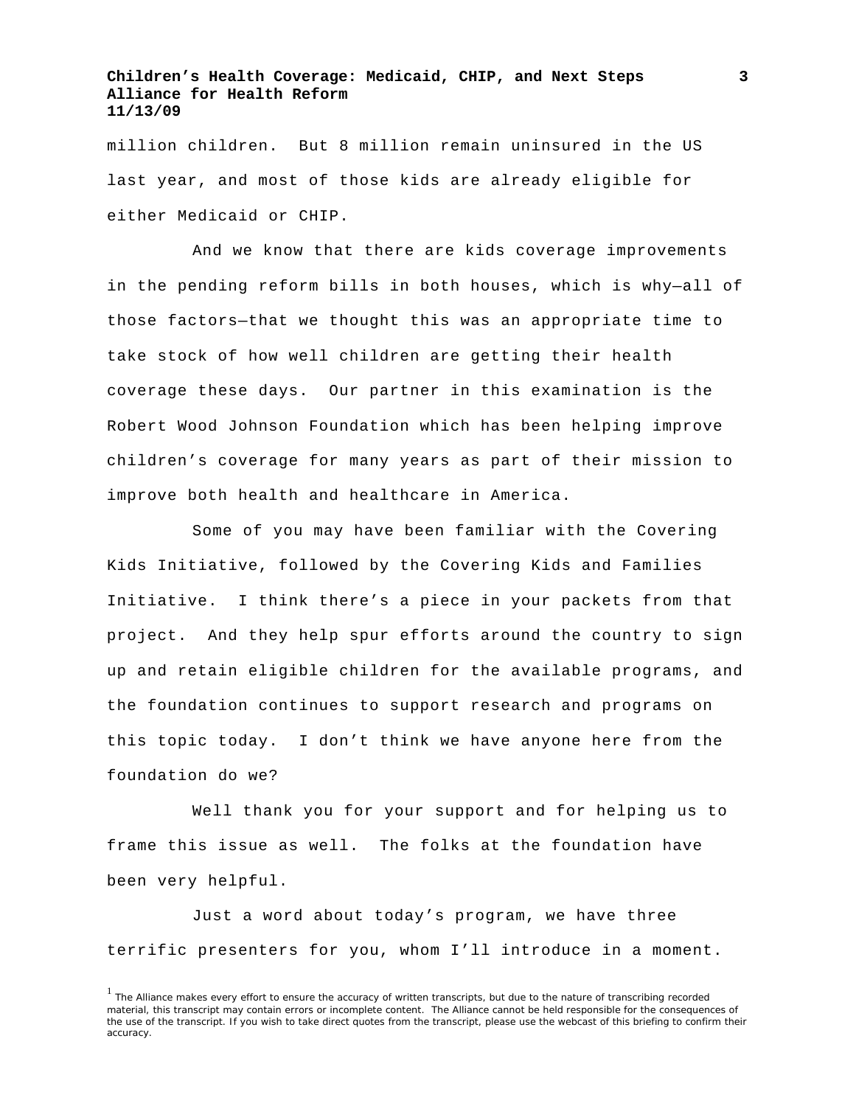million children. But 8 million remain uninsured in the US last year, and most of those kids are already eligible for either Medicaid or CHIP.

And we know that there are kids coverage improvements in the pending reform bills in both houses, which is why—all of those factors—that we thought this was an appropriate time to take stock of how well children are getting their health coverage these days. Our partner in this examination is the Robert Wood Johnson Foundation which has been helping improve children's coverage for many years as part of their mission to improve both health and healthcare in America.

Some of you may have been familiar with the Covering Kids Initiative, followed by the Covering Kids and Families Initiative. I think there's a piece in your packets from that project. And they help spur efforts around the country to sign up and retain eligible children for the available programs, and the foundation continues to support research and programs on this topic today. I don't think we have anyone here from the foundation do we?

Well thank you for your support and for helping us to frame this issue as well. The folks at the foundation have been very helpful.

Just a word about today's program, we have three terrific presenters for you, whom I'll introduce in a moment.

<sup>&</sup>lt;sup>1</sup> The Alliance makes every effort to ensure the accuracy of written transcripts, but due to the nature of transcribing recorded material, this transcript may contain errors or incomplete content. The Alliance cannot be held responsible for the consequences of the use of the transcript. If you wish to take direct quotes from the transcript, please use the webcast of this briefing to confirm their accuracy.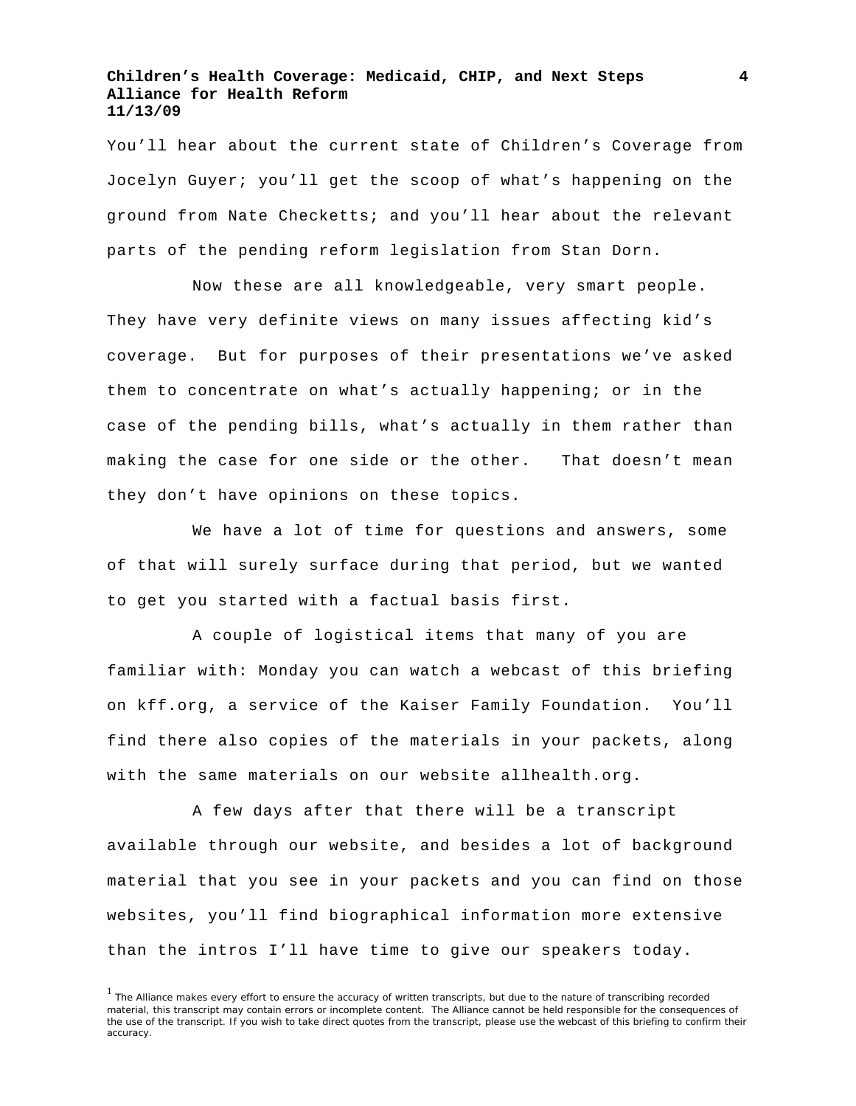You'll hear about the current state of Children's Coverage from Jocelyn Guyer; you'll get the scoop of what's happening on the ground from Nate Checketts; and you'll hear about the relevant parts of the pending reform legislation from Stan Dorn.

Now these are all knowledgeable, very smart people. They have very definite views on many issues affecting kid's coverage. But for purposes of their presentations we've asked them to concentrate on what's actually happening; or in the case of the pending bills, what's actually in them rather than making the case for one side or the other. That doesn't mean they don't have opinions on these topics.

We have a lot of time for questions and answers, some of that will surely surface during that period, but we wanted to get you started with a factual basis first.

A couple of logistical items that many of you are familiar with: Monday you can watch a webcast of this briefing on kff.org, a service of the Kaiser Family Foundation. You'll find there also copies of the materials in your packets, along with the same materials on our website allhealth.org.

A few days after that there will be a transcript available through our website, and besides a lot of background material that you see in your packets and you can find on those websites, you'll find biographical information more extensive than the intros I'll have time to give our speakers today.

<sup>&</sup>lt;sup>1</sup> The Alliance makes every effort to ensure the accuracy of written transcripts, but due to the nature of transcribing recorded material, this transcript may contain errors or incomplete content. The Alliance cannot be held responsible for the consequences of the use of the transcript. If you wish to take direct quotes from the transcript, please use the webcast of this briefing to confirm their accuracy.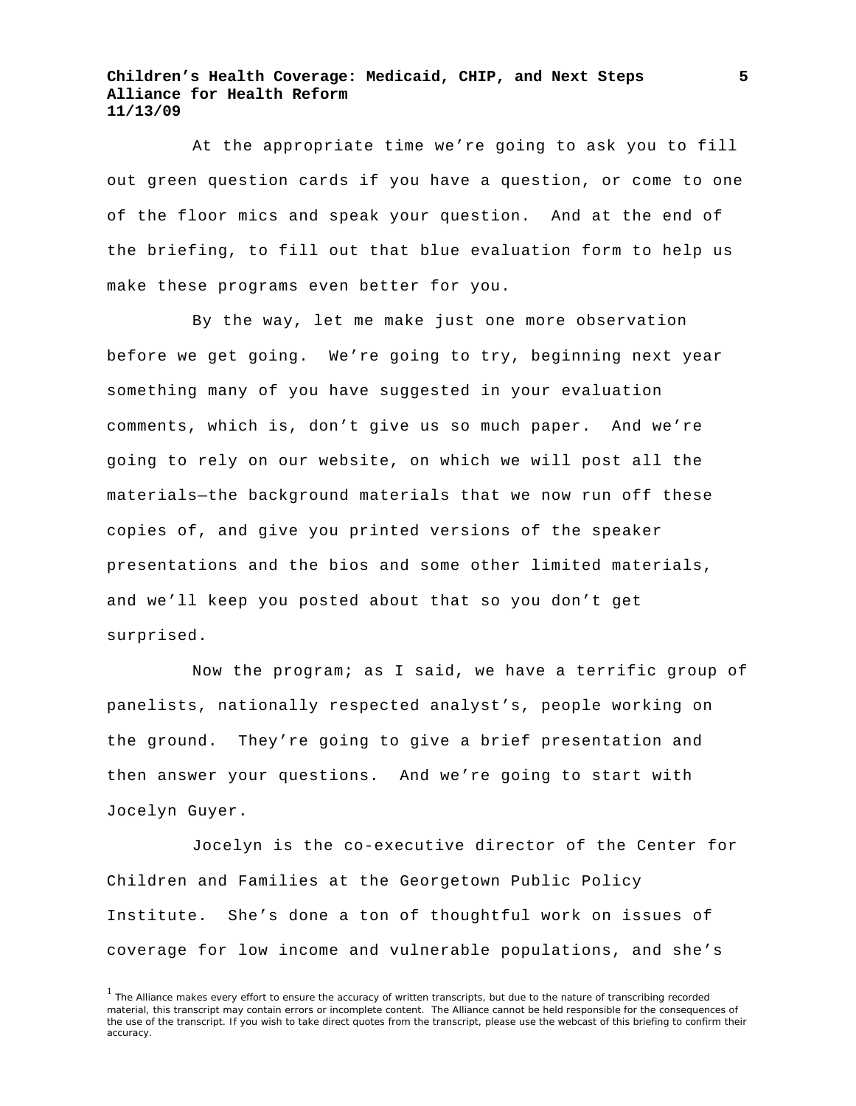At the appropriate time we're going to ask you to fill out green question cards if you have a question, or come to one of the floor mics and speak your question. And at the end of the briefing, to fill out that blue evaluation form to help us make these programs even better for you.

By the way, let me make just one more observation before we get going. We're going to try, beginning next year something many of you have suggested in your evaluation comments, which is, don't give us so much paper. And we're going to rely on our website, on which we will post all the materials—the background materials that we now run off these copies of, and give you printed versions of the speaker presentations and the bios and some other limited materials, and we'll keep you posted about that so you don't get surprised.

Now the program; as I said, we have a terrific group of panelists, nationally respected analyst's, people working on the ground. They're going to give a brief presentation and then answer your questions. And we're going to start with Jocelyn Guyer.

Jocelyn is the co-executive director of the Center for Children and Families at the Georgetown Public Policy Institute. She's done a ton of thoughtful work on issues of coverage for low income and vulnerable populations, and she's

<sup>&</sup>lt;sup>1</sup> The Alliance makes every effort to ensure the accuracy of written transcripts, but due to the nature of transcribing recorded material, this transcript may contain errors or incomplete content. The Alliance cannot be held responsible for the consequences of the use of the transcript. If you wish to take direct quotes from the transcript, please use the webcast of this briefing to confirm their accuracy.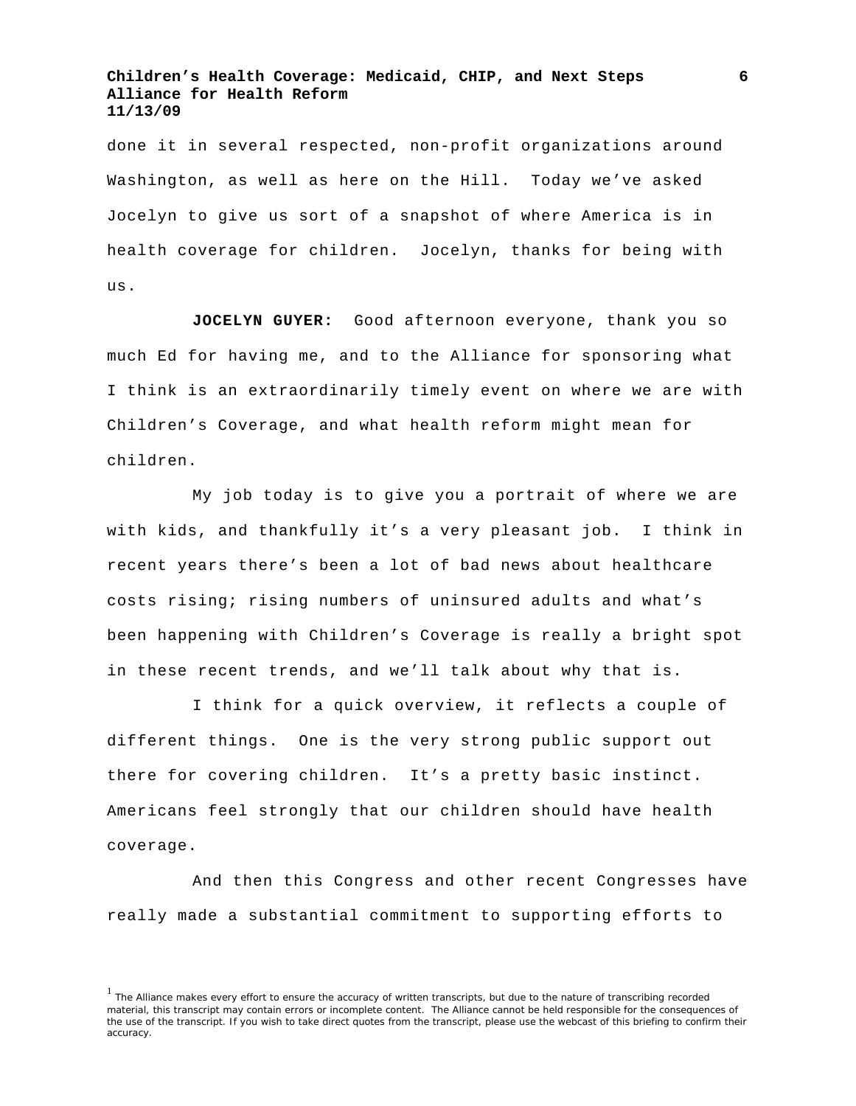done it in several respected, non-profit organizations around Washington, as well as here on the Hill. Today we've asked Jocelyn to give us sort of a snapshot of where America is in health coverage for children. Jocelyn, thanks for being with us.

**JOCELYN GUYER:** Good afternoon everyone, thank you so much Ed for having me, and to the Alliance for sponsoring what I think is an extraordinarily timely event on where we are with Children's Coverage, and what health reform might mean for children.

My job today is to give you a portrait of where we are with kids, and thankfully it's a very pleasant job. I think in recent years there's been a lot of bad news about healthcare costs rising; rising numbers of uninsured adults and what's been happening with Children's Coverage is really a bright spot in these recent trends, and we'll talk about why that is.

I think for a quick overview, it reflects a couple of different things. One is the very strong public support out there for covering children. It's a pretty basic instinct. Americans feel strongly that our children should have health coverage.

And then this Congress and other recent Congresses have really made a substantial commitment to supporting efforts to

<sup>&</sup>lt;sup>1</sup> The Alliance makes every effort to ensure the accuracy of written transcripts, but due to the nature of transcribing recorded material, this transcript may contain errors or incomplete content. The Alliance cannot be held responsible for the consequences of the use of the transcript. If you wish to take direct quotes from the transcript, please use the webcast of this briefing to confirm their accuracy.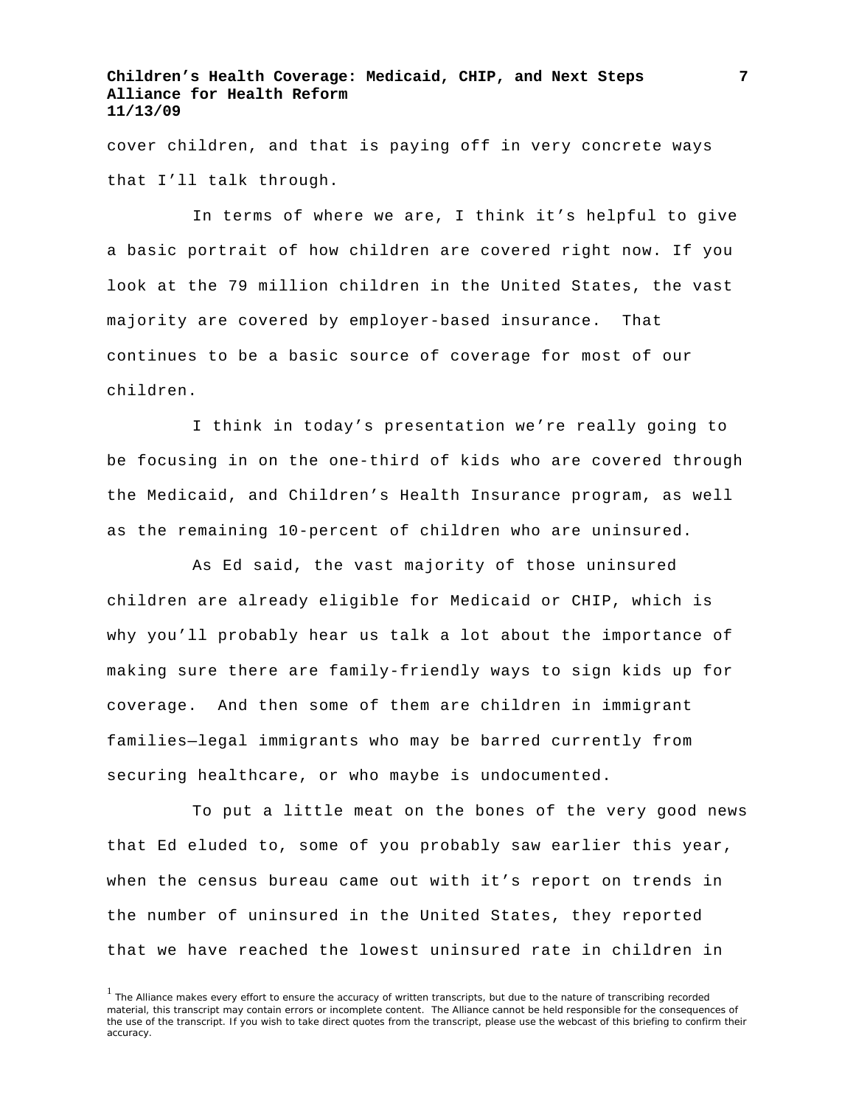cover children, and that is paying off in very concrete ways that I'll talk through.

In terms of where we are, I think it's helpful to give a basic portrait of how children are covered right now. If you look at the 79 million children in the United States, the vast majority are covered by employer-based insurance. That continues to be a basic source of coverage for most of our children.

I think in today's presentation we're really going to be focusing in on the one-third of kids who are covered through the Medicaid, and Children's Health Insurance program, as well as the remaining 10-percent of children who are uninsured.

As Ed said, the vast majority of those uninsured children are already eligible for Medicaid or CHIP, which is why you'll probably hear us talk a lot about the importance of making sure there are family-friendly ways to sign kids up for coverage. And then some of them are children in immigrant families—legal immigrants who may be barred currently from securing healthcare, or who maybe is undocumented.

To put a little meat on the bones of the very good news that Ed eluded to, some of you probably saw earlier this year, when the census bureau came out with it's report on trends in the number of uninsured in the United States, they reported that we have reached the lowest uninsured rate in children in

<sup>&</sup>lt;sup>1</sup> The Alliance makes every effort to ensure the accuracy of written transcripts, but due to the nature of transcribing recorded material, this transcript may contain errors or incomplete content. The Alliance cannot be held responsible for the consequences of the use of the transcript. If you wish to take direct quotes from the transcript, please use the webcast of this briefing to confirm their accuracy.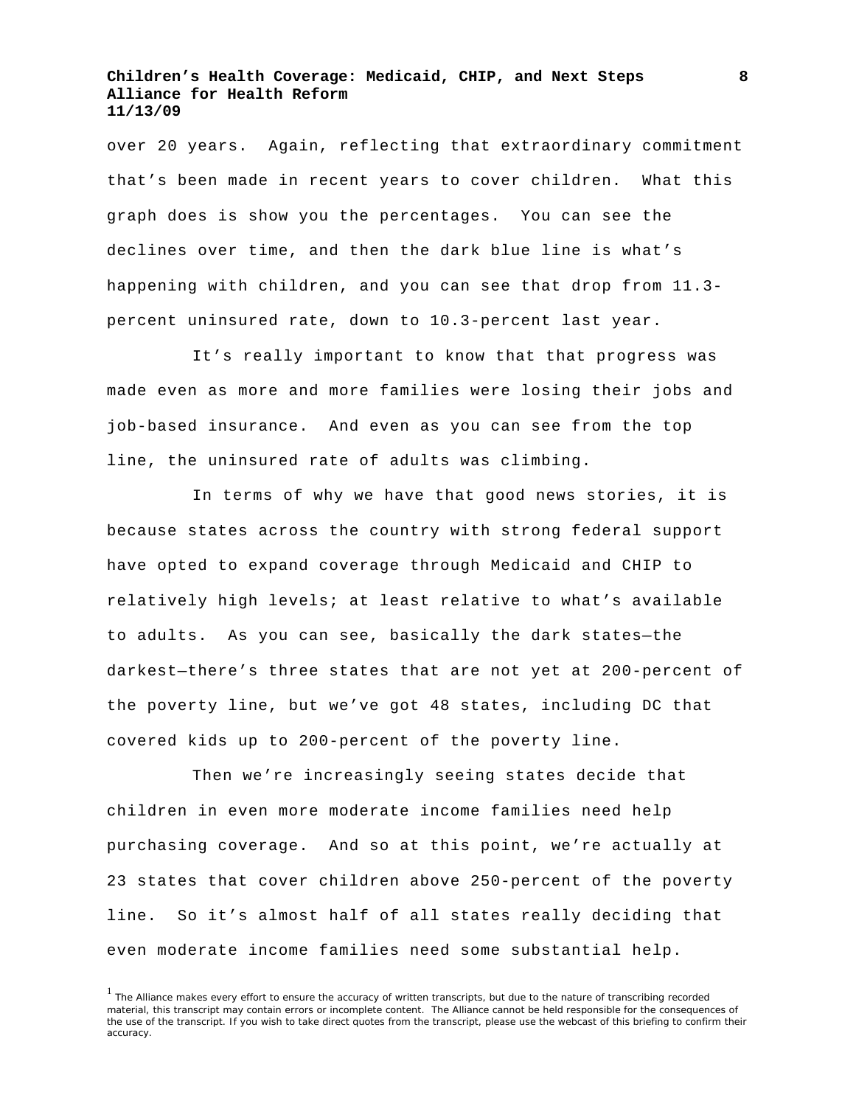over 20 years. Again, reflecting that extraordinary commitment that's been made in recent years to cover children. What this graph does is show you the percentages. You can see the declines over time, and then the dark blue line is what's happening with children, and you can see that drop from 11.3 percent uninsured rate, down to 10.3-percent last year.

It's really important to know that that progress was made even as more and more families were losing their jobs and job-based insurance. And even as you can see from the top line, the uninsured rate of adults was climbing.

In terms of why we have that good news stories, it is because states across the country with strong federal support have opted to expand coverage through Medicaid and CHIP to relatively high levels; at least relative to what's available to adults. As you can see, basically the dark states—the darkest—there's three states that are not yet at 200-percent of the poverty line, but we've got 48 states, including DC that covered kids up to 200-percent of the poverty line.

Then we're increasingly seeing states decide that children in even more moderate income families need help purchasing coverage. And so at this point, we're actually at 23 states that cover children above 250-percent of the poverty line. So it's almost half of all states really deciding that even moderate income families need some substantial help.

<sup>&</sup>lt;sup>1</sup> The Alliance makes every effort to ensure the accuracy of written transcripts, but due to the nature of transcribing recorded material, this transcript may contain errors or incomplete content. The Alliance cannot be held responsible for the consequences of the use of the transcript. If you wish to take direct quotes from the transcript, please use the webcast of this briefing to confirm their accuracy.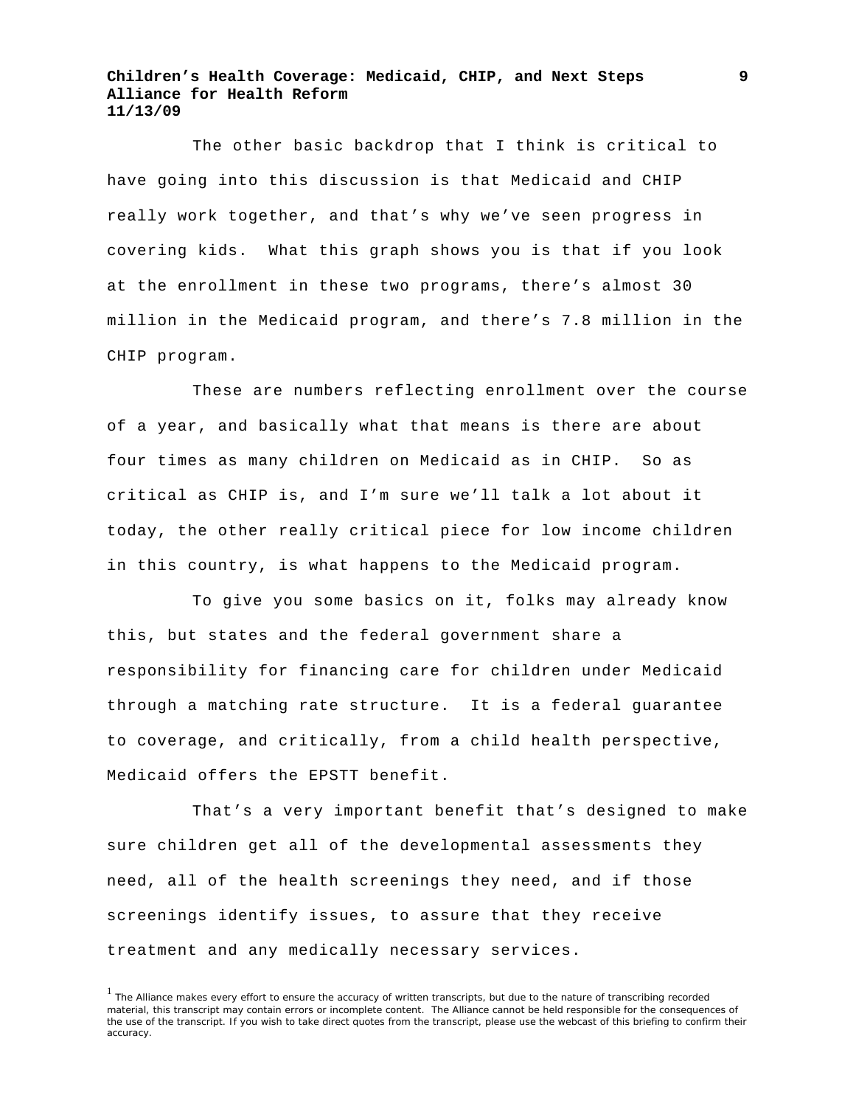The other basic backdrop that I think is critical to have going into this discussion is that Medicaid and CHIP really work together, and that's why we've seen progress in covering kids. What this graph shows you is that if you look at the enrollment in these two programs, there's almost 30 million in the Medicaid program, and there's 7.8 million in the CHIP program.

These are numbers reflecting enrollment over the course of a year, and basically what that means is there are about four times as many children on Medicaid as in CHIP. So as critical as CHIP is, and I'm sure we'll talk a lot about it today, the other really critical piece for low income children in this country, is what happens to the Medicaid program.

To give you some basics on it, folks may already know this, but states and the federal government share a responsibility for financing care for children under Medicaid through a matching rate structure. It is a federal guarantee to coverage, and critically, from a child health perspective, Medicaid offers the EPSTT benefit.

That's a very important benefit that's designed to make sure children get all of the developmental assessments they need, all of the health screenings they need, and if those screenings identify issues, to assure that they receive treatment and any medically necessary services.

<sup>&</sup>lt;sup>1</sup> The Alliance makes every effort to ensure the accuracy of written transcripts, but due to the nature of transcribing recorded material, this transcript may contain errors or incomplete content. The Alliance cannot be held responsible for the consequences of the use of the transcript. If you wish to take direct quotes from the transcript, please use the webcast of this briefing to confirm their accuracy.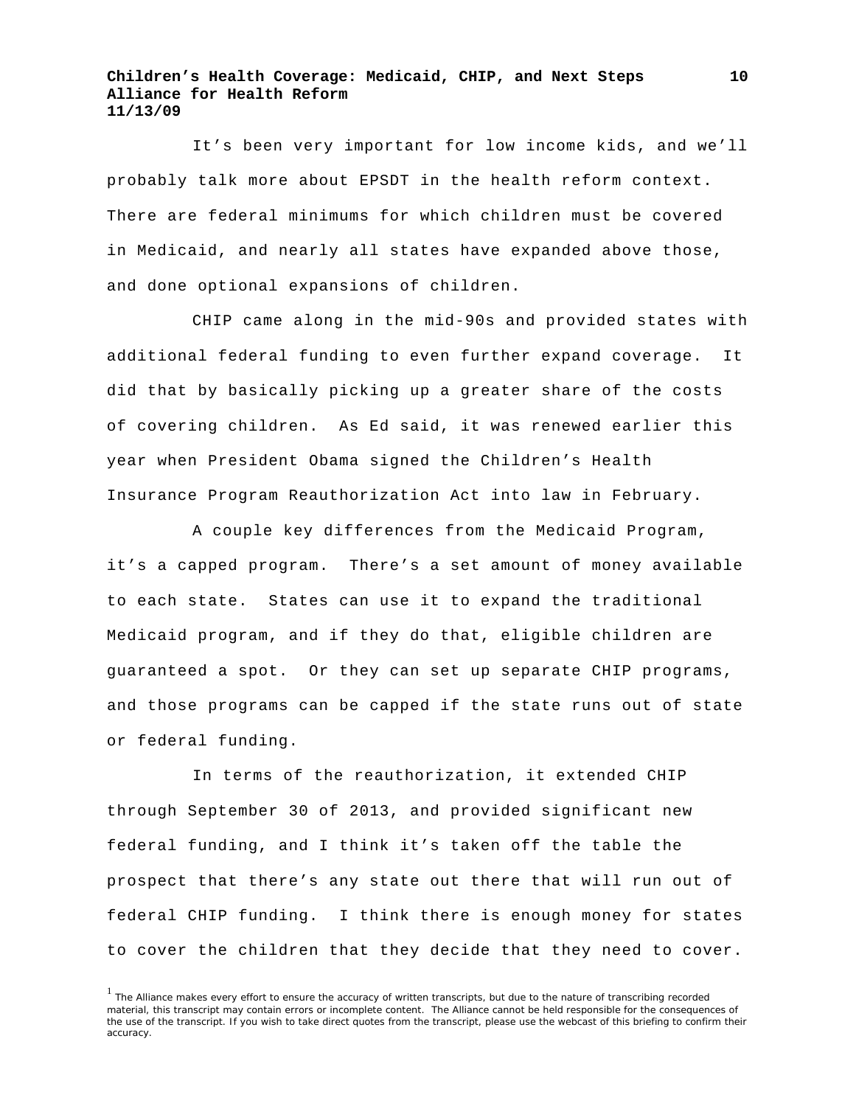It's been very important for low income kids, and we'll probably talk more about EPSDT in the health reform context. There are federal minimums for which children must be covered in Medicaid, and nearly all states have expanded above those, and done optional expansions of children.

CHIP came along in the mid-90s and provided states with additional federal funding to even further expand coverage. It did that by basically picking up a greater share of the costs of covering children. As Ed said, it was renewed earlier this year when President Obama signed the Children's Health Insurance Program Reauthorization Act into law in February.

A couple key differences from the Medicaid Program, it's a capped program. There's a set amount of money available to each state. States can use it to expand the traditional Medicaid program, and if they do that, eligible children are guaranteed a spot. Or they can set up separate CHIP programs, and those programs can be capped if the state runs out of state or federal funding.

In terms of the reauthorization, it extended CHIP through September 30 of 2013, and provided significant new federal funding, and I think it's taken off the table the prospect that there's any state out there that will run out of federal CHIP funding. I think there is enough money for states to cover the children that they decide that they need to cover.

<sup>&</sup>lt;sup>1</sup> The Alliance makes every effort to ensure the accuracy of written transcripts, but due to the nature of transcribing recorded material, this transcript may contain errors or incomplete content. The Alliance cannot be held responsible for the consequences of the use of the transcript. If you wish to take direct quotes from the transcript, please use the webcast of this briefing to confirm their accuracy.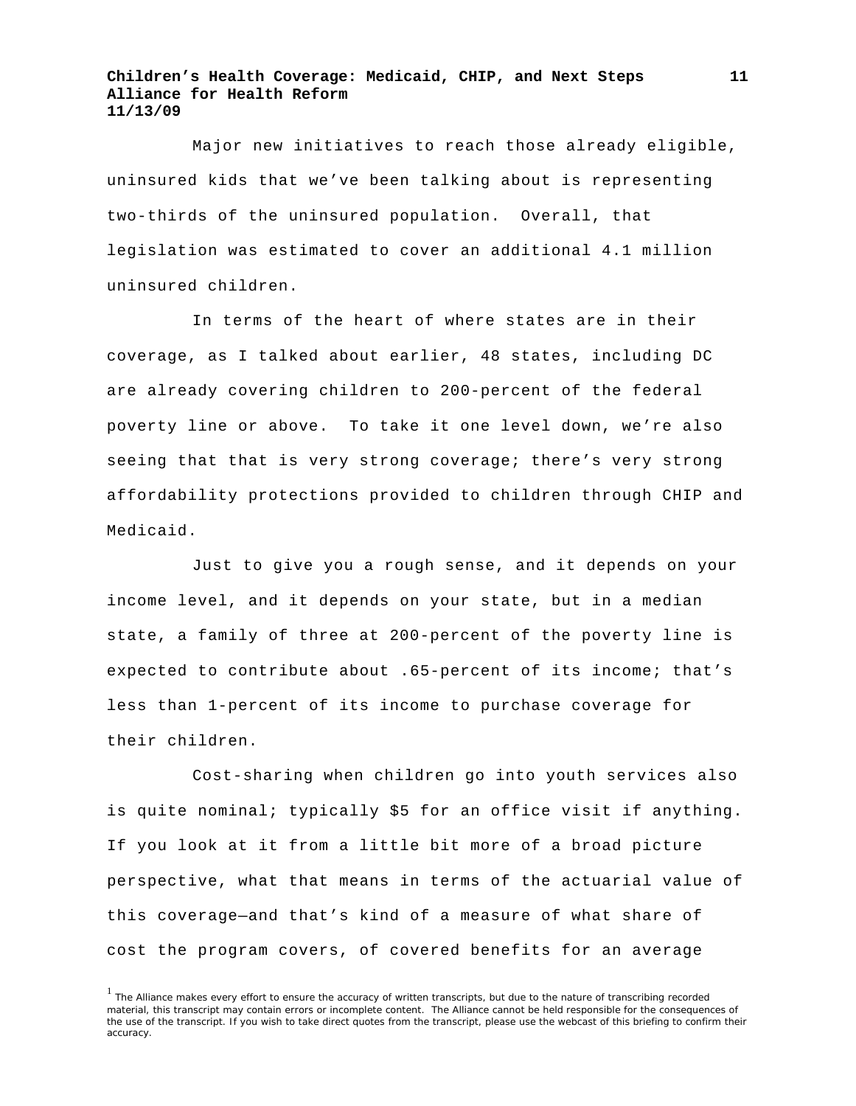Major new initiatives to reach those already eligible, uninsured kids that we've been talking about is representing two-thirds of the uninsured population. Overall, that legislation was estimated to cover an additional 4.1 million uninsured children.

In terms of the heart of where states are in their coverage, as I talked about earlier, 48 states, including DC are already covering children to 200-percent of the federal poverty line or above. To take it one level down, we're also seeing that that is very strong coverage; there's very strong affordability protections provided to children through CHIP and Medicaid.

Just to give you a rough sense, and it depends on your income level, and it depends on your state, but in a median state, a family of three at 200-percent of the poverty line is expected to contribute about .65-percent of its income; that's less than 1-percent of its income to purchase coverage for their children.

Cost-sharing when children go into youth services also is quite nominal; typically \$5 for an office visit if anything. If you look at it from a little bit more of a broad picture perspective, what that means in terms of the actuarial value of this coverage—and that's kind of a measure of what share of cost the program covers, of covered benefits for an average

<sup>&</sup>lt;sup>1</sup> The Alliance makes every effort to ensure the accuracy of written transcripts, but due to the nature of transcribing recorded material, this transcript may contain errors or incomplete content. The Alliance cannot be held responsible for the consequences of the use of the transcript. If you wish to take direct quotes from the transcript, please use the webcast of this briefing to confirm their accuracy.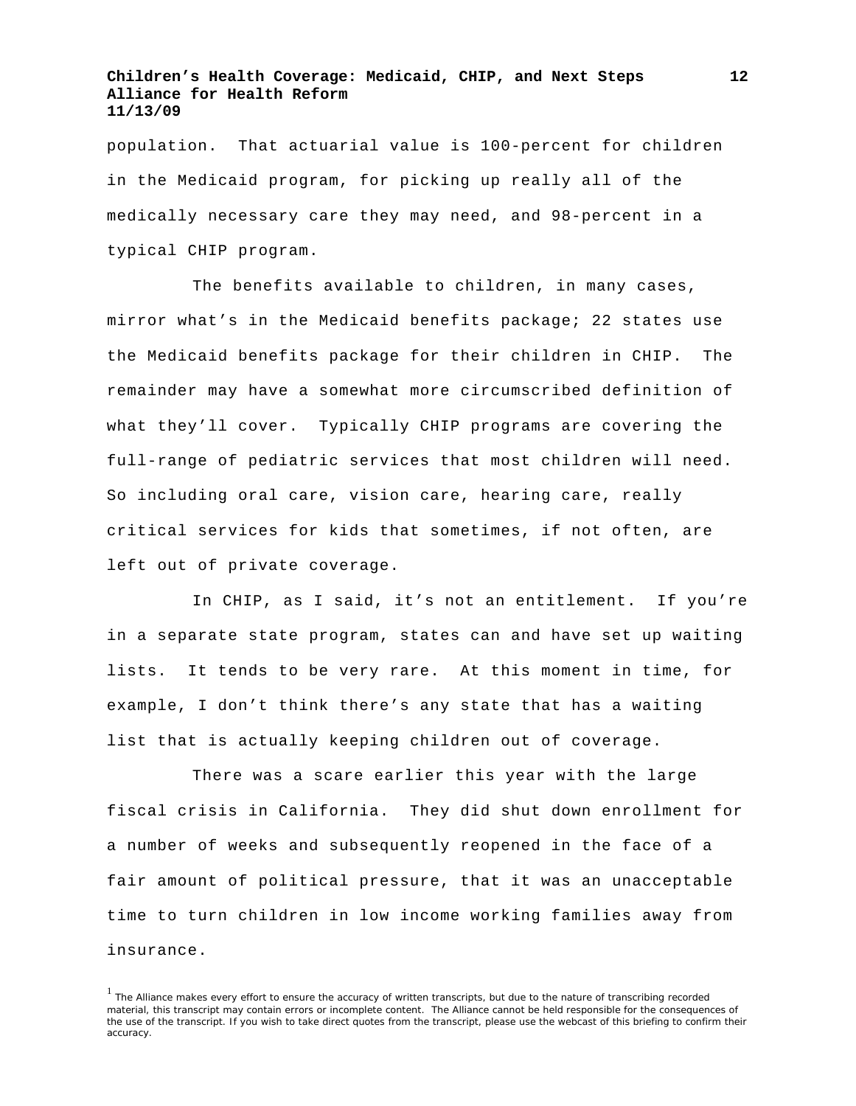population. That actuarial value is 100-percent for children in the Medicaid program, for picking up really all of the medically necessary care they may need, and 98-percent in a typical CHIP program.

The benefits available to children, in many cases, mirror what's in the Medicaid benefits package; 22 states use the Medicaid benefits package for their children in CHIP. The remainder may have a somewhat more circumscribed definition of what they'll cover. Typically CHIP programs are covering the full-range of pediatric services that most children will need. So including oral care, vision care, hearing care, really critical services for kids that sometimes, if not often, are left out of private coverage.

In CHIP, as I said, it's not an entitlement. If you're in a separate state program, states can and have set up waiting lists. It tends to be very rare. At this moment in time, for example, I don't think there's any state that has a waiting list that is actually keeping children out of coverage.

There was a scare earlier this year with the large fiscal crisis in California. They did shut down enrollment for a number of weeks and subsequently reopened in the face of a fair amount of political pressure, that it was an unacceptable time to turn children in low income working families away from insurance.

<sup>&</sup>lt;sup>1</sup> The Alliance makes every effort to ensure the accuracy of written transcripts, but due to the nature of transcribing recorded material, this transcript may contain errors or incomplete content. The Alliance cannot be held responsible for the consequences of the use of the transcript. If you wish to take direct quotes from the transcript, please use the webcast of this briefing to confirm their accuracy.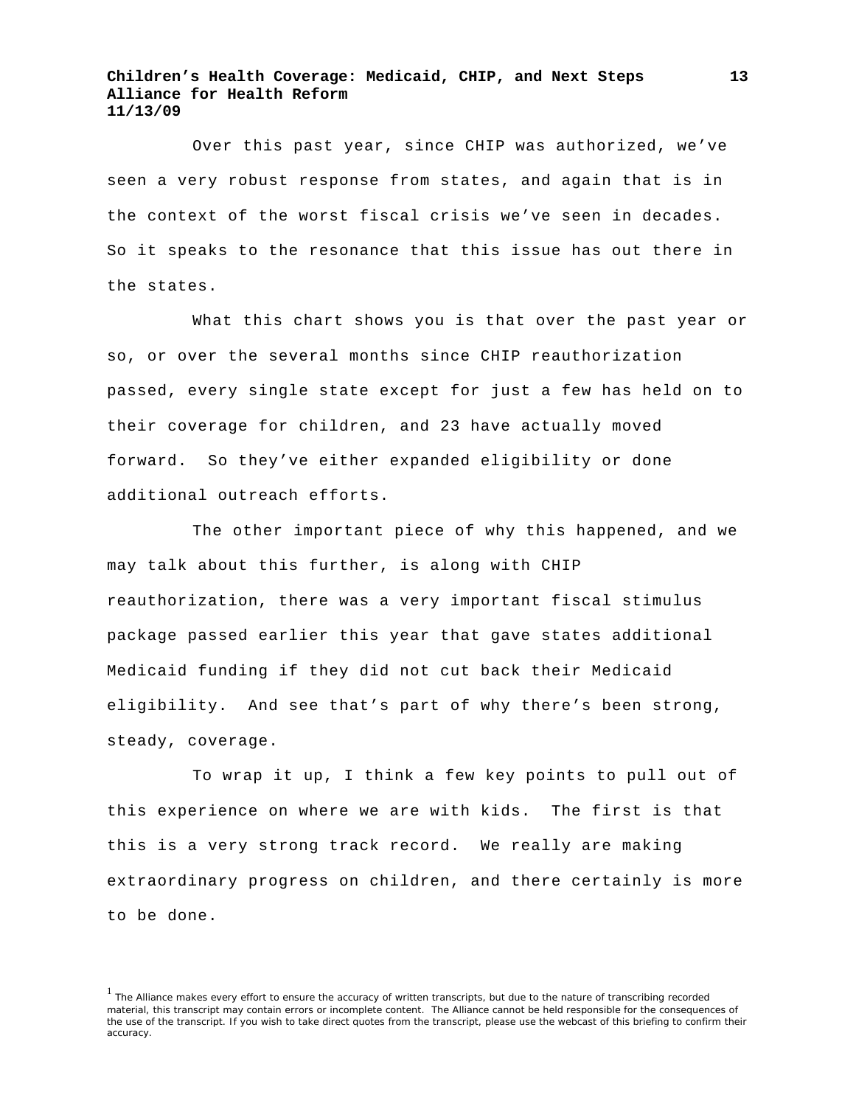Over this past year, since CHIP was authorized, we've seen a very robust response from states, and again that is in the context of the worst fiscal crisis we've seen in decades. So it speaks to the resonance that this issue has out there in the states.

What this chart shows you is that over the past year or so, or over the several months since CHIP reauthorization passed, every single state except for just a few has held on to their coverage for children, and 23 have actually moved forward. So they've either expanded eligibility or done additional outreach efforts.

The other important piece of why this happened, and we may talk about this further, is along with CHIP reauthorization, there was a very important fiscal stimulus package passed earlier this year that gave states additional Medicaid funding if they did not cut back their Medicaid eligibility. And see that's part of why there's been strong, steady, coverage.

To wrap it up, I think a few key points to pull out of this experience on where we are with kids. The first is that this is a very strong track record. We really are making extraordinary progress on children, and there certainly is more to be done.

 $<sup>1</sup>$  The Alliance makes every effort to ensure the accuracy of written transcripts, but due to the nature of transcribing recorded</sup> material, this transcript may contain errors or incomplete content. The Alliance cannot be held responsible for the consequences of the use of the transcript. If you wish to take direct quotes from the transcript, please use the webcast of this briefing to confirm their accuracy.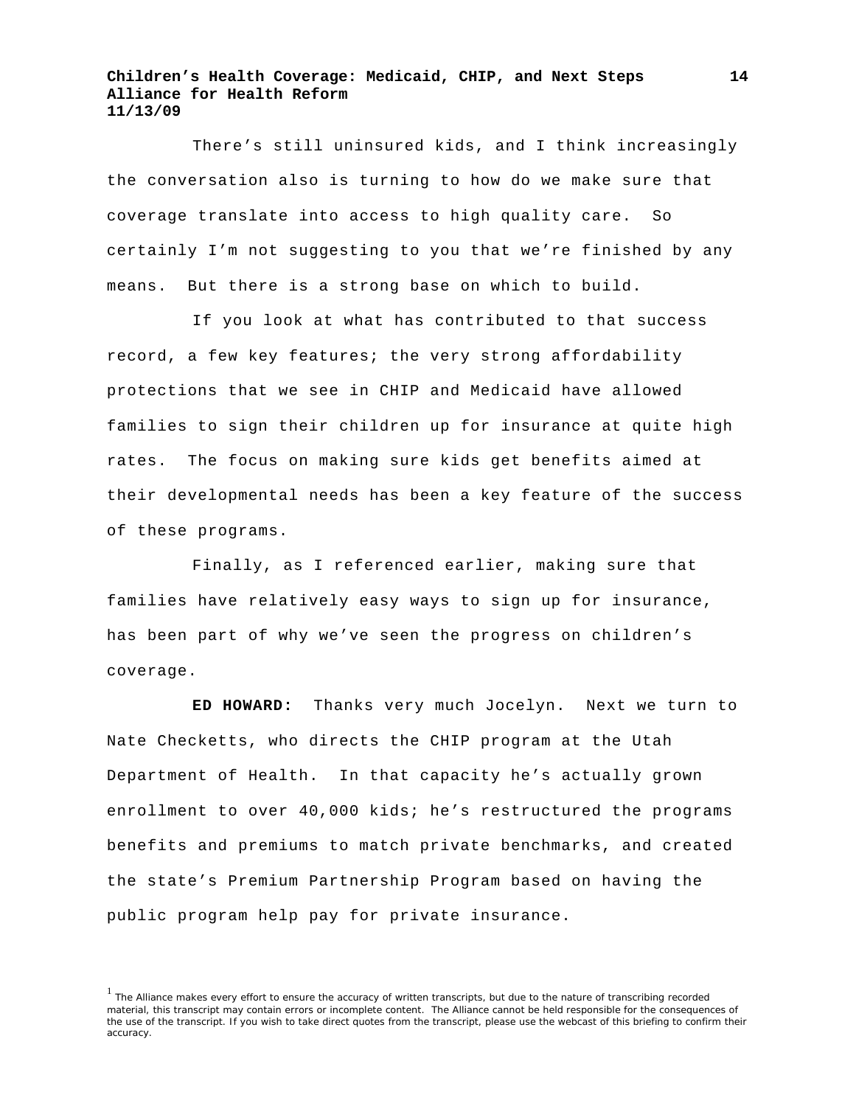There's still uninsured kids, and I think increasingly the conversation also is turning to how do we make sure that coverage translate into access to high quality care. So certainly I'm not suggesting to you that we're finished by any means. But there is a strong base on which to build.

If you look at what has contributed to that success record, a few key features; the very strong affordability protections that we see in CHIP and Medicaid have allowed families to sign their children up for insurance at quite high rates. The focus on making sure kids get benefits aimed at their developmental needs has been a key feature of the success of these programs.

Finally, as I referenced earlier, making sure that families have relatively easy ways to sign up for insurance, has been part of why we've seen the progress on children's coverage.

**ED HOWARD:** Thanks very much Jocelyn. Next we turn to Nate Checketts, who directs the CHIP program at the Utah Department of Health. In that capacity he's actually grown enrollment to over 40,000 kids; he's restructured the programs benefits and premiums to match private benchmarks, and created the state's Premium Partnership Program based on having the public program help pay for private insurance.

<sup>&</sup>lt;sup>1</sup> The Alliance makes every effort to ensure the accuracy of written transcripts, but due to the nature of transcribing recorded material, this transcript may contain errors or incomplete content. The Alliance cannot be held responsible for the consequences of the use of the transcript. If you wish to take direct quotes from the transcript, please use the webcast of this briefing to confirm their accuracy.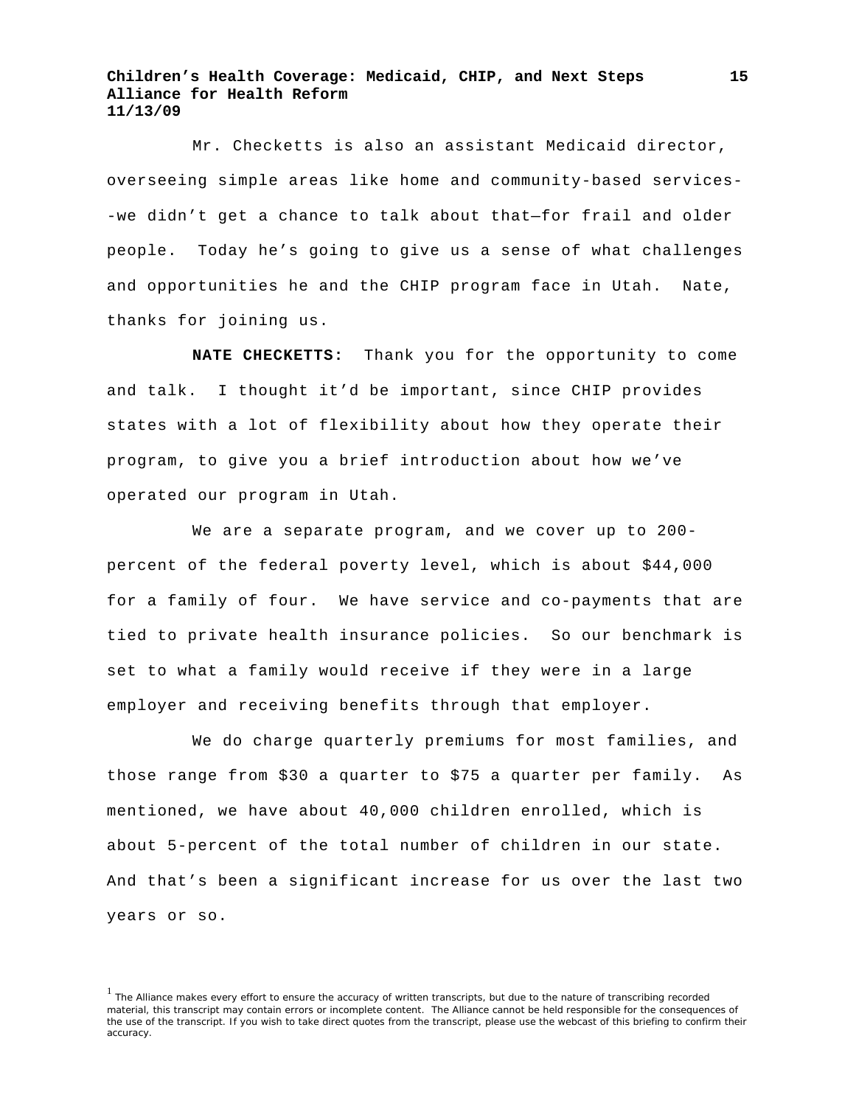Mr. Checketts is also an assistant Medicaid director, overseeing simple areas like home and community-based services- -we didn't get a chance to talk about that—for frail and older people. Today he's going to give us a sense of what challenges and opportunities he and the CHIP program face in Utah. Nate, thanks for joining us.

**NATE CHECKETTS:** Thank you for the opportunity to come and talk. I thought it'd be important, since CHIP provides states with a lot of flexibility about how they operate their program, to give you a brief introduction about how we've operated our program in Utah.

We are a separate program, and we cover up to 200 percent of the federal poverty level, which is about \$44,000 for a family of four. We have service and co-payments that are tied to private health insurance policies. So our benchmark is set to what a family would receive if they were in a large employer and receiving benefits through that employer.

We do charge quarterly premiums for most families, and those range from \$30 a quarter to \$75 a quarter per family. As mentioned, we have about 40,000 children enrolled, which is about 5-percent of the total number of children in our state. And that's been a significant increase for us over the last two years or so.

<sup>&</sup>lt;sup>1</sup> The Alliance makes every effort to ensure the accuracy of written transcripts, but due to the nature of transcribing recorded material, this transcript may contain errors or incomplete content. The Alliance cannot be held responsible for the consequences of the use of the transcript. If you wish to take direct quotes from the transcript, please use the webcast of this briefing to confirm their accuracy.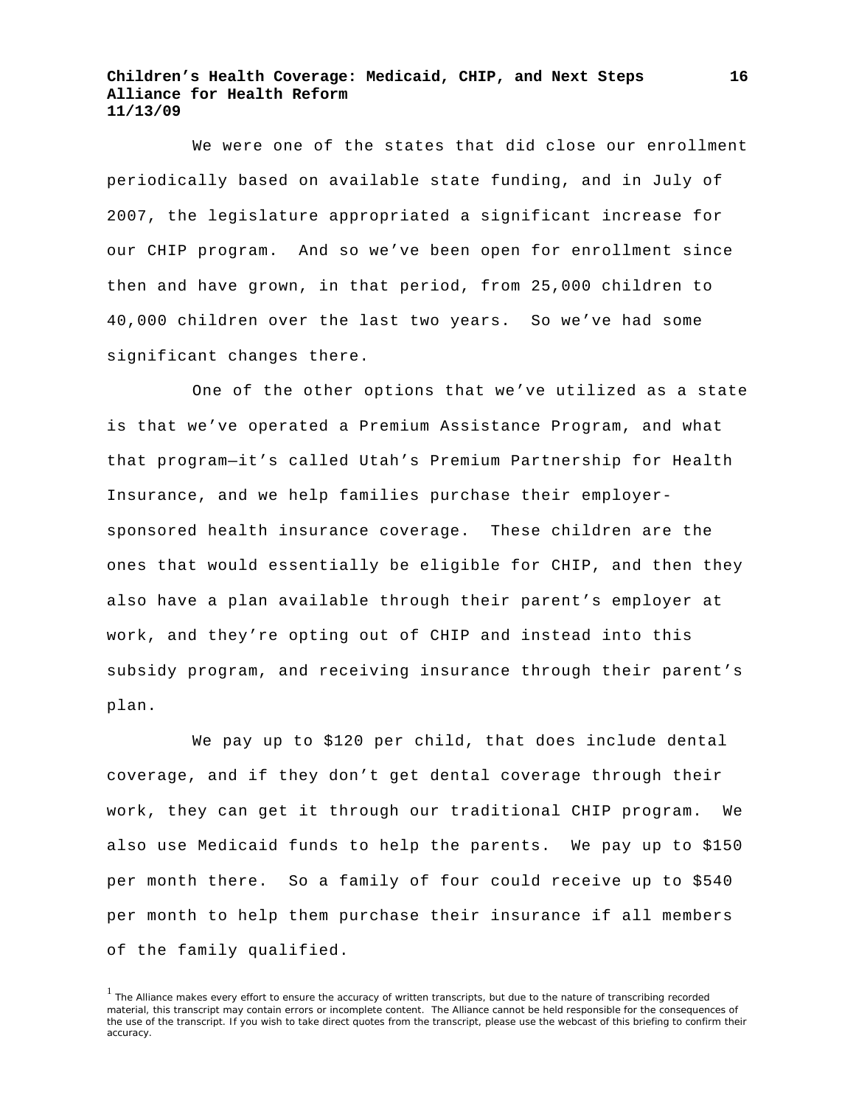We were one of the states that did close our enrollment periodically based on available state funding, and in July of 2007, the legislature appropriated a significant increase for our CHIP program. And so we've been open for enrollment since then and have grown, in that period, from 25,000 children to 40,000 children over the last two years. So we've had some significant changes there.

One of the other options that we've utilized as a state is that we've operated a Premium Assistance Program, and what that program—it's called Utah's Premium Partnership for Health Insurance, and we help families purchase their employersponsored health insurance coverage. These children are the ones that would essentially be eligible for CHIP, and then they also have a plan available through their parent's employer at work, and they're opting out of CHIP and instead into this subsidy program, and receiving insurance through their parent's plan.

We pay up to \$120 per child, that does include dental coverage, and if they don't get dental coverage through their work, they can get it through our traditional CHIP program. We also use Medicaid funds to help the parents. We pay up to \$150 per month there. So a family of four could receive up to \$540 per month to help them purchase their insurance if all members of the family qualified.

<sup>1</sup> The Alliance makes every effort to ensure the accuracy of written transcripts, but due to the nature of transcribing recorded material, this transcript may contain errors or incomplete content. The Alliance cannot be held responsible for the consequences of the use of the transcript. If you wish to take direct quotes from the transcript, please use the webcast of this briefing to confirm their accuracy.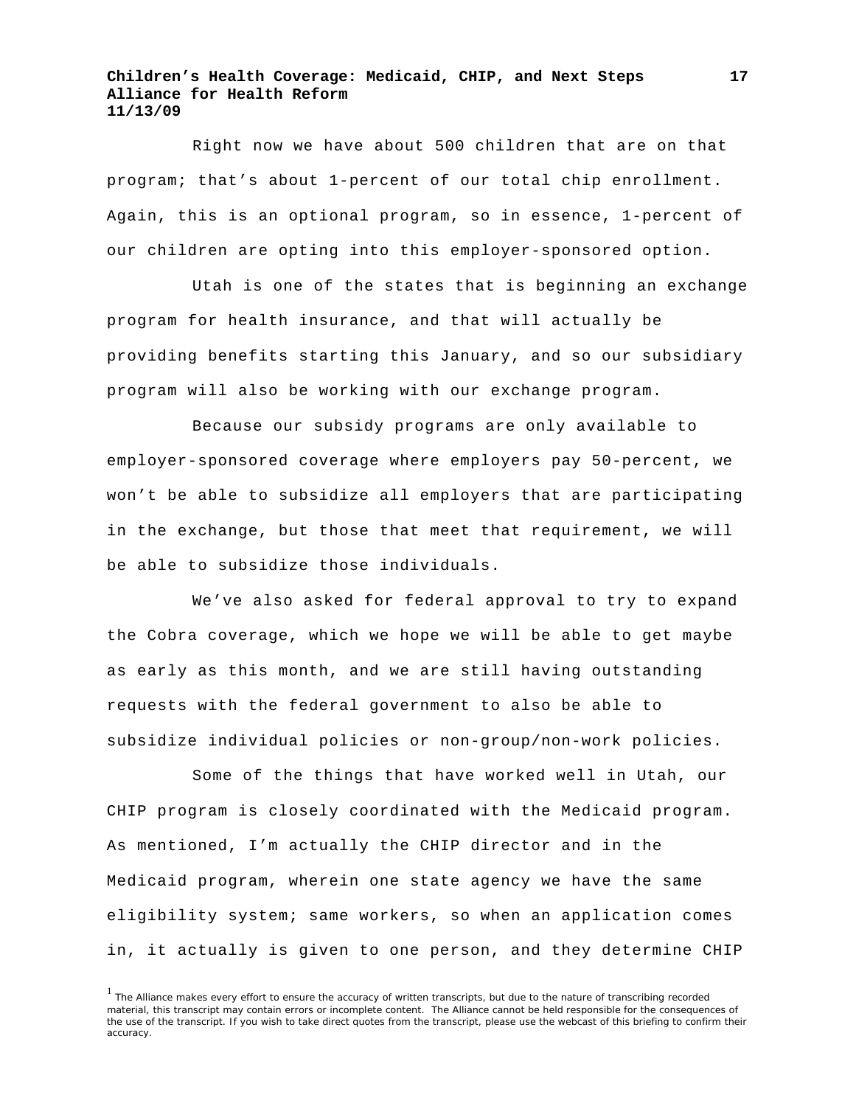Right now we have about 500 children that are on that program; that's about 1-percent of our total chip enrollment. Again, this is an optional program, so in essence, 1-percent of our children are opting into this employer-sponsored option.

Utah is one of the states that is beginning an exchange program for health insurance, and that will actually be providing benefits starting this January, and so our subsidiary program will also be working with our exchange program.

Because our subsidy programs are only available to employer-sponsored coverage where employers pay 50-percent, we won't be able to subsidize all employers that are participating in the exchange, but those that meet that requirement, we will be able to subsidize those individuals.

We've also asked for federal approval to try to expand the Cobra coverage, which we hope we will be able to get maybe as early as this month, and we are still having outstanding requests with the federal government to also be able to subsidize individual policies or non-group/non-work policies.

Some of the things that have worked well in Utah, our CHIP program is closely coordinated with the Medicaid program. As mentioned, I'm actually the CHIP director and in the Medicaid program, wherein one state agency we have the same eligibility system; same workers, so when an application comes in, it actually is given to one person, and they determine CHIP

<sup>&</sup>lt;sup>1</sup> The Alliance makes every effort to ensure the accuracy of written transcripts, but due to the nature of transcribing recorded material, this transcript may contain errors or incomplete content. The Alliance cannot be held responsible for the consequences of the use of the transcript. If you wish to take direct quotes from the transcript, please use the webcast of this briefing to confirm their accuracy.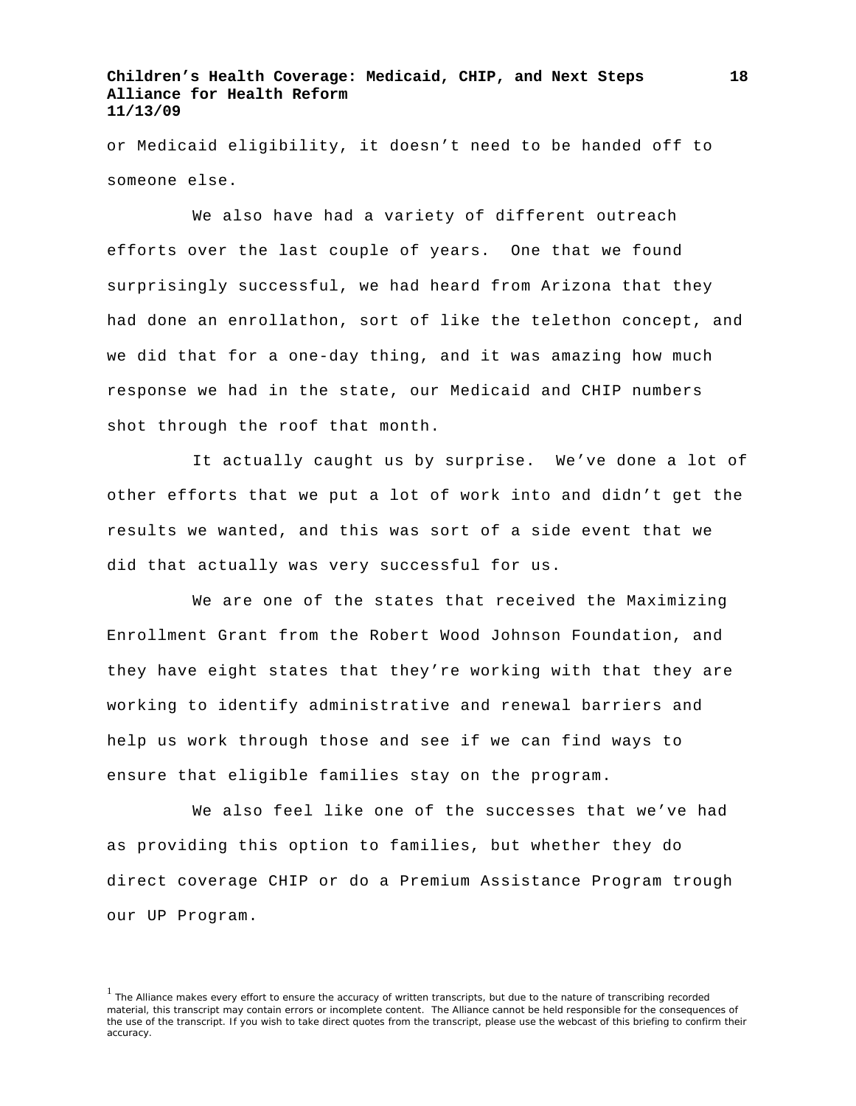or Medicaid eligibility, it doesn't need to be handed off to someone else.

We also have had a variety of different outreach efforts over the last couple of years. One that we found surprisingly successful, we had heard from Arizona that they had done an enrollathon, sort of like the telethon concept, and we did that for a one-day thing, and it was amazing how much response we had in the state, our Medicaid and CHIP numbers shot through the roof that month.

It actually caught us by surprise. We've done a lot of other efforts that we put a lot of work into and didn't get the results we wanted, and this was sort of a side event that we did that actually was very successful for us.

We are one of the states that received the Maximizing Enrollment Grant from the Robert Wood Johnson Foundation, and they have eight states that they're working with that they are working to identify administrative and renewal barriers and help us work through those and see if we can find ways to ensure that eligible families stay on the program.

We also feel like one of the successes that we've had as providing this option to families, but whether they do direct coverage CHIP or do a Premium Assistance Program trough our UP Program.

 $<sup>1</sup>$  The Alliance makes every effort to ensure the accuracy of written transcripts, but due to the nature of transcribing recorded</sup> material, this transcript may contain errors or incomplete content. The Alliance cannot be held responsible for the consequences of the use of the transcript. If you wish to take direct quotes from the transcript, please use the webcast of this briefing to confirm their accuracy.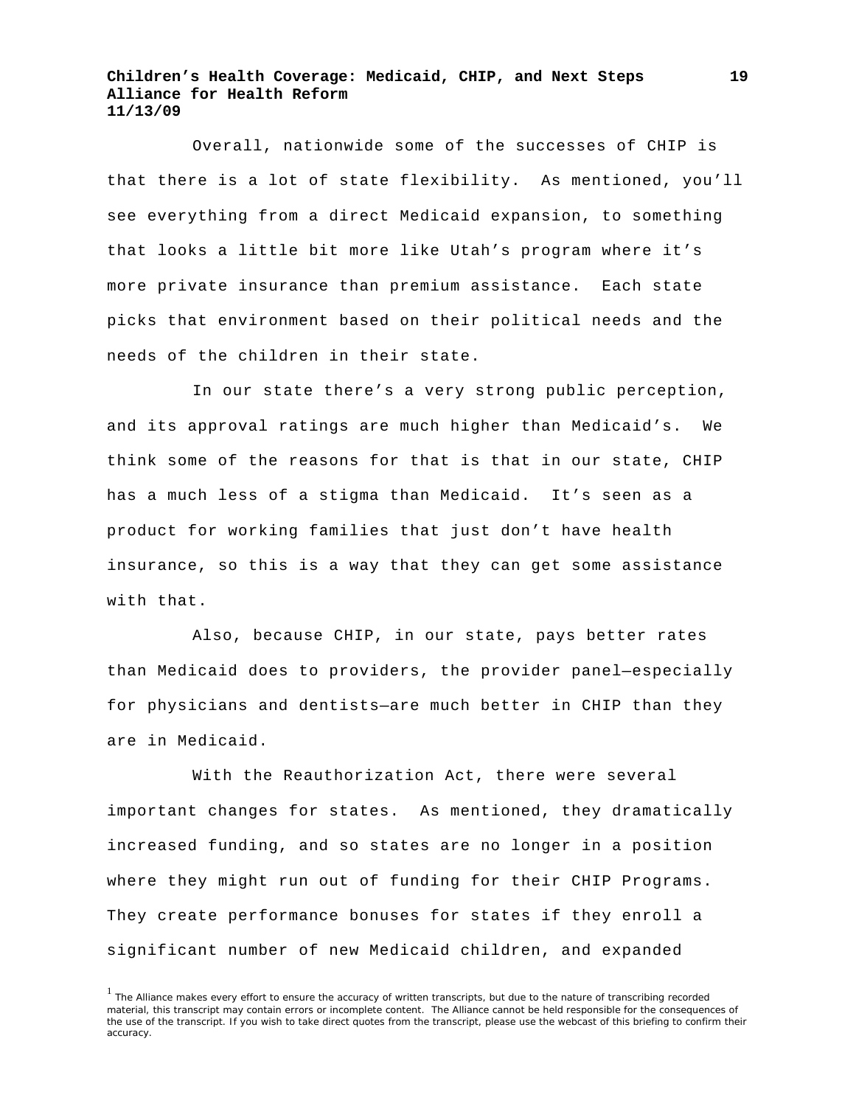Overall, nationwide some of the successes of CHIP is that there is a lot of state flexibility. As mentioned, you'll see everything from a direct Medicaid expansion, to something that looks a little bit more like Utah's program where it's more private insurance than premium assistance. Each state picks that environment based on their political needs and the needs of the children in their state.

In our state there's a very strong public perception, and its approval ratings are much higher than Medicaid's. We think some of the reasons for that is that in our state, CHIP has a much less of a stigma than Medicaid. It's seen as a product for working families that just don't have health insurance, so this is a way that they can get some assistance with that.

Also, because CHIP, in our state, pays better rates than Medicaid does to providers, the provider panel—especially for physicians and dentists—are much better in CHIP than they are in Medicaid.

With the Reauthorization Act, there were several important changes for states. As mentioned, they dramatically increased funding, and so states are no longer in a position where they might run out of funding for their CHIP Programs. They create performance bonuses for states if they enroll a significant number of new Medicaid children, and expanded

<sup>&</sup>lt;sup>1</sup> The Alliance makes every effort to ensure the accuracy of written transcripts, but due to the nature of transcribing recorded material, this transcript may contain errors or incomplete content. The Alliance cannot be held responsible for the consequences of the use of the transcript. If you wish to take direct quotes from the transcript, please use the webcast of this briefing to confirm their accuracy.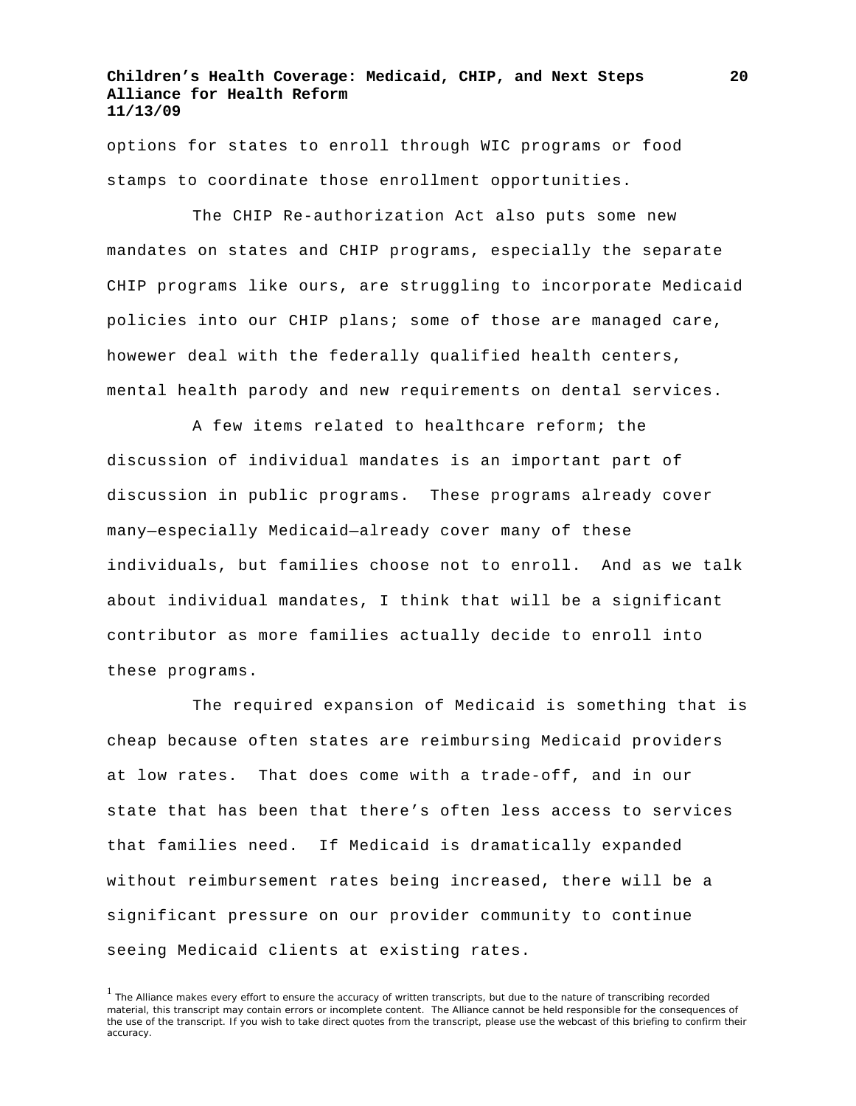options for states to enroll through WIC programs or food stamps to coordinate those enrollment opportunities.

The CHIP Re-authorization Act also puts some new mandates on states and CHIP programs, especially the separate CHIP programs like ours, are struggling to incorporate Medicaid policies into our CHIP plans; some of those are managed care, howewer deal with the federally qualified health centers, mental health parody and new requirements on dental services.

A few items related to healthcare reform; the discussion of individual mandates is an important part of discussion in public programs. These programs already cover many—especially Medicaid—already cover many of these individuals, but families choose not to enroll. And as we talk about individual mandates, I think that will be a significant contributor as more families actually decide to enroll into these programs.

The required expansion of Medicaid is something that is cheap because often states are reimbursing Medicaid providers at low rates. That does come with a trade-off, and in our state that has been that there's often less access to services that families need. If Medicaid is dramatically expanded without reimbursement rates being increased, there will be a significant pressure on our provider community to continue seeing Medicaid clients at existing rates.

<sup>&</sup>lt;sup>1</sup> The Alliance makes every effort to ensure the accuracy of written transcripts, but due to the nature of transcribing recorded material, this transcript may contain errors or incomplete content. The Alliance cannot be held responsible for the consequences of the use of the transcript. If you wish to take direct quotes from the transcript, please use the webcast of this briefing to confirm their accuracy.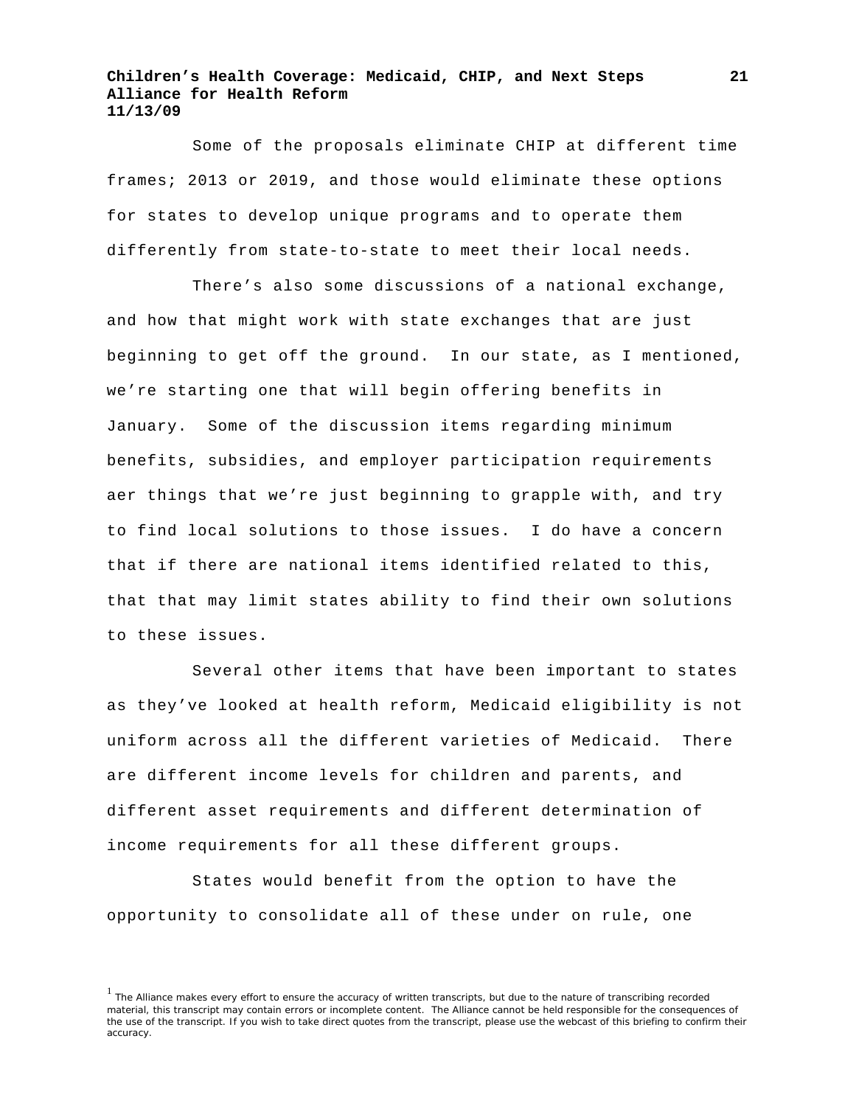Some of the proposals eliminate CHIP at different time frames; 2013 or 2019, and those would eliminate these options for states to develop unique programs and to operate them differently from state-to-state to meet their local needs.

There's also some discussions of a national exchange, and how that might work with state exchanges that are just beginning to get off the ground. In our state, as I mentioned, we're starting one that will begin offering benefits in January. Some of the discussion items regarding minimum benefits, subsidies, and employer participation requirements aer things that we're just beginning to grapple with, and try to find local solutions to those issues. I do have a concern that if there are national items identified related to this, that that may limit states ability to find their own solutions to these issues.

Several other items that have been important to states as they've looked at health reform, Medicaid eligibility is not uniform across all the different varieties of Medicaid. There are different income levels for children and parents, and different asset requirements and different determination of income requirements for all these different groups.

States would benefit from the option to have the opportunity to consolidate all of these under on rule, one

<sup>&</sup>lt;sup>1</sup> The Alliance makes every effort to ensure the accuracy of written transcripts, but due to the nature of transcribing recorded material, this transcript may contain errors or incomplete content. The Alliance cannot be held responsible for the consequences of the use of the transcript. If you wish to take direct quotes from the transcript, please use the webcast of this briefing to confirm their accuracy.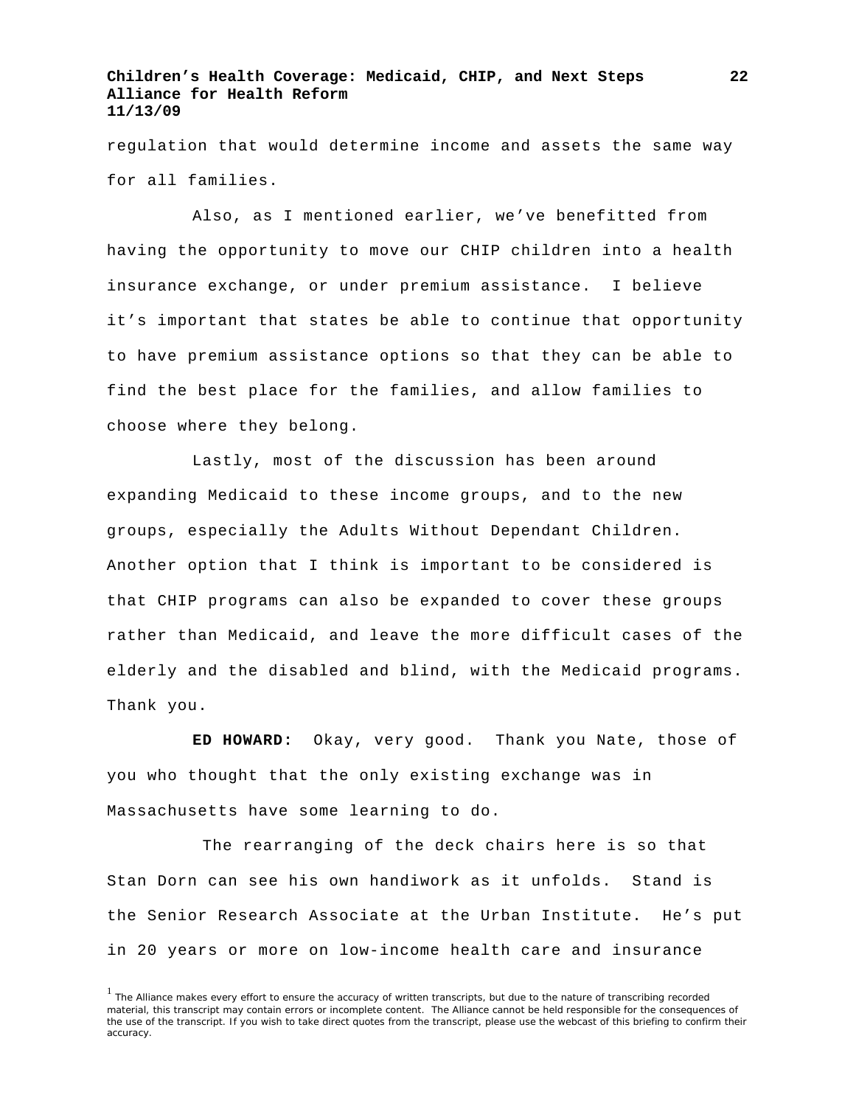regulation that would determine income and assets the same way for all families.

Also, as I mentioned earlier, we've benefitted from having the opportunity to move our CHIP children into a health insurance exchange, or under premium assistance. I believe it's important that states be able to continue that opportunity to have premium assistance options so that they can be able to find the best place for the families, and allow families to choose where they belong.

Lastly, most of the discussion has been around expanding Medicaid to these income groups, and to the new groups, especially the Adults Without Dependant Children. Another option that I think is important to be considered is that CHIP programs can also be expanded to cover these groups rather than Medicaid, and leave the more difficult cases of the elderly and the disabled and blind, with the Medicaid programs. Thank you.

**ED HOWARD:** Okay, very good. Thank you Nate, those of you who thought that the only existing exchange was in Massachusetts have some learning to do.

 The rearranging of the deck chairs here is so that Stan Dorn can see his own handiwork as it unfolds. Stand is the Senior Research Associate at the Urban Institute. He's put in 20 years or more on low-income health care and insurance

 $<sup>1</sup>$  The Alliance makes every effort to ensure the accuracy of written transcripts, but due to the nature of transcribing recorded</sup> material, this transcript may contain errors or incomplete content. The Alliance cannot be held responsible for the consequences of the use of the transcript. If you wish to take direct quotes from the transcript, please use the webcast of this briefing to confirm their accuracy.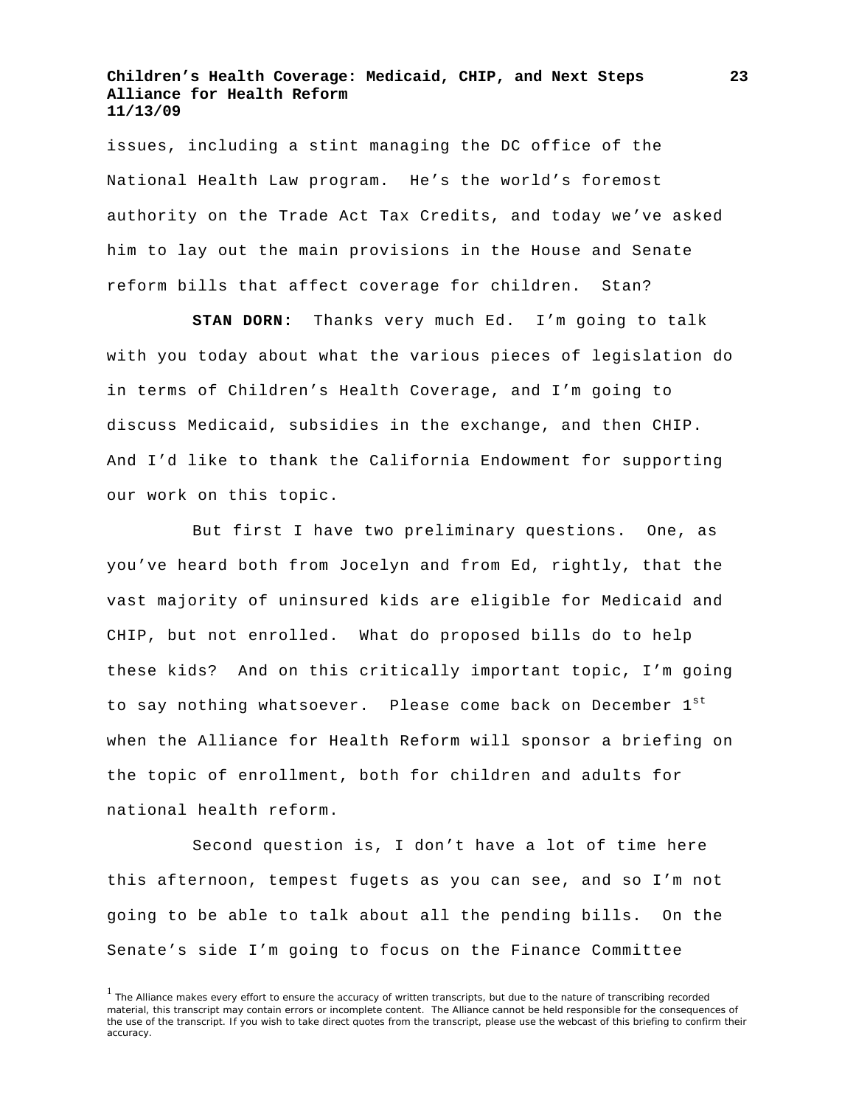issues, including a stint managing the DC office of the National Health Law program. He's the world's foremost authority on the Trade Act Tax Credits, and today we've asked him to lay out the main provisions in the House and Senate reform bills that affect coverage for children. Stan?

**STAN DORN:** Thanks very much Ed. I'm going to talk with you today about what the various pieces of legislation do in terms of Children's Health Coverage, and I'm going to discuss Medicaid, subsidies in the exchange, and then CHIP. And I'd like to thank the California Endowment for supporting our work on this topic.

But first I have two preliminary questions. One, as you've heard both from Jocelyn and from Ed, rightly, that the vast majority of uninsured kids are eligible for Medicaid and CHIP, but not enrolled. What do proposed bills do to help these kids? And on this critically important topic, I'm going to say nothing whatsoever. Please come back on December 1st when the Alliance for Health Reform will sponsor a briefing on the topic of enrollment, both for children and adults for national health reform.

Second question is, I don't have a lot of time here this afternoon, tempest fugets as you can see, and so I'm not going to be able to talk about all the pending bills. On the Senate's side I'm going to focus on the Finance Committee

<sup>&</sup>lt;sup>1</sup> The Alliance makes every effort to ensure the accuracy of written transcripts, but due to the nature of transcribing recorded material, this transcript may contain errors or incomplete content. The Alliance cannot be held responsible for the consequences of the use of the transcript. If you wish to take direct quotes from the transcript, please use the webcast of this briefing to confirm their accuracy.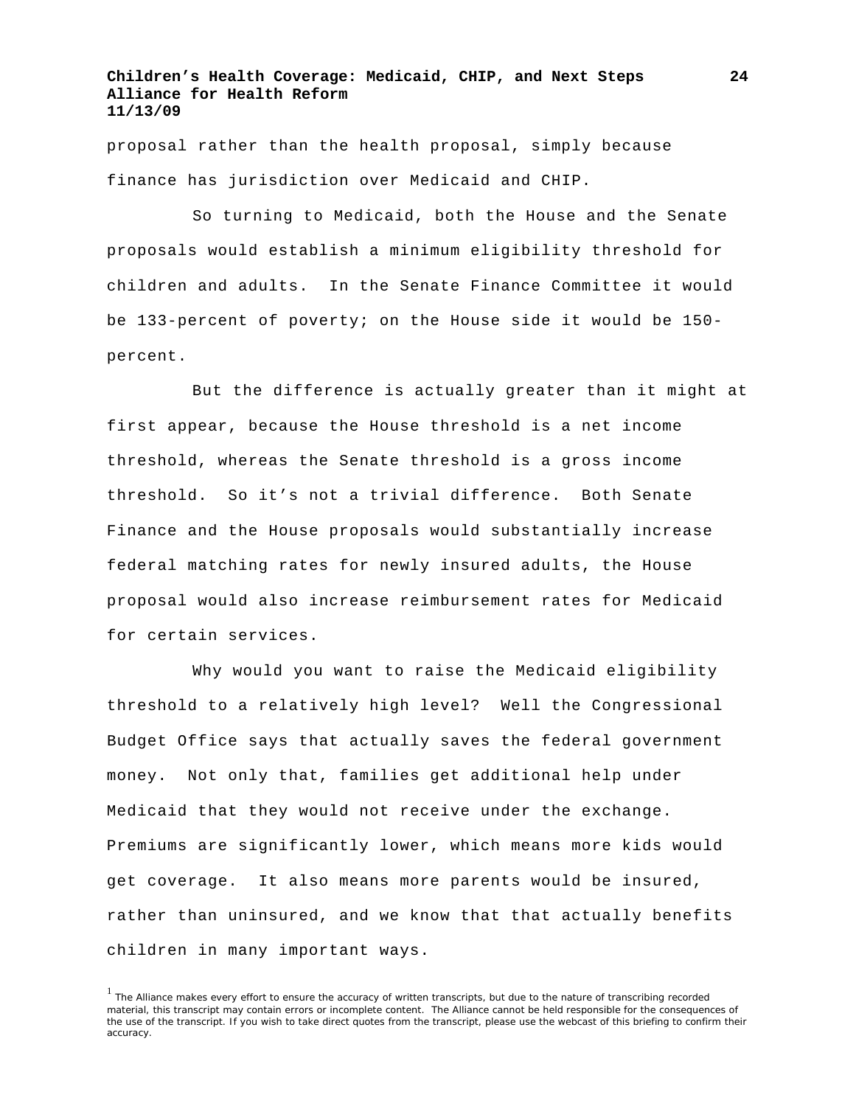proposal rather than the health proposal, simply because finance has jurisdiction over Medicaid and CHIP.

So turning to Medicaid, both the House and the Senate proposals would establish a minimum eligibility threshold for children and adults. In the Senate Finance Committee it would be 133-percent of poverty; on the House side it would be 150 percent.

But the difference is actually greater than it might at first appear, because the House threshold is a net income threshold, whereas the Senate threshold is a gross income threshold. So it's not a trivial difference. Both Senate Finance and the House proposals would substantially increase federal matching rates for newly insured adults, the House proposal would also increase reimbursement rates for Medicaid for certain services.

Why would you want to raise the Medicaid eligibility threshold to a relatively high level? Well the Congressional Budget Office says that actually saves the federal government money. Not only that, families get additional help under Medicaid that they would not receive under the exchange. Premiums are significantly lower, which means more kids would get coverage. It also means more parents would be insured, rather than uninsured, and we know that that actually benefits children in many important ways.

<sup>&</sup>lt;sup>1</sup> The Alliance makes every effort to ensure the accuracy of written transcripts, but due to the nature of transcribing recorded material, this transcript may contain errors or incomplete content. The Alliance cannot be held responsible for the consequences of the use of the transcript. If you wish to take direct quotes from the transcript, please use the webcast of this briefing to confirm their accuracy.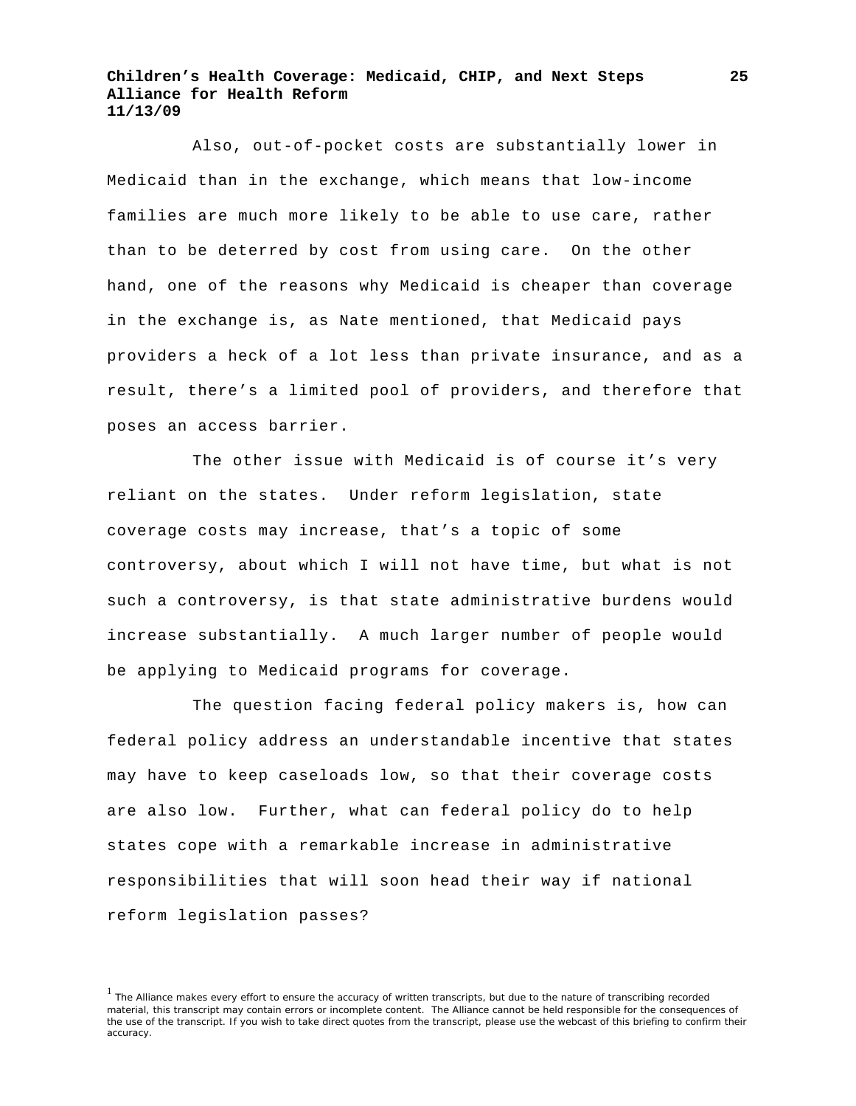Also, out-of-pocket costs are substantially lower in Medicaid than in the exchange, which means that low-income families are much more likely to be able to use care, rather than to be deterred by cost from using care. On the other hand, one of the reasons why Medicaid is cheaper than coverage in the exchange is, as Nate mentioned, that Medicaid pays providers a heck of a lot less than private insurance, and as a result, there's a limited pool of providers, and therefore that poses an access barrier.

The other issue with Medicaid is of course it's very reliant on the states. Under reform legislation, state coverage costs may increase, that's a topic of some controversy, about which I will not have time, but what is not such a controversy, is that state administrative burdens would increase substantially. A much larger number of people would be applying to Medicaid programs for coverage.

The question facing federal policy makers is, how can federal policy address an understandable incentive that states may have to keep caseloads low, so that their coverage costs are also low. Further, what can federal policy do to help states cope with a remarkable increase in administrative responsibilities that will soon head their way if national reform legislation passes?

<sup>&</sup>lt;sup>1</sup> The Alliance makes every effort to ensure the accuracy of written transcripts, but due to the nature of transcribing recorded material, this transcript may contain errors or incomplete content. The Alliance cannot be held responsible for the consequences of the use of the transcript. If you wish to take direct quotes from the transcript, please use the webcast of this briefing to confirm their accuracy.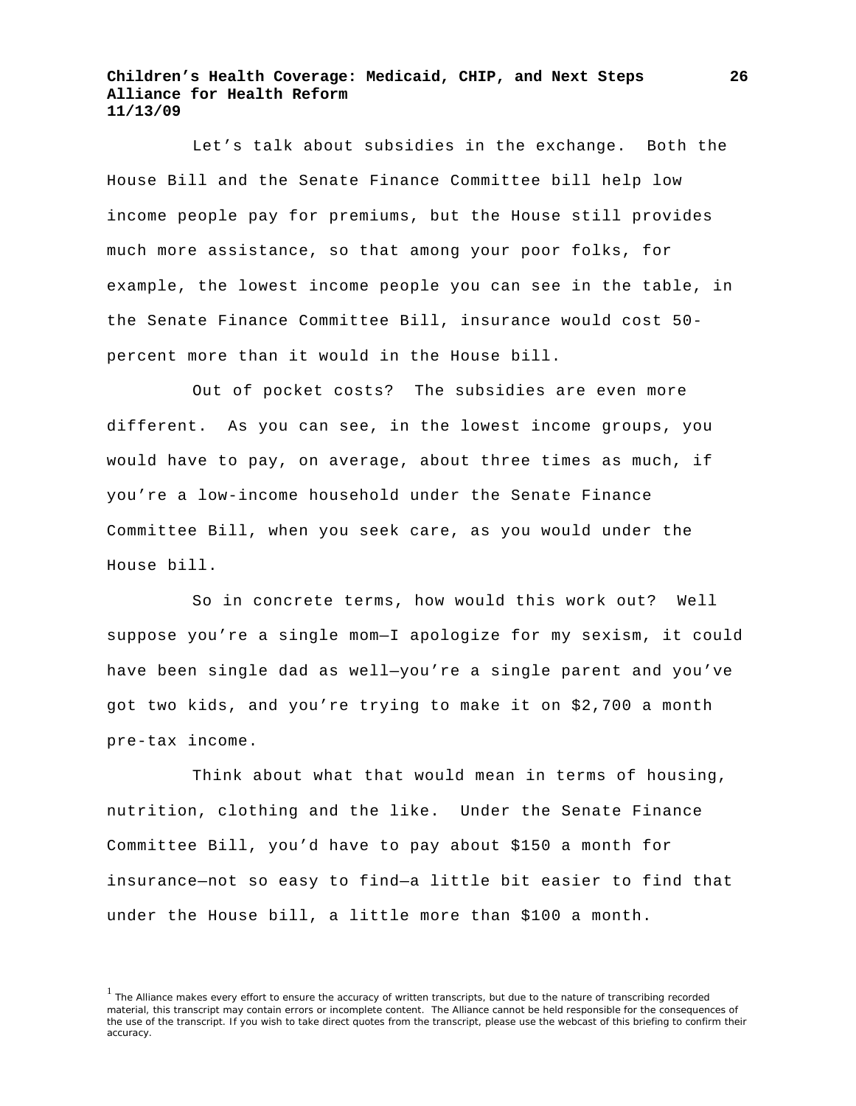Let's talk about subsidies in the exchange. Both the House Bill and the Senate Finance Committee bill help low income people pay for premiums, but the House still provides much more assistance, so that among your poor folks, for example, the lowest income people you can see in the table, in the Senate Finance Committee Bill, insurance would cost 50 percent more than it would in the House bill.

Out of pocket costs? The subsidies are even more different. As you can see, in the lowest income groups, you would have to pay, on average, about three times as much, if you're a low-income household under the Senate Finance Committee Bill, when you seek care, as you would under the House bill.

So in concrete terms, how would this work out? Well suppose you're a single mom—I apologize for my sexism, it could have been single dad as well—you're a single parent and you've got two kids, and you're trying to make it on \$2,700 a month pre-tax income.

Think about what that would mean in terms of housing, nutrition, clothing and the like. Under the Senate Finance Committee Bill, you'd have to pay about \$150 a month for insurance—not so easy to find—a little bit easier to find that under the House bill, a little more than \$100 a month.

<sup>&</sup>lt;sup>1</sup> The Alliance makes every effort to ensure the accuracy of written transcripts, but due to the nature of transcribing recorded material, this transcript may contain errors or incomplete content. The Alliance cannot be held responsible for the consequences of the use of the transcript. If you wish to take direct quotes from the transcript, please use the webcast of this briefing to confirm their accuracy.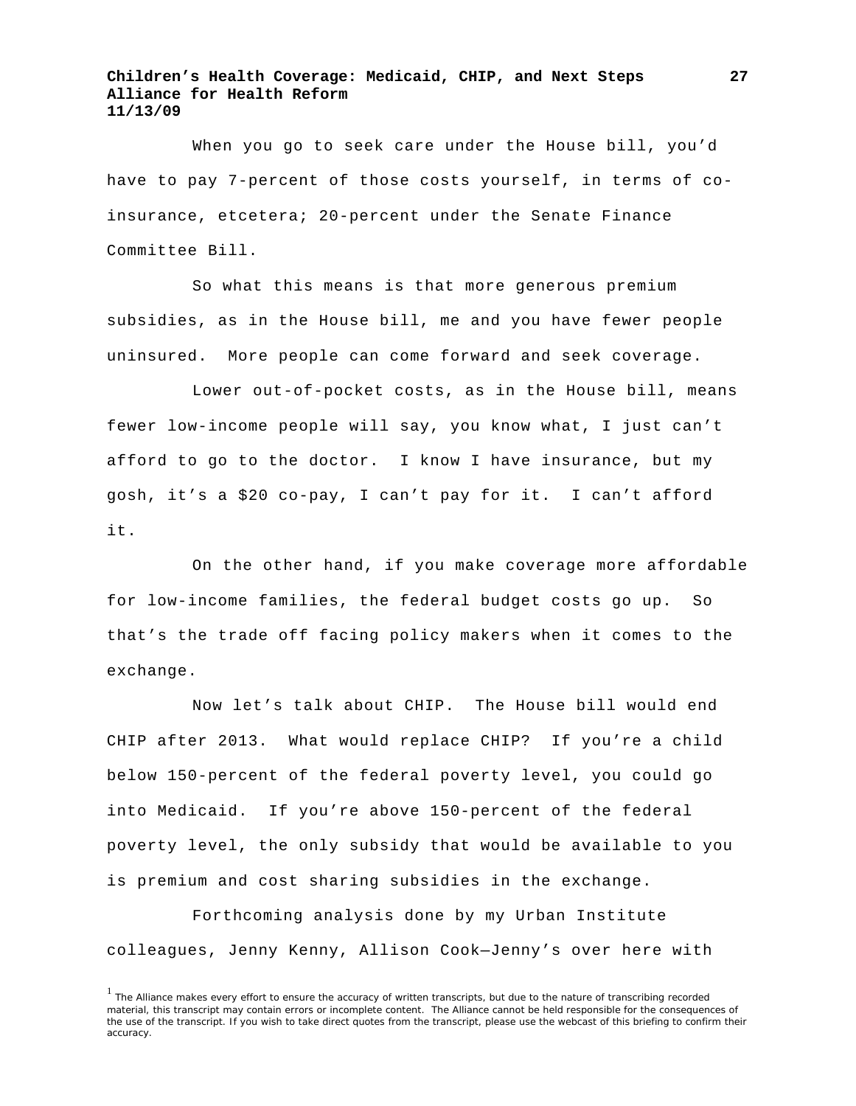When you go to seek care under the House bill, you'd have to pay 7-percent of those costs yourself, in terms of coinsurance, etcetera; 20-percent under the Senate Finance Committee Bill.

 So what this means is that more generous premium subsidies, as in the House bill, me and you have fewer people uninsured. More people can come forward and seek coverage.

 Lower out-of-pocket costs, as in the House bill, means fewer low-income people will say, you know what, I just can't afford to go to the doctor. I know I have insurance, but my gosh, it's a \$20 co-pay, I can't pay for it. I can't afford it.

 On the other hand, if you make coverage more affordable for low-income families, the federal budget costs go up. So that's the trade off facing policy makers when it comes to the exchange.

 Now let's talk about CHIP. The House bill would end CHIP after 2013. What would replace CHIP? If you're a child below 150-percent of the federal poverty level, you could go into Medicaid. If you're above 150-percent of the federal poverty level, the only subsidy that would be available to you is premium and cost sharing subsidies in the exchange.

 Forthcoming analysis done by my Urban Institute colleagues, Jenny Kenny, Allison Cook—Jenny's over here with

<sup>&</sup>lt;sup>1</sup> The Alliance makes every effort to ensure the accuracy of written transcripts, but due to the nature of transcribing recorded material, this transcript may contain errors or incomplete content. The Alliance cannot be held responsible for the consequences of the use of the transcript. If you wish to take direct quotes from the transcript, please use the webcast of this briefing to confirm their accuracy.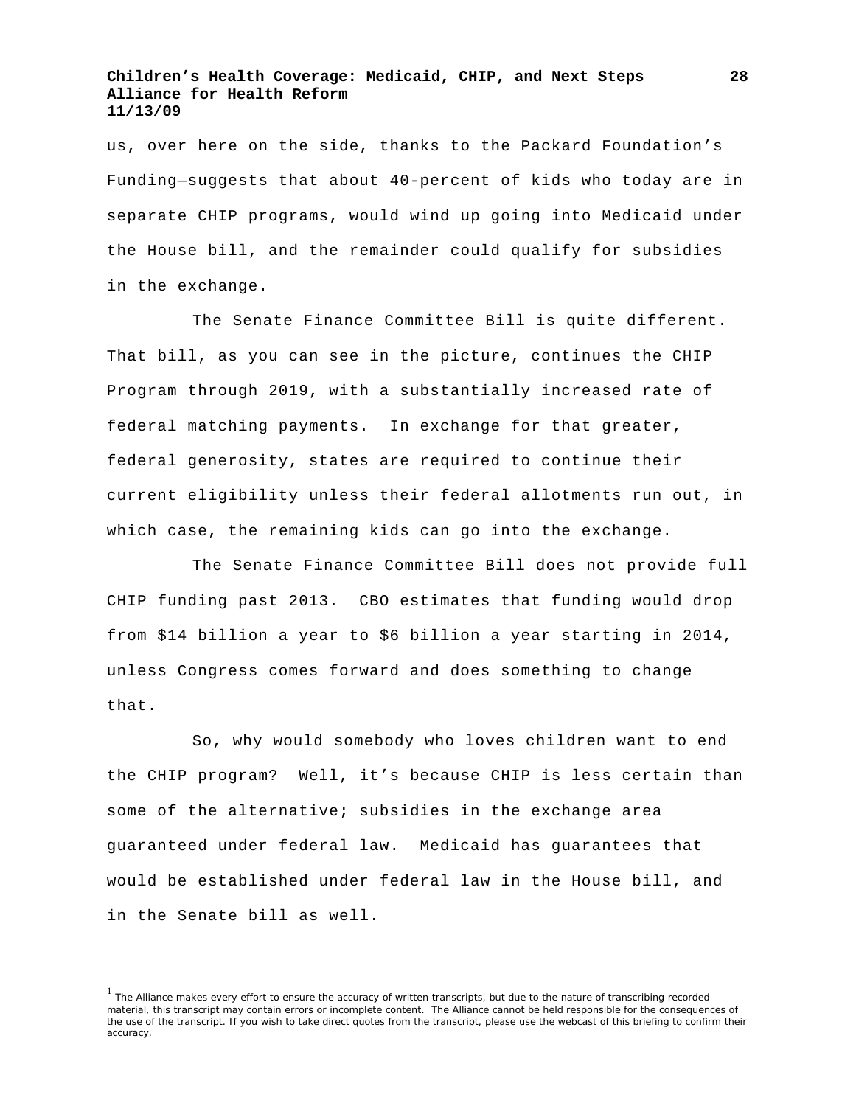us, over here on the side, thanks to the Packard Foundation's Funding—suggests that about 40-percent of kids who today are in separate CHIP programs, would wind up going into Medicaid under the House bill, and the remainder could qualify for subsidies in the exchange.

 The Senate Finance Committee Bill is quite different. That bill, as you can see in the picture, continues the CHIP Program through 2019, with a substantially increased rate of federal matching payments. In exchange for that greater, federal generosity, states are required to continue their current eligibility unless their federal allotments run out, in which case, the remaining kids can go into the exchange.

 The Senate Finance Committee Bill does not provide full CHIP funding past 2013. CBO estimates that funding would drop from \$14 billion a year to \$6 billion a year starting in 2014, unless Congress comes forward and does something to change that.

 So, why would somebody who loves children want to end the CHIP program? Well, it's because CHIP is less certain than some of the alternative; subsidies in the exchange area guaranteed under federal law. Medicaid has guarantees that would be established under federal law in the House bill, and in the Senate bill as well.

<sup>&</sup>lt;sup>1</sup> The Alliance makes every effort to ensure the accuracy of written transcripts, but due to the nature of transcribing recorded material, this transcript may contain errors or incomplete content. The Alliance cannot be held responsible for the consequences of the use of the transcript. If you wish to take direct quotes from the transcript, please use the webcast of this briefing to confirm their accuracy.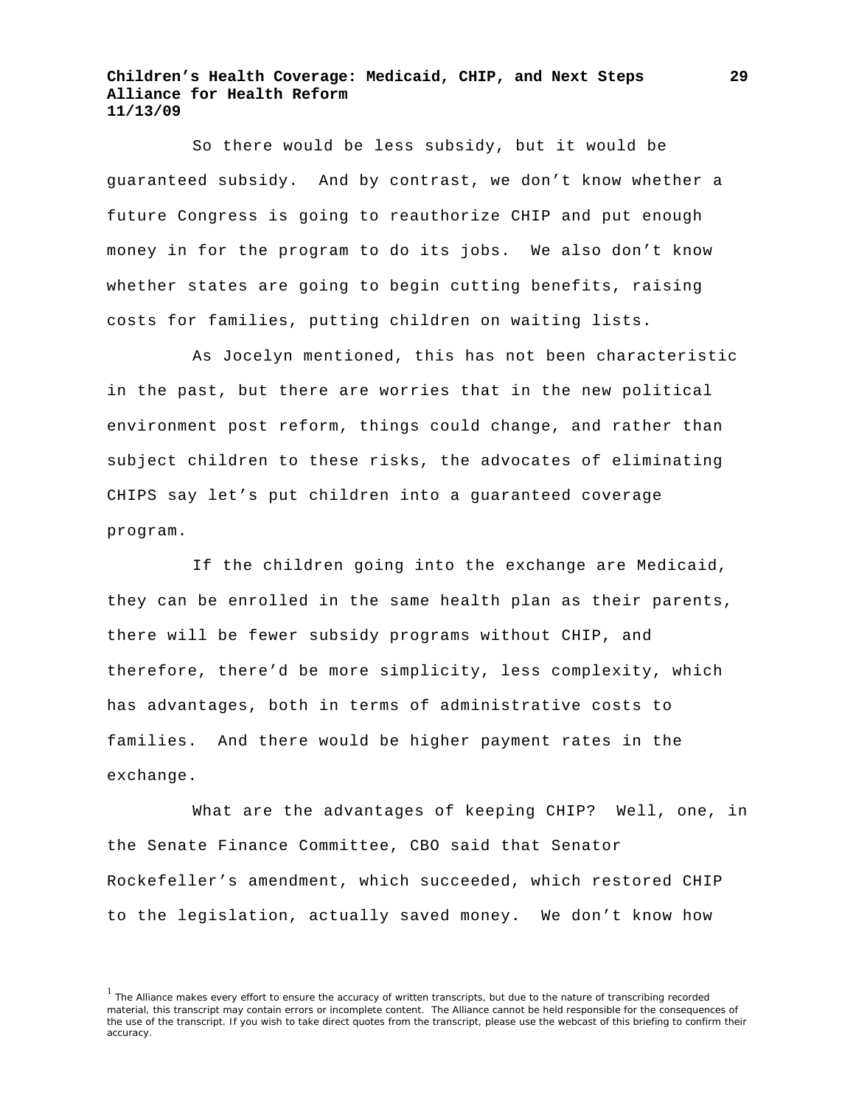So there would be less subsidy, but it would be guaranteed subsidy. And by contrast, we don't know whether a future Congress is going to reauthorize CHIP and put enough money in for the program to do its jobs. We also don't know whether states are going to begin cutting benefits, raising costs for families, putting children on waiting lists.

 As Jocelyn mentioned, this has not been characteristic in the past, but there are worries that in the new political environment post reform, things could change, and rather than subject children to these risks, the advocates of eliminating CHIPS say let's put children into a guaranteed coverage program.

If the children going into the exchange are Medicaid, they can be enrolled in the same health plan as their parents, there will be fewer subsidy programs without CHIP, and therefore, there'd be more simplicity, less complexity, which has advantages, both in terms of administrative costs to families. And there would be higher payment rates in the exchange.

 What are the advantages of keeping CHIP? Well, one, in the Senate Finance Committee, CBO said that Senator Rockefeller's amendment, which succeeded, which restored CHIP to the legislation, actually saved money. We don't know how

<sup>&</sup>lt;sup>1</sup> The Alliance makes every effort to ensure the accuracy of written transcripts, but due to the nature of transcribing recorded material, this transcript may contain errors or incomplete content. The Alliance cannot be held responsible for the consequences of the use of the transcript. If you wish to take direct quotes from the transcript, please use the webcast of this briefing to confirm their accuracy.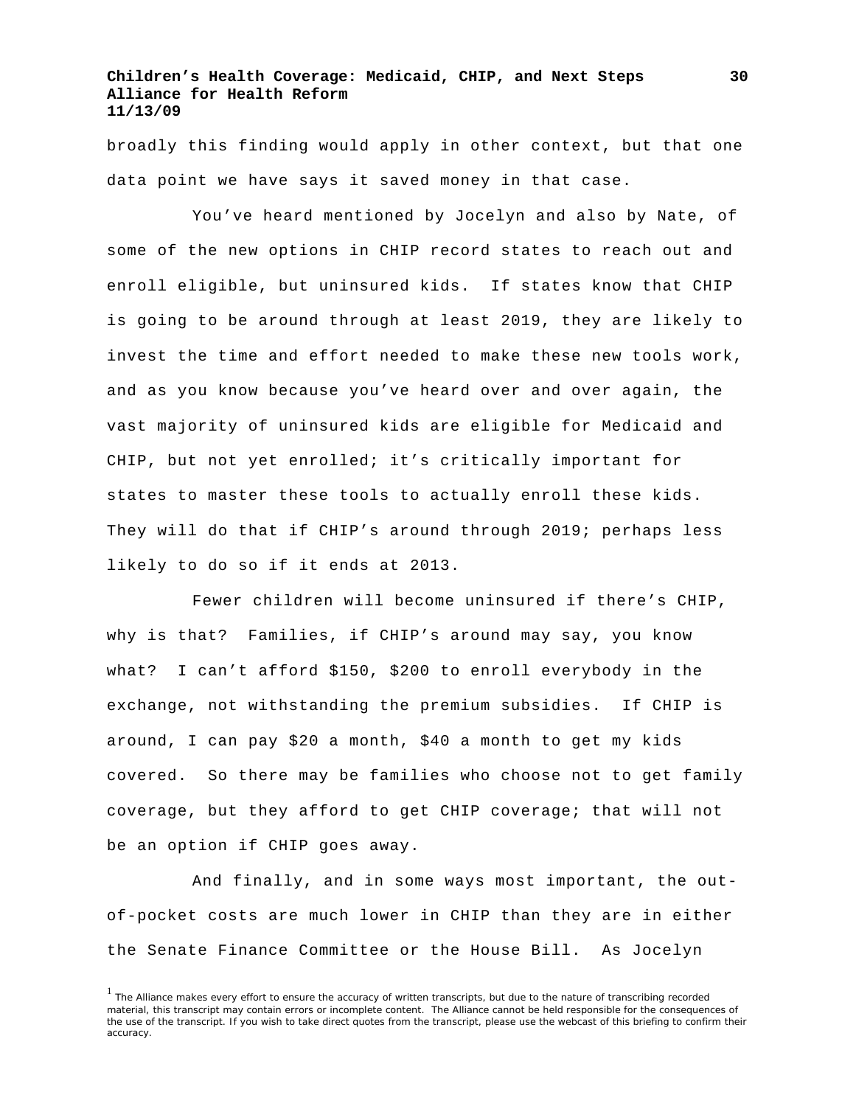broadly this finding would apply in other context, but that one data point we have says it saved money in that case.

 You've heard mentioned by Jocelyn and also by Nate, of some of the new options in CHIP record states to reach out and enroll eligible, but uninsured kids. If states know that CHIP is going to be around through at least 2019, they are likely to invest the time and effort needed to make these new tools work, and as you know because you've heard over and over again, the vast majority of uninsured kids are eligible for Medicaid and CHIP, but not yet enrolled; it's critically important for states to master these tools to actually enroll these kids. They will do that if CHIP's around through 2019; perhaps less likely to do so if it ends at 2013.

 Fewer children will become uninsured if there's CHIP, why is that? Families, if CHIP's around may say, you know what? I can't afford \$150, \$200 to enroll everybody in the exchange, not withstanding the premium subsidies. If CHIP is around, I can pay \$20 a month, \$40 a month to get my kids covered. So there may be families who choose not to get family coverage, but they afford to get CHIP coverage; that will not be an option if CHIP goes away.

 And finally, and in some ways most important, the outof-pocket costs are much lower in CHIP than they are in either the Senate Finance Committee or the House Bill. As Jocelyn

<sup>&</sup>lt;sup>1</sup> The Alliance makes every effort to ensure the accuracy of written transcripts, but due to the nature of transcribing recorded material, this transcript may contain errors or incomplete content. The Alliance cannot be held responsible for the consequences of the use of the transcript. If you wish to take direct quotes from the transcript, please use the webcast of this briefing to confirm their accuracy.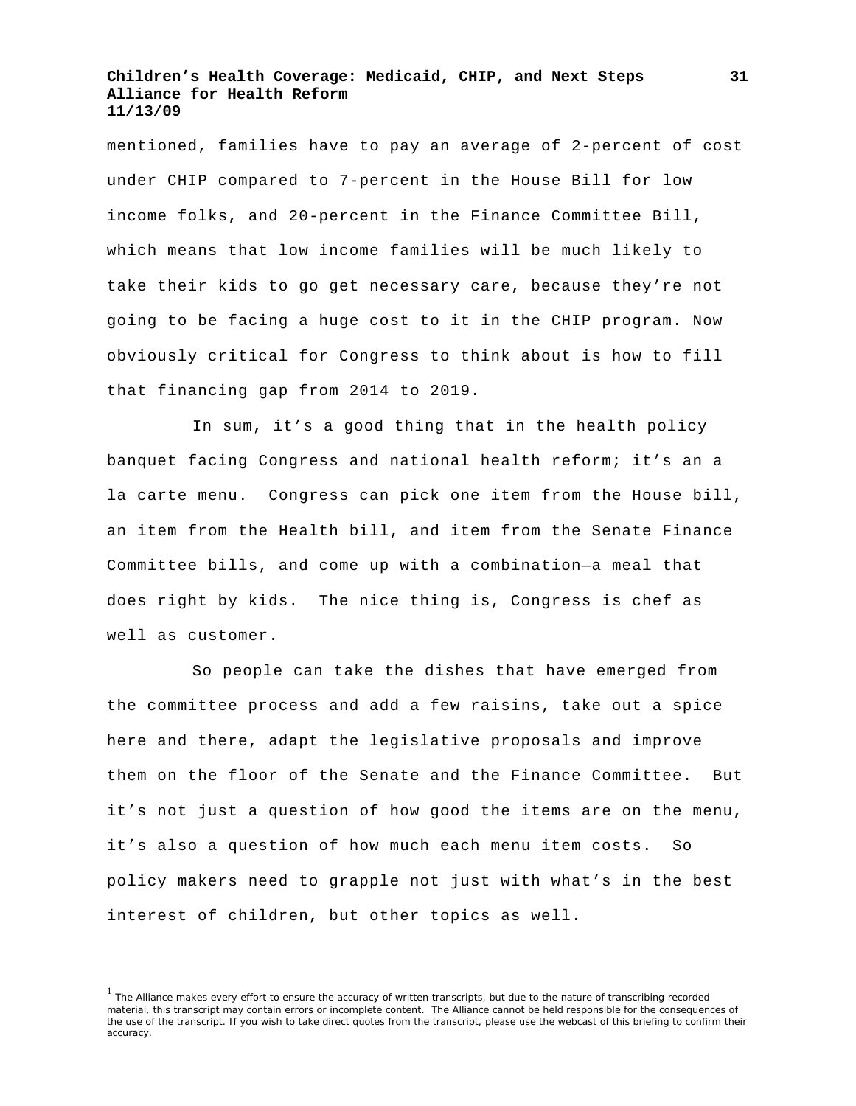mentioned, families have to pay an average of 2-percent of cost under CHIP compared to 7-percent in the House Bill for low income folks, and 20-percent in the Finance Committee Bill, which means that low income families will be much likely to take their kids to go get necessary care, because they're not going to be facing a huge cost to it in the CHIP program. Now obviously critical for Congress to think about is how to fill that financing gap from 2014 to 2019.

 In sum, it's a good thing that in the health policy banquet facing Congress and national health reform; it's an a la carte menu. Congress can pick one item from the House bill, an item from the Health bill, and item from the Senate Finance Committee bills, and come up with a combination—a meal that does right by kids. The nice thing is, Congress is chef as well as customer.

So people can take the dishes that have emerged from the committee process and add a few raisins, take out a spice here and there, adapt the legislative proposals and improve them on the floor of the Senate and the Finance Committee. But it's not just a question of how good the items are on the menu, it's also a question of how much each menu item costs. So policy makers need to grapple not just with what's in the best interest of children, but other topics as well.

<sup>&</sup>lt;sup>1</sup> The Alliance makes every effort to ensure the accuracy of written transcripts, but due to the nature of transcribing recorded material, this transcript may contain errors or incomplete content. The Alliance cannot be held responsible for the consequences of the use of the transcript. If you wish to take direct quotes from the transcript, please use the webcast of this briefing to confirm their accuracy.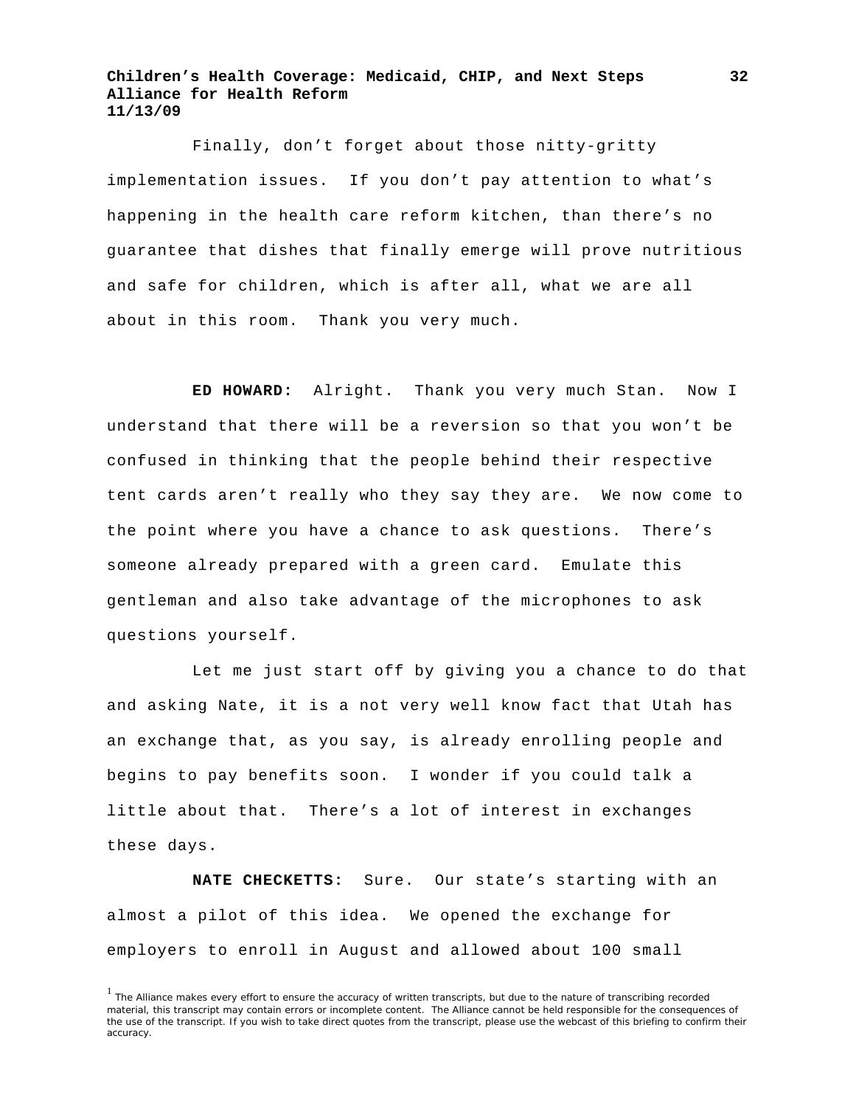Finally, don't forget about those nitty-gritty implementation issues. If you don't pay attention to what's happening in the health care reform kitchen, than there's no guarantee that dishes that finally emerge will prove nutritious and safe for children, which is after all, what we are all about in this room. Thank you very much.

**ED HOWARD:** Alright. Thank you very much Stan.Now I understand that there will be a reversion so that you won't be confused in thinking that the people behind their respective tent cards aren't really who they say they are. We now come to the point where you have a chance to ask questions. There's someone already prepared with a green card. Emulate this gentleman and also take advantage of the microphones to ask questions yourself.

Let me just start off by giving you a chance to do that and asking Nate, it is a not very well know fact that Utah has an exchange that, as you say, is already enrolling people and begins to pay benefits soon. I wonder if you could talk a little about that. There's a lot of interest in exchanges these days.

**NATE CHECKETTS:** Sure. Our state's starting with an almost a pilot of this idea. We opened the exchange for employers to enroll in August and allowed about 100 small

<sup>&</sup>lt;sup>1</sup> The Alliance makes every effort to ensure the accuracy of written transcripts, but due to the nature of transcribing recorded material, this transcript may contain errors or incomplete content. The Alliance cannot be held responsible for the consequences of the use of the transcript. If you wish to take direct quotes from the transcript, please use the webcast of this briefing to confirm their accuracy.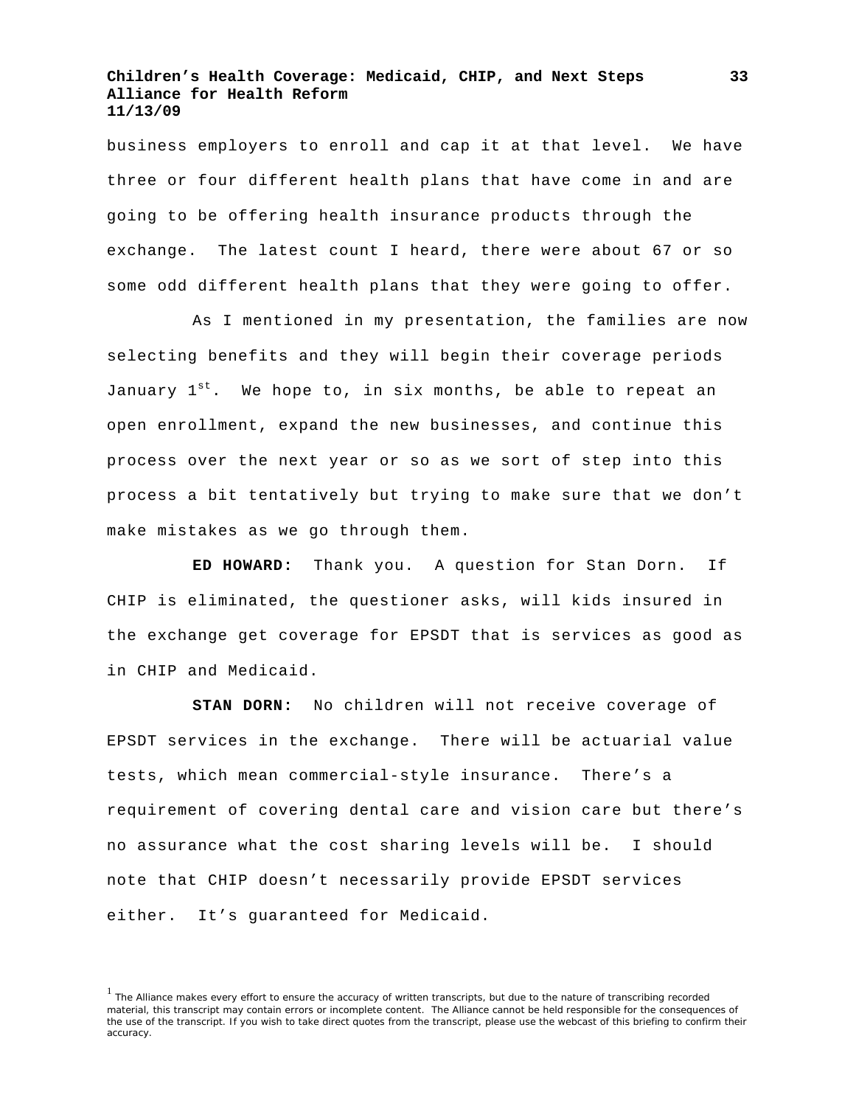business employers to enroll and cap it at that level. We have three or four different health plans that have come in and are going to be offering health insurance products through the exchange. The latest count I heard, there were about 67 or so some odd different health plans that they were going to offer.

As I mentioned in my presentation, the families are now selecting benefits and they will begin their coverage periods January  $1^{st}$ . We hope to, in six months, be able to repeat an open enrollment, expand the new businesses, and continue this process over the next year or so as we sort of step into this process a bit tentatively but trying to make sure that we don't make mistakes as we go through them.

**ED HOWARD:** Thank you. A question for Stan Dorn. If CHIP is eliminated, the questioner asks, will kids insured in the exchange get coverage for EPSDT that is services as good as in CHIP and Medicaid.

**STAN DORN:** No children will not receive coverage of EPSDT services in the exchange. There will be actuarial value tests, which mean commercial-style insurance. There's a requirement of covering dental care and vision care but there's no assurance what the cost sharing levels will be. I should note that CHIP doesn't necessarily provide EPSDT services either. It's guaranteed for Medicaid.

<sup>&</sup>lt;sup>1</sup> The Alliance makes every effort to ensure the accuracy of written transcripts, but due to the nature of transcribing recorded material, this transcript may contain errors or incomplete content. The Alliance cannot be held responsible for the consequences of the use of the transcript. If you wish to take direct quotes from the transcript, please use the webcast of this briefing to confirm their accuracy.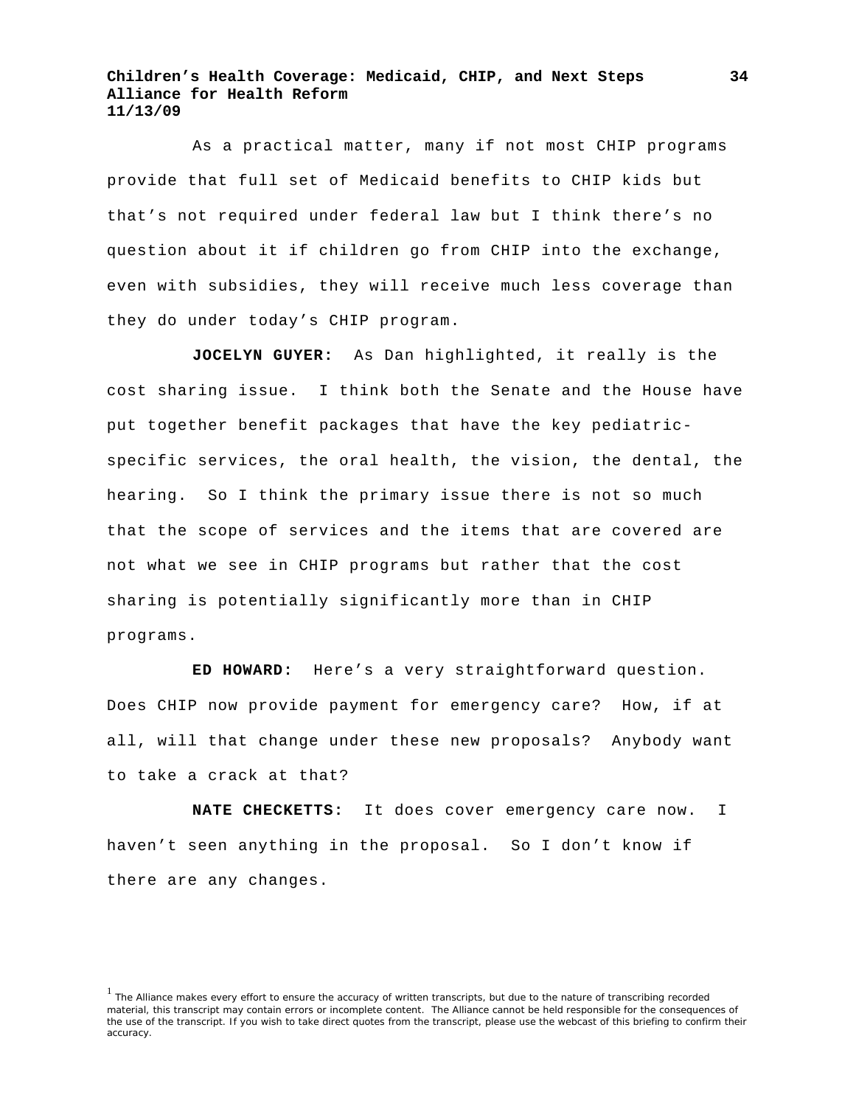As a practical matter, many if not most CHIP programs provide that full set of Medicaid benefits to CHIP kids but that's not required under federal law but I think there's no question about it if children go from CHIP into the exchange, even with subsidies, they will receive much less coverage than they do under today's CHIP program.

**JOCELYN GUYER:** As Dan highlighted, it really is the cost sharing issue. I think both the Senate and the House have put together benefit packages that have the key pediatricspecific services, the oral health, the vision, the dental, the hearing. So I think the primary issue there is not so much that the scope of services and the items that are covered are not what we see in CHIP programs but rather that the cost sharing is potentially significantly more than in CHIP programs.

 **ED HOWARD:** Here's a very straightforward question. Does CHIP now provide payment for emergency care? How, if at all, will that change under these new proposals? Anybody want to take a crack at that?

 **NATE CHECKETTS:** It does cover emergency care now. I haven't seen anything in the proposal. So I don't know if there are any changes.

<sup>&</sup>lt;sup>1</sup> The Alliance makes every effort to ensure the accuracy of written transcripts, but due to the nature of transcribing recorded material, this transcript may contain errors or incomplete content. The Alliance cannot be held responsible for the consequences of the use of the transcript. If you wish to take direct quotes from the transcript, please use the webcast of this briefing to confirm their accuracy.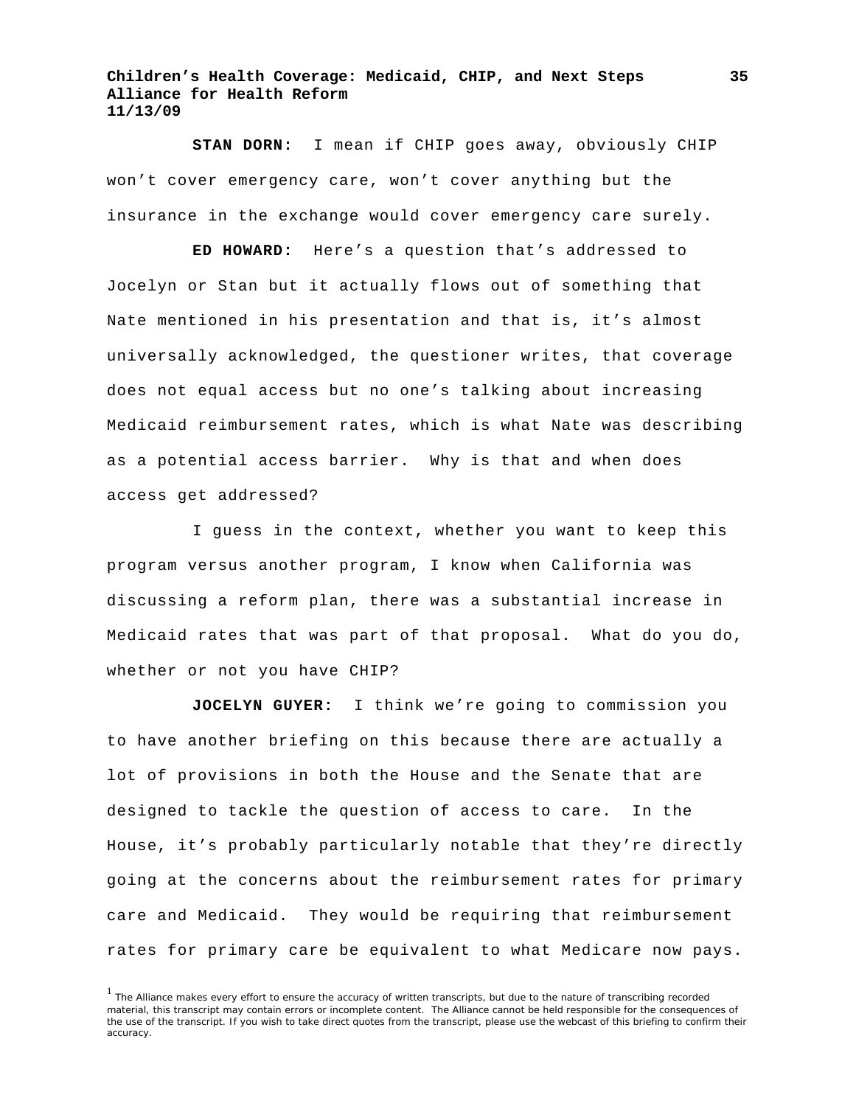**STAN DORN:** I mean if CHIP goes away, obviously CHIP won't cover emergency care, won't cover anything but the insurance in the exchange would cover emergency care surely.

**ED HOWARD:** Here's a question that's addressed to Jocelyn or Stan but it actually flows out of something that Nate mentioned in his presentation and that is, it's almost universally acknowledged, the questioner writes, that coverage does not equal access but no one's talking about increasing Medicaid reimbursement rates, which is what Nate was describing as a potential access barrier. Why is that and when does access get addressed?

I guess in the context, whether you want to keep this program versus another program, I know when California was discussing a reform plan, there was a substantial increase in Medicaid rates that was part of that proposal. What do you do, whether or not you have CHIP?

**JOCELYN GUYER:** I think we're going to commission you to have another briefing on this because there are actually a lot of provisions in both the House and the Senate that are designed to tackle the question of access to care. In the House, it's probably particularly notable that they're directly going at the concerns about the reimbursement rates for primary care and Medicaid. They would be requiring that reimbursement rates for primary care be equivalent to what Medicare now pays.

<sup>&</sup>lt;sup>1</sup> The Alliance makes every effort to ensure the accuracy of written transcripts, but due to the nature of transcribing recorded material, this transcript may contain errors or incomplete content. The Alliance cannot be held responsible for the consequences of the use of the transcript. If you wish to take direct quotes from the transcript, please use the webcast of this briefing to confirm their accuracy.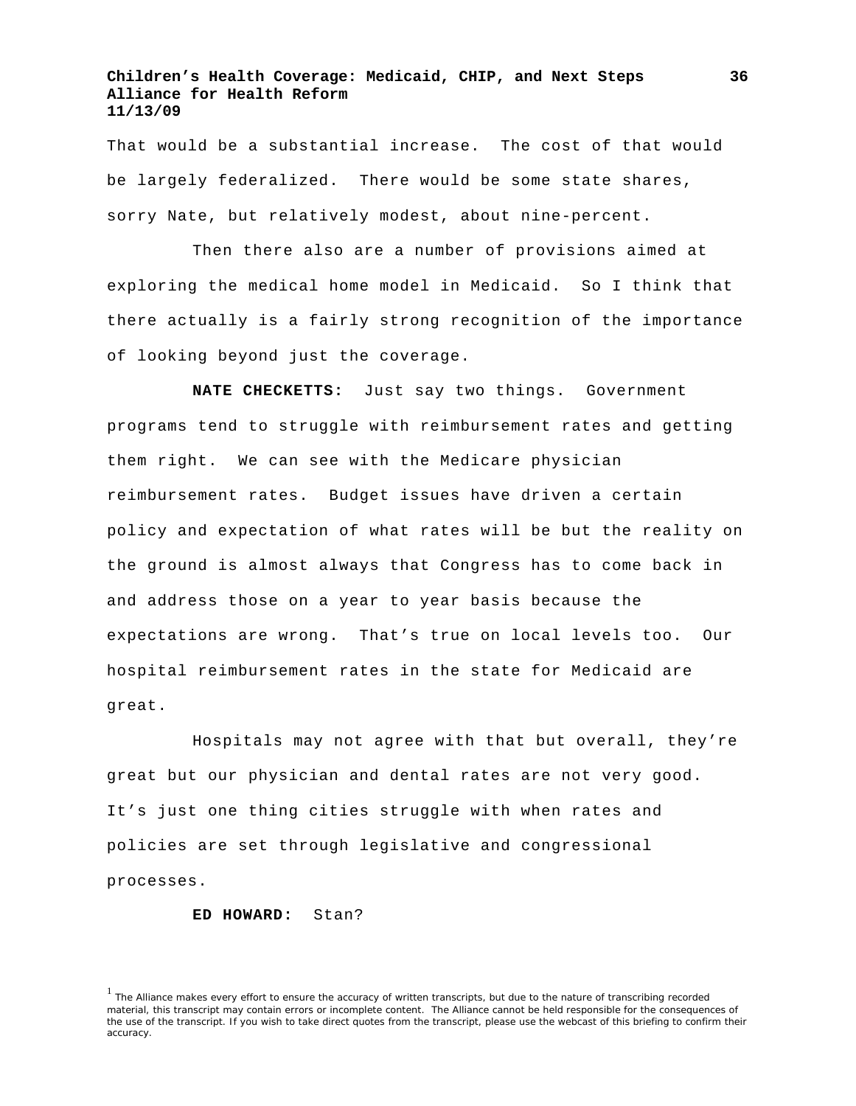That would be a substantial increase. The cost of that would be largely federalized. There would be some state shares, sorry Nate, but relatively modest, about nine-percent.

Then there also are a number of provisions aimed at exploring the medical home model in Medicaid. So I think that there actually is a fairly strong recognition of the importance of looking beyond just the coverage.

**NATE CHECKETTS:** Just say two things. Government programs tend to struggle with reimbursement rates and getting them right. We can see with the Medicare physician reimbursement rates. Budget issues have driven a certain policy and expectation of what rates will be but the reality on the ground is almost always that Congress has to come back in and address those on a year to year basis because the expectations are wrong. That's true on local levels too. Our hospital reimbursement rates in the state for Medicaid are great.

Hospitals may not agree with that but overall, they're great but our physician and dental rates are not very good. It's just one thing cities struggle with when rates and policies are set through legislative and congressional processes.

#### **ED HOWARD:** Stan?

<sup>&</sup>lt;sup>1</sup> The Alliance makes every effort to ensure the accuracy of written transcripts, but due to the nature of transcribing recorded material, this transcript may contain errors or incomplete content. The Alliance cannot be held responsible for the consequences of the use of the transcript. If you wish to take direct quotes from the transcript, please use the webcast of this briefing to confirm their accuracy.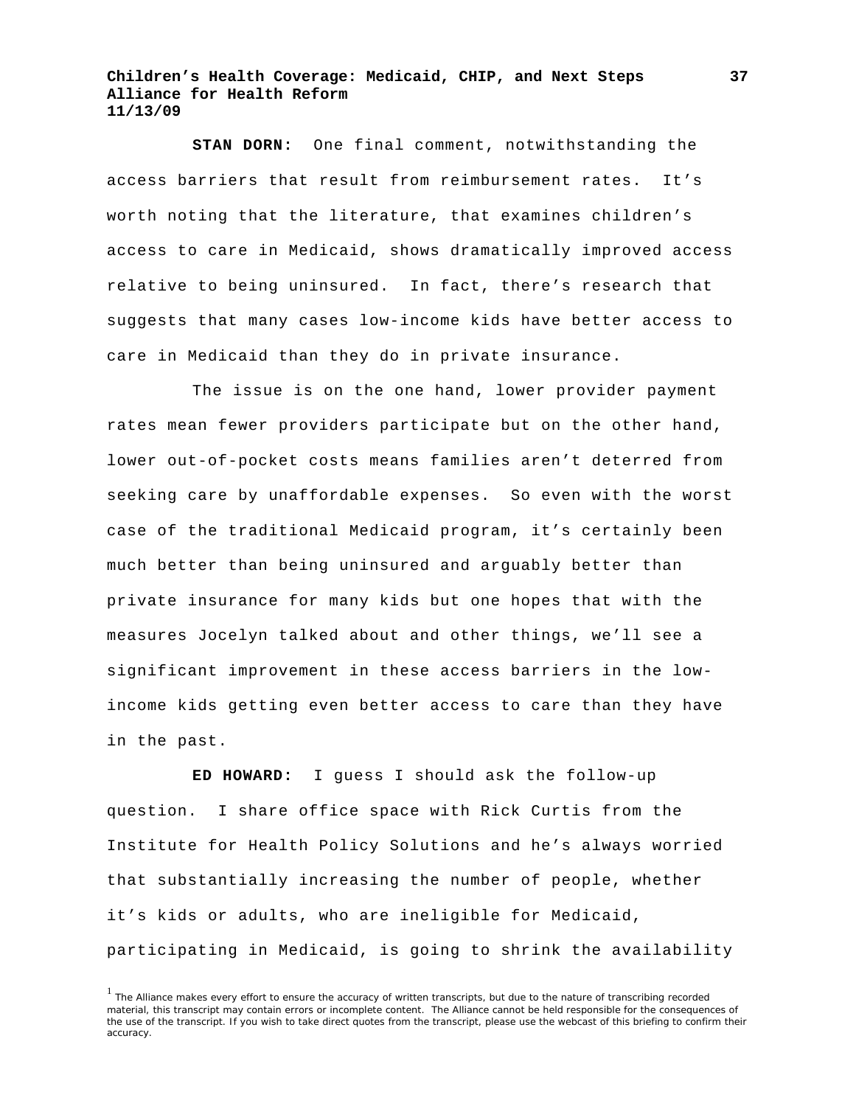**STAN DORN:** One final comment, notwithstanding the access barriers that result from reimbursement rates. It's worth noting that the literature, that examines children's access to care in Medicaid, shows dramatically improved access relative to being uninsured. In fact, there's research that suggests that many cases low-income kids have better access to care in Medicaid than they do in private insurance.

The issue is on the one hand, lower provider payment rates mean fewer providers participate but on the other hand, lower out-of-pocket costs means families aren't deterred from seeking care by unaffordable expenses. So even with the worst case of the traditional Medicaid program, it's certainly been much better than being uninsured and arguably better than private insurance for many kids but one hopes that with the measures Jocelyn talked about and other things, we'll see a significant improvement in these access barriers in the lowincome kids getting even better access to care than they have in the past.

**ED HOWARD:** I guess I should ask the follow-up question. I share office space with Rick Curtis from the Institute for Health Policy Solutions and he's always worried that substantially increasing the number of people, whether it's kids or adults, who are ineligible for Medicaid, participating in Medicaid, is going to shrink the availability

<sup>&</sup>lt;sup>1</sup> The Alliance makes every effort to ensure the accuracy of written transcripts, but due to the nature of transcribing recorded material, this transcript may contain errors or incomplete content. The Alliance cannot be held responsible for the consequences of the use of the transcript. If you wish to take direct quotes from the transcript, please use the webcast of this briefing to confirm their accuracy.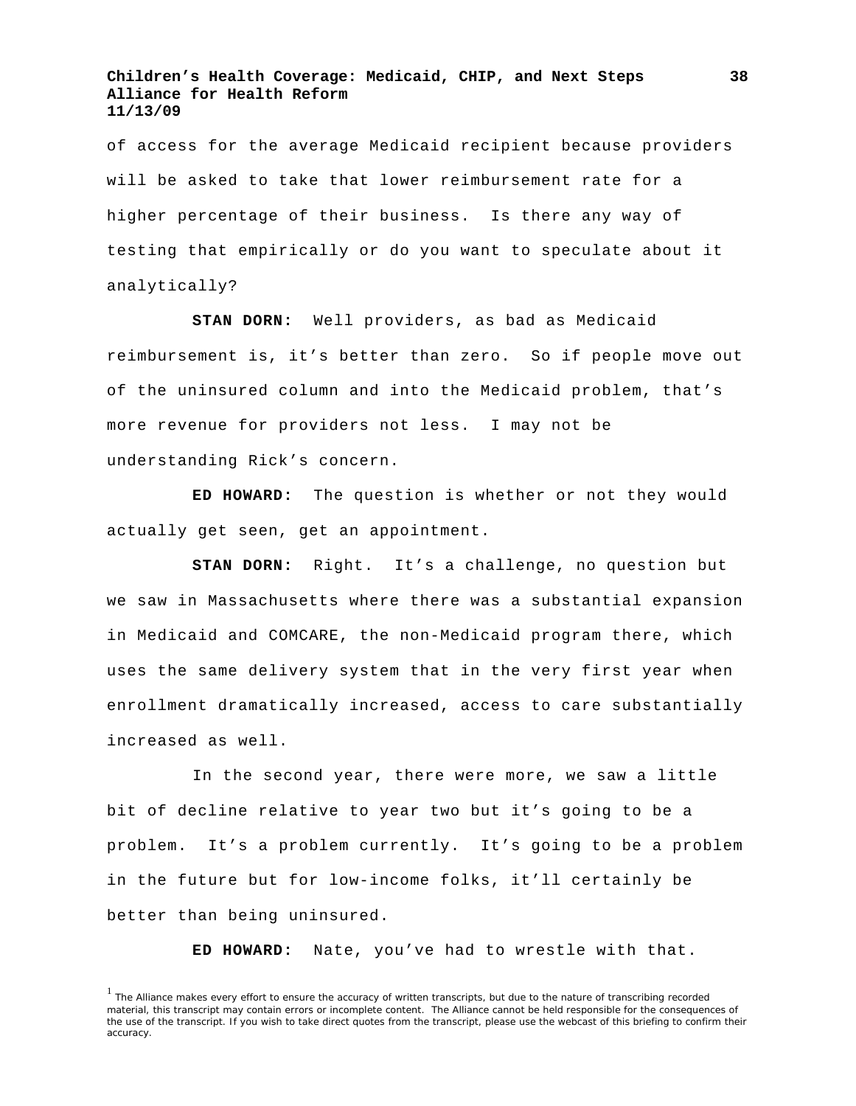of access for the average Medicaid recipient because providers will be asked to take that lower reimbursement rate for a higher percentage of their business. Is there any way of testing that empirically or do you want to speculate about it analytically?

**STAN DORN:** Well providers, as bad as Medicaid reimbursement is, it's better than zero. So if people move out of the uninsured column and into the Medicaid problem, that's more revenue for providers not less. I may not be understanding Rick's concern.

**ED HOWARD:** The question is whether or not they would actually get seen, get an appointment.

**STAN DORN:** Right. It's a challenge, no question but we saw in Massachusetts where there was a substantial expansion in Medicaid and COMCARE, the non-Medicaid program there, which uses the same delivery system that in the very first year when enrollment dramatically increased, access to care substantially increased as well.

In the second year, there were more, we saw a little bit of decline relative to year two but it's going to be a problem. It's a problem currently. It's going to be a problem in the future but for low-income folks, it'll certainly be better than being uninsured.

**ED HOWARD:** Nate, you've had to wrestle with that.

<sup>&</sup>lt;sup>1</sup> The Alliance makes every effort to ensure the accuracy of written transcripts, but due to the nature of transcribing recorded material, this transcript may contain errors or incomplete content. The Alliance cannot be held responsible for the consequences of the use of the transcript. If you wish to take direct quotes from the transcript, please use the webcast of this briefing to confirm their accuracy.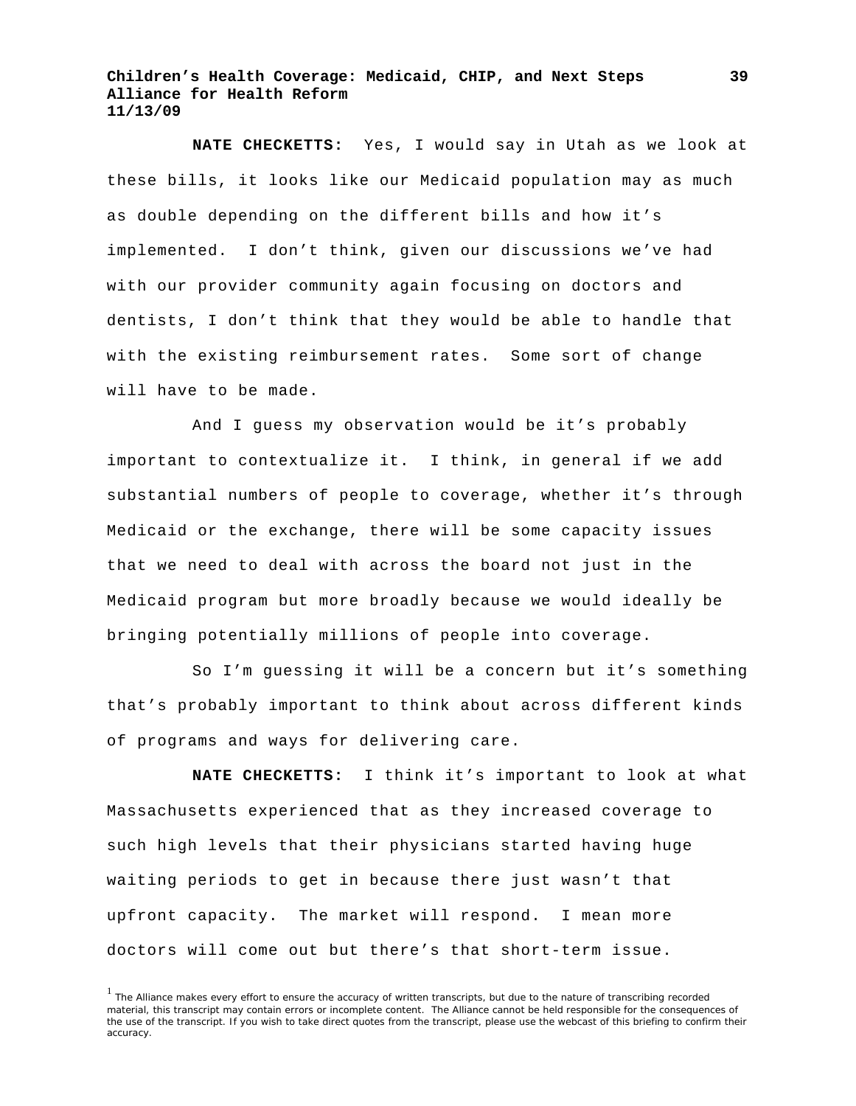**NATE CHECKETTS:** Yes, I would say in Utah as we look at these bills, it looks like our Medicaid population may as much as double depending on the different bills and how it's implemented. I don't think, given our discussions we've had with our provider community again focusing on doctors and dentists, I don't think that they would be able to handle that with the existing reimbursement rates. Some sort of change will have to be made.

And I guess my observation would be it's probably important to contextualize it. I think, in general if we add substantial numbers of people to coverage, whether it's through Medicaid or the exchange, there will be some capacity issues that we need to deal with across the board not just in the Medicaid program but more broadly because we would ideally be bringing potentially millions of people into coverage.

So I'm guessing it will be a concern but it's something that's probably important to think about across different kinds of programs and ways for delivering care.

**NATE CHECKETTS:** I think it's important to look at what Massachusetts experienced that as they increased coverage to such high levels that their physicians started having huge waiting periods to get in because there just wasn't that upfront capacity. The market will respond. I mean more doctors will come out but there's that short-term issue.

<sup>&</sup>lt;sup>1</sup> The Alliance makes every effort to ensure the accuracy of written transcripts, but due to the nature of transcribing recorded material, this transcript may contain errors or incomplete content. The Alliance cannot be held responsible for the consequences of the use of the transcript. If you wish to take direct quotes from the transcript, please use the webcast of this briefing to confirm their accuracy.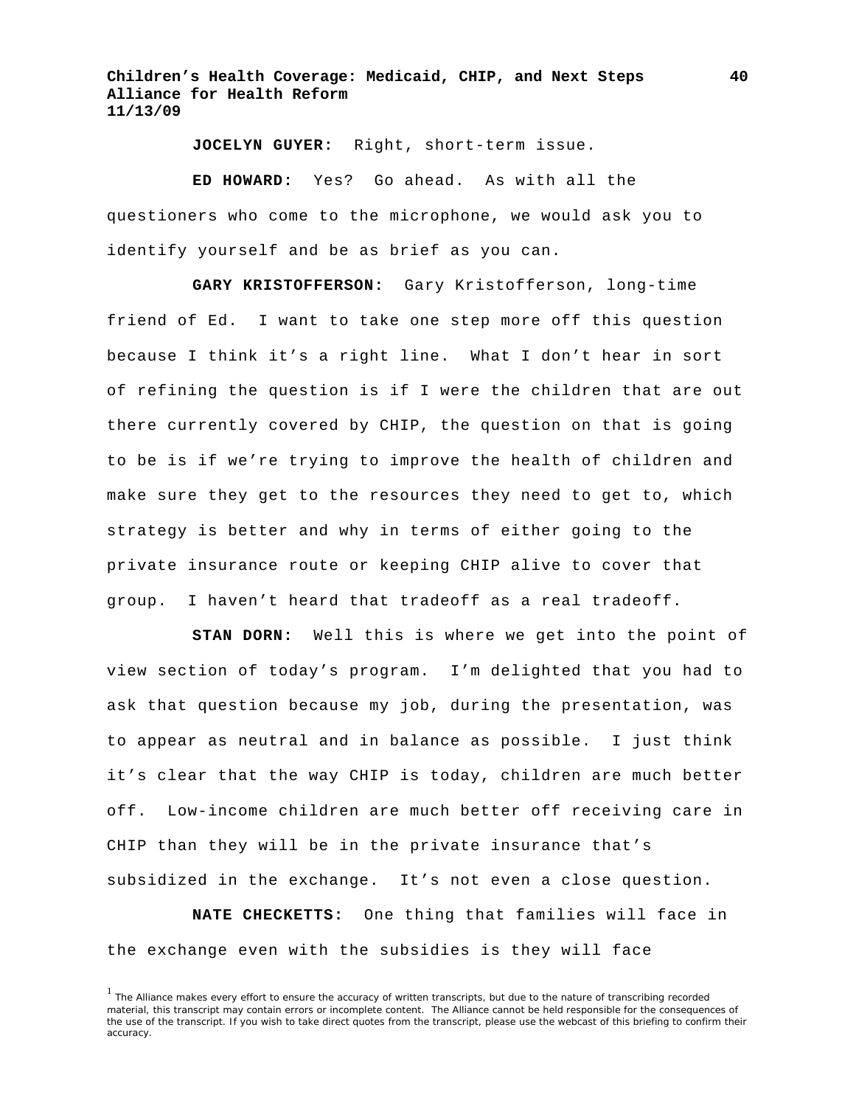**JOCELYN GUYER:** Right, short-term issue.

**ED HOWARD:** Yes? Go ahead. As with all the questioners who come to the microphone, we would ask you to identify yourself and be as brief as you can.

**GARY KRISTOFFERSON:** Gary Kristofferson, long-time friend of Ed. I want to take one step more off this question because I think it's a right line. What I don't hear in sort of refining the question is if I were the children that are out there currently covered by CHIP, the question on that is going to be is if we're trying to improve the health of children and make sure they get to the resources they need to get to, which strategy is better and why in terms of either going to the private insurance route or keeping CHIP alive to cover that group. I haven't heard that tradeoff as a real tradeoff.

**STAN DORN:** Well this is where we get into the point of view section of today's program. I'm delighted that you had to ask that question because my job, during the presentation, was to appear as neutral and in balance as possible. I just think it's clear that the way CHIP is today, children are much better off. Low-income children are much better off receiving care in CHIP than they will be in the private insurance that's subsidized in the exchange. It's not even a close question.

**NATE CHECKETTS:** One thing that families will face in the exchange even with the subsidies is they will face

<sup>&</sup>lt;sup>1</sup> The Alliance makes every effort to ensure the accuracy of written transcripts, but due to the nature of transcribing recorded material, this transcript may contain errors or incomplete content. The Alliance cannot be held responsible for the consequences of the use of the transcript. If you wish to take direct quotes from the transcript, please use the webcast of this briefing to confirm their accuracy.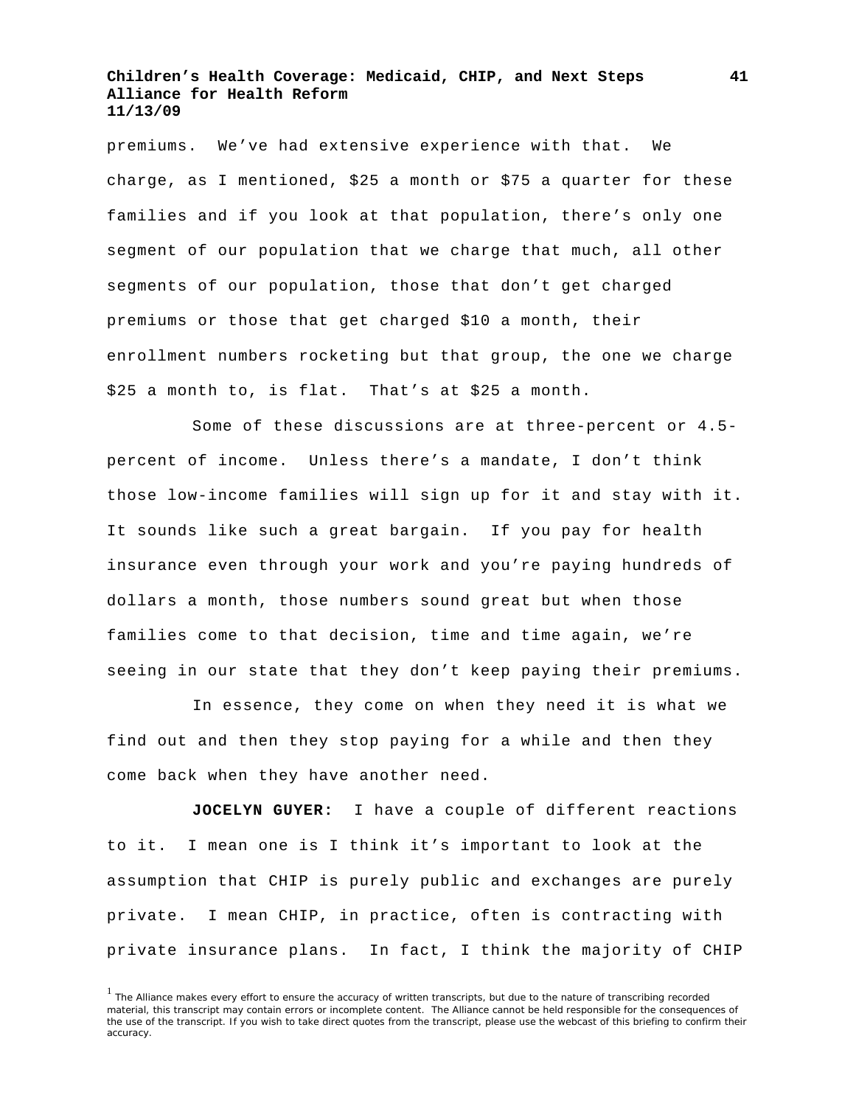premiums. We've had extensive experience with that. We charge, as I mentioned, \$25 a month or \$75 a quarter for these families and if you look at that population, there's only one segment of our population that we charge that much, all other segments of our population, those that don't get charged premiums or those that get charged \$10 a month, their enrollment numbers rocketing but that group, the one we charge \$25 a month to, is flat. That's at \$25 a month.

Some of these discussions are at three-percent or 4.5 percent of income. Unless there's a mandate, I don't think those low-income families will sign up for it and stay with it. It sounds like such a great bargain. If you pay for health insurance even through your work and you're paying hundreds of dollars a month, those numbers sound great but when those families come to that decision, time and time again, we're seeing in our state that they don't keep paying their premiums.

In essence, they come on when they need it is what we find out and then they stop paying for a while and then they come back when they have another need.

**JOCELYN GUYER:** I have a couple of different reactions to it. I mean one is I think it's important to look at the assumption that CHIP is purely public and exchanges are purely private. I mean CHIP, in practice, often is contracting with private insurance plans. In fact, I think the majority of CHIP

<sup>&</sup>lt;sup>1</sup> The Alliance makes every effort to ensure the accuracy of written transcripts, but due to the nature of transcribing recorded material, this transcript may contain errors or incomplete content. The Alliance cannot be held responsible for the consequences of the use of the transcript. If you wish to take direct quotes from the transcript, please use the webcast of this briefing to confirm their accuracy.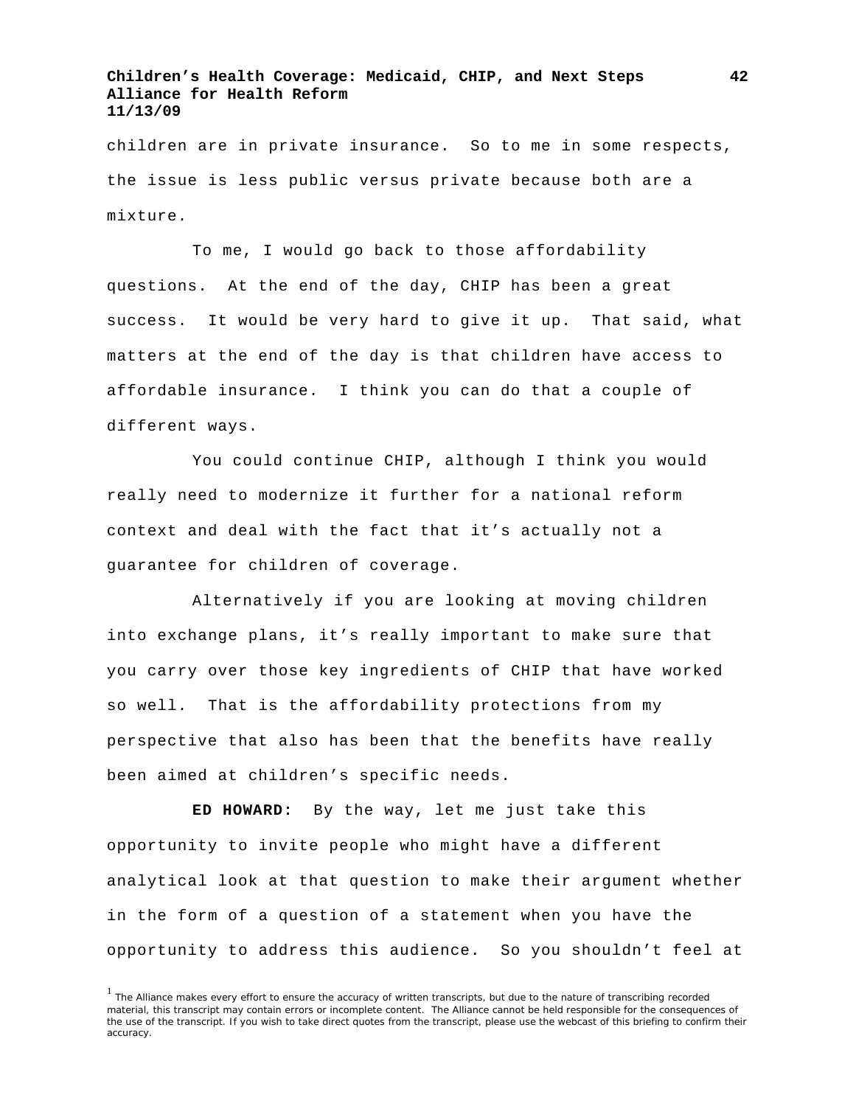children are in private insurance. So to me in some respects, the issue is less public versus private because both are a mixture.

To me, I would go back to those affordability questions. At the end of the day, CHIP has been a great success. It would be very hard to give it up. That said, what matters at the end of the day is that children have access to affordable insurance. I think you can do that a couple of different ways.

You could continue CHIP, although I think you would really need to modernize it further for a national reform context and deal with the fact that it's actually not a guarantee for children of coverage.

Alternatively if you are looking at moving children into exchange plans, it's really important to make sure that you carry over those key ingredients of CHIP that have worked so well. That is the affordability protections from my perspective that also has been that the benefits have really been aimed at children's specific needs.

**ED HOWARD:** By the way, let me just take this opportunity to invite people who might have a different analytical look at that question to make their argument whether in the form of a question of a statement when you have the opportunity to address this audience. So you shouldn't feel at

<sup>&</sup>lt;sup>1</sup> The Alliance makes every effort to ensure the accuracy of written transcripts, but due to the nature of transcribing recorded material, this transcript may contain errors or incomplete content. The Alliance cannot be held responsible for the consequences of the use of the transcript. If you wish to take direct quotes from the transcript, please use the webcast of this briefing to confirm their accuracy.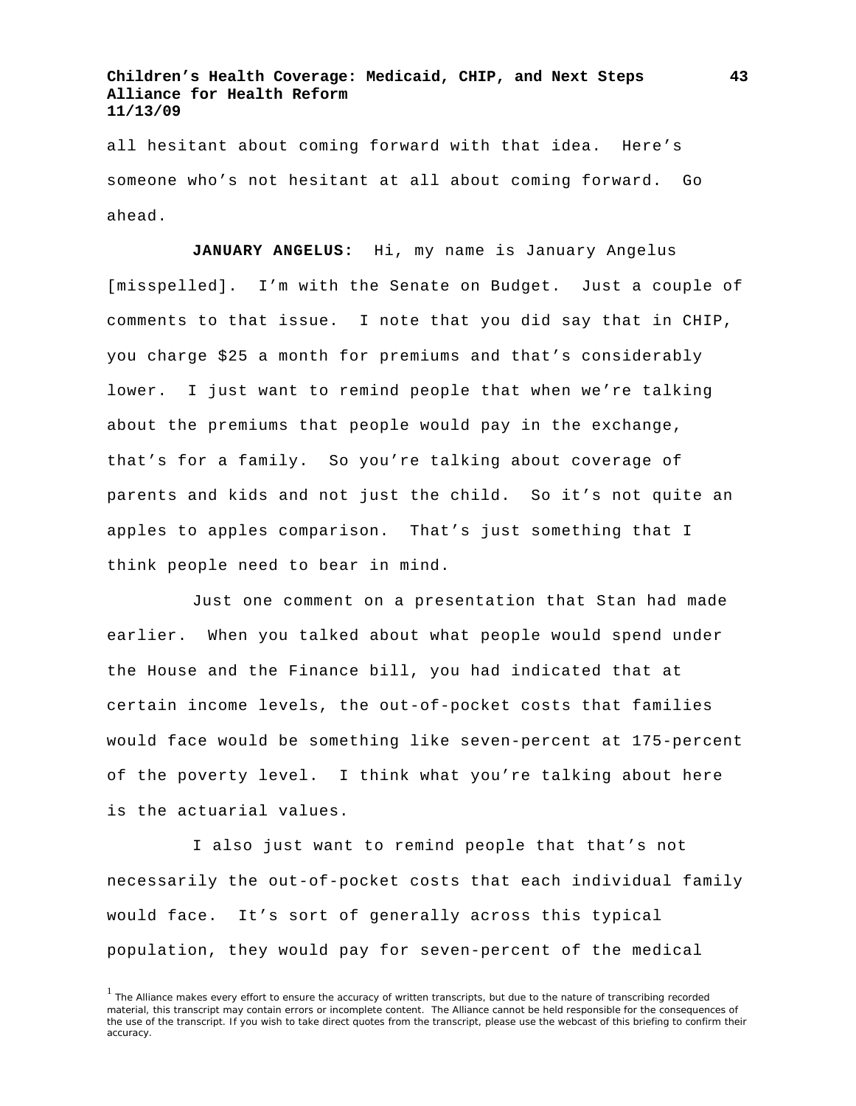all hesitant about coming forward with that idea. Here's someone who's not hesitant at all about coming forward. Go ahead.

**JANUARY ANGELUS:** Hi, my name is January Angelus [misspelled]. I'm with the Senate on Budget. Just a couple of comments to that issue. I note that you did say that in CHIP, you charge \$25 a month for premiums and that's considerably lower. I just want to remind people that when we're talking about the premiums that people would pay in the exchange, that's for a family. So you're talking about coverage of parents and kids and not just the child. So it's not quite an apples to apples comparison. That's just something that I think people need to bear in mind.

Just one comment on a presentation that Stan had made earlier. When you talked about what people would spend under the House and the Finance bill, you had indicated that at certain income levels, the out-of-pocket costs that families would face would be something like seven-percent at 175-percent of the poverty level. I think what you're talking about here is the actuarial values.

I also just want to remind people that that's not necessarily the out-of-pocket costs that each individual family would face. It's sort of generally across this typical population, they would pay for seven-percent of the medical

<sup>&</sup>lt;sup>1</sup> The Alliance makes every effort to ensure the accuracy of written transcripts, but due to the nature of transcribing recorded material, this transcript may contain errors or incomplete content. The Alliance cannot be held responsible for the consequences of the use of the transcript. If you wish to take direct quotes from the transcript, please use the webcast of this briefing to confirm their accuracy.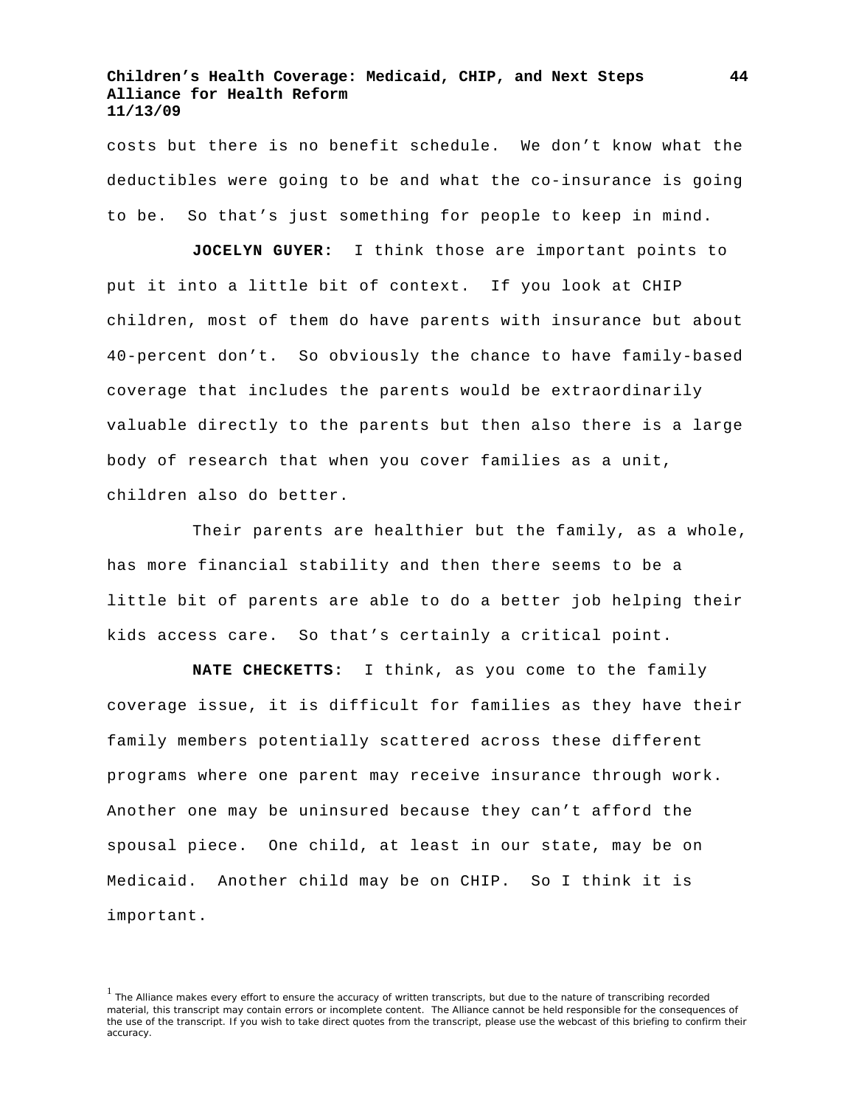costs but there is no benefit schedule. We don't know what the deductibles were going to be and what the co-insurance is going to be. So that's just something for people to keep in mind.

**JOCELYN GUYER:** I think those are important points to put it into a little bit of context. If you look at CHIP children, most of them do have parents with insurance but about 40-percent don't. So obviously the chance to have family-based coverage that includes the parents would be extraordinarily valuable directly to the parents but then also there is a large body of research that when you cover families as a unit, children also do better.

Their parents are healthier but the family, as a whole, has more financial stability and then there seems to be a little bit of parents are able to do a better job helping their kids access care. So that's certainly a critical point.

**NATE CHECKETTS:** I think, as you come to the family coverage issue, it is difficult for families as they have their family members potentially scattered across these different programs where one parent may receive insurance through work. Another one may be uninsured because they can't afford the spousal piece. One child, at least in our state, may be on Medicaid. Another child may be on CHIP. So I think it is important.

<sup>&</sup>lt;sup>1</sup> The Alliance makes every effort to ensure the accuracy of written transcripts, but due to the nature of transcribing recorded material, this transcript may contain errors or incomplete content. The Alliance cannot be held responsible for the consequences of the use of the transcript. If you wish to take direct quotes from the transcript, please use the webcast of this briefing to confirm their accuracy.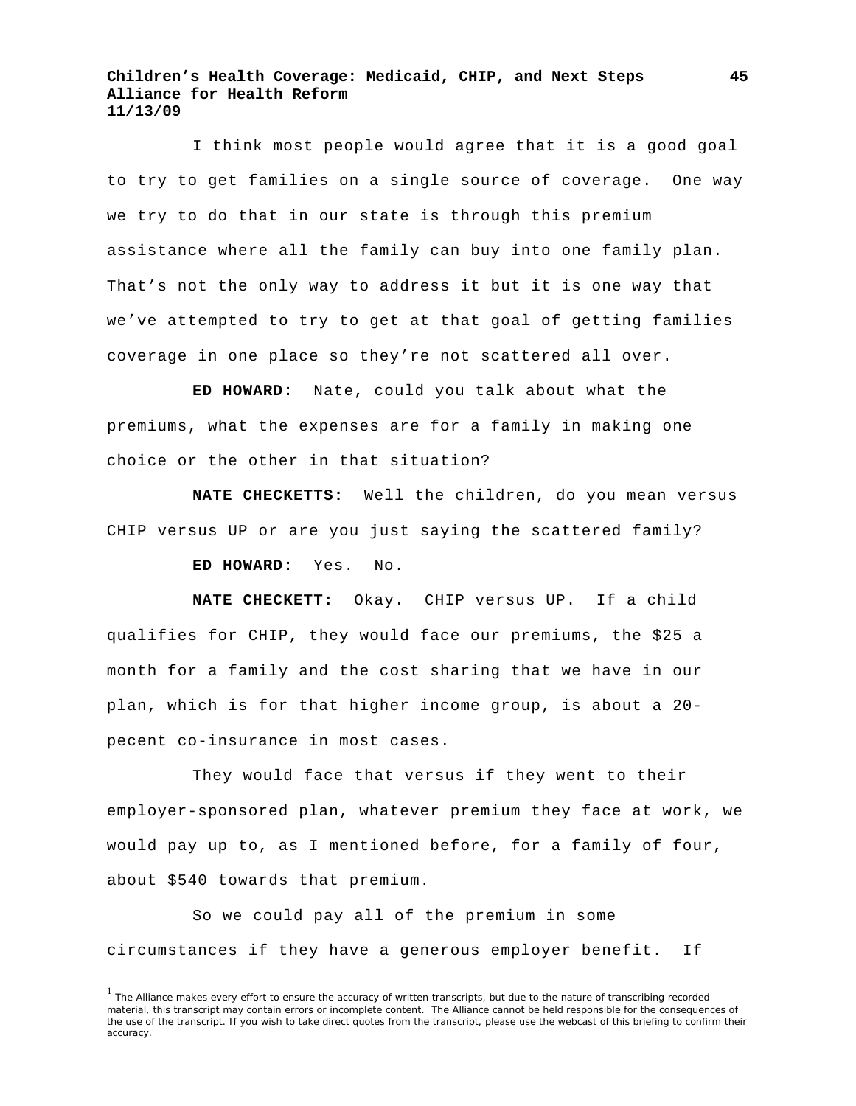I think most people would agree that it is a good goal to try to get families on a single source of coverage. One way we try to do that in our state is through this premium assistance where all the family can buy into one family plan. That's not the only way to address it but it is one way that we've attempted to try to get at that goal of getting families coverage in one place so they're not scattered all over.

**ED HOWARD:** Nate, could you talk about what the premiums, what the expenses are for a family in making one choice or the other in that situation?

**NATE CHECKETTS:** Well the children, do you mean versus CHIP versus UP or are you just saying the scattered family?

**ED HOWARD:** Yes. No.

**NATE CHECKETT:** Okay. CHIP versus UP. If a child qualifies for CHIP, they would face our premiums, the \$25 a month for a family and the cost sharing that we have in our plan, which is for that higher income group, is about a 20 pecent co-insurance in most cases.

They would face that versus if they went to their employer-sponsored plan, whatever premium they face at work, we would pay up to, as I mentioned before, for a family of four, about \$540 towards that premium.

So we could pay all of the premium in some circumstances if they have a generous employer benefit. If

<sup>&</sup>lt;sup>1</sup> The Alliance makes every effort to ensure the accuracy of written transcripts, but due to the nature of transcribing recorded material, this transcript may contain errors or incomplete content. The Alliance cannot be held responsible for the consequences of the use of the transcript. If you wish to take direct quotes from the transcript, please use the webcast of this briefing to confirm their accuracy.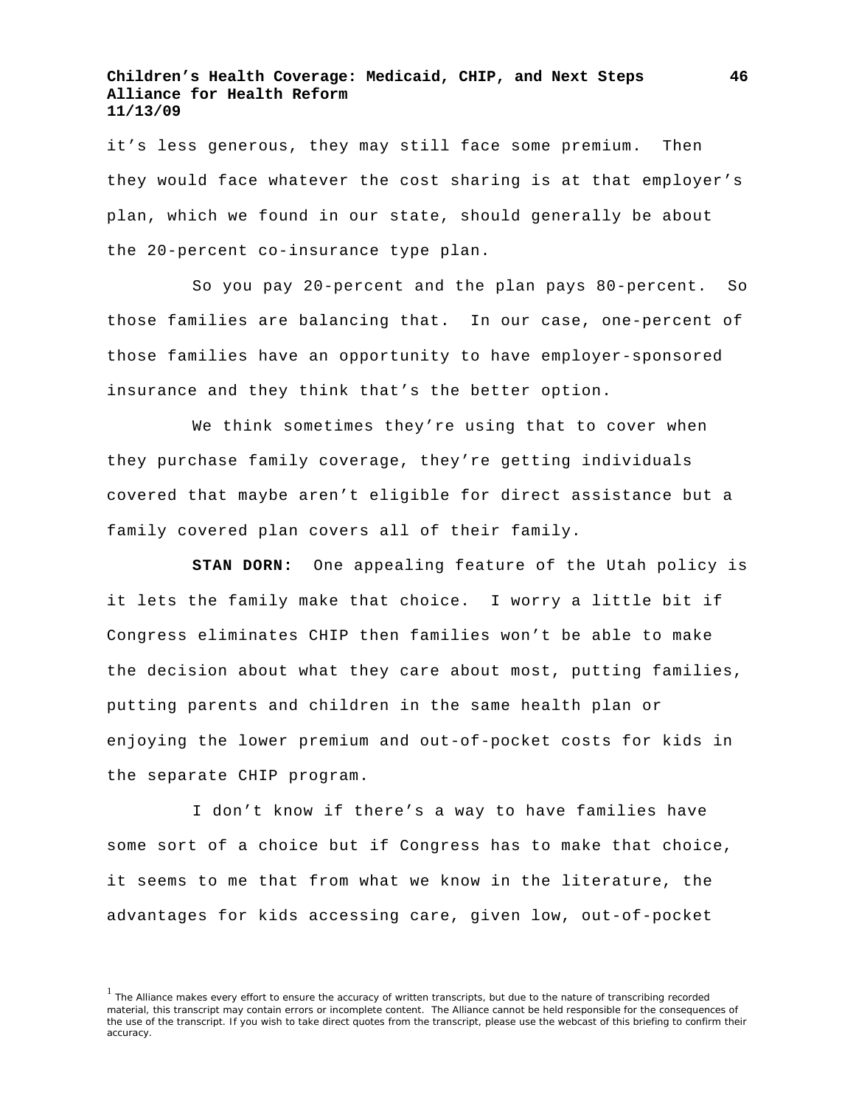it's less generous, they may still face some premium. Then they would face whatever the cost sharing is at that employer's plan, which we found in our state, should generally be about the 20-percent co-insurance type plan.

So you pay 20-percent and the plan pays 80-percent. So those families are balancing that. In our case, one-percent of those families have an opportunity to have employer-sponsored insurance and they think that's the better option.

We think sometimes they're using that to cover when they purchase family coverage, they're getting individuals covered that maybe aren't eligible for direct assistance but a family covered plan covers all of their family.

**STAN DORN:** One appealing feature of the Utah policy is it lets the family make that choice. I worry a little bit if Congress eliminates CHIP then families won't be able to make the decision about what they care about most, putting families, putting parents and children in the same health plan or enjoying the lower premium and out-of-pocket costs for kids in the separate CHIP program.

I don't know if there's a way to have families have some sort of a choice but if Congress has to make that choice, it seems to me that from what we know in the literature, the advantages for kids accessing care, given low, out-of-pocket

<sup>&</sup>lt;sup>1</sup> The Alliance makes every effort to ensure the accuracy of written transcripts, but due to the nature of transcribing recorded material, this transcript may contain errors or incomplete content. The Alliance cannot be held responsible for the consequences of the use of the transcript. If you wish to take direct quotes from the transcript, please use the webcast of this briefing to confirm their accuracy.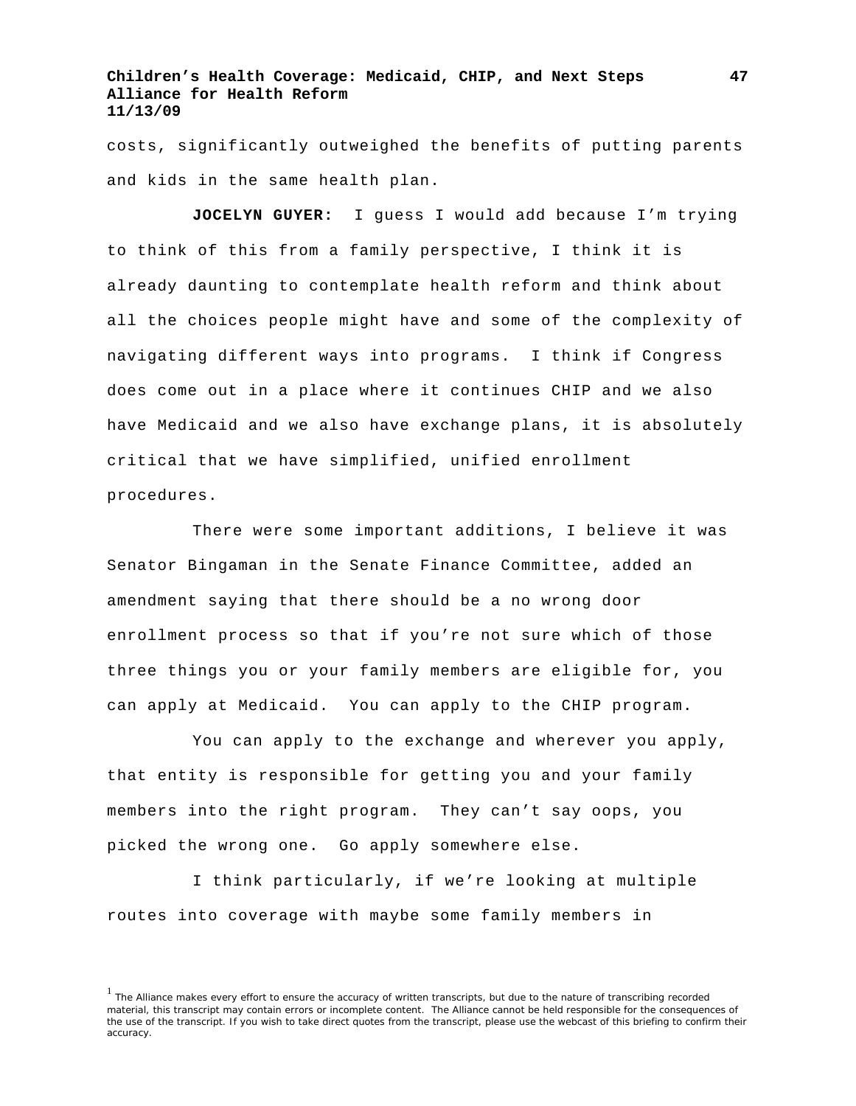costs, significantly outweighed the benefits of putting parents and kids in the same health plan.

**JOCELYN GUYER:** I guess I would add because I'm trying to think of this from a family perspective, I think it is already daunting to contemplate health reform and think about all the choices people might have and some of the complexity of navigating different ways into programs. I think if Congress does come out in a place where it continues CHIP and we also have Medicaid and we also have exchange plans, it is absolutely critical that we have simplified, unified enrollment procedures.

There were some important additions, I believe it was Senator Bingaman in the Senate Finance Committee, added an amendment saying that there should be a no wrong door enrollment process so that if you're not sure which of those three things you or your family members are eligible for, you can apply at Medicaid. You can apply to the CHIP program.

You can apply to the exchange and wherever you apply, that entity is responsible for getting you and your family members into the right program. They can't say oops, you picked the wrong one. Go apply somewhere else.

I think particularly, if we're looking at multiple routes into coverage with maybe some family members in

<sup>&</sup>lt;sup>1</sup> The Alliance makes every effort to ensure the accuracy of written transcripts, but due to the nature of transcribing recorded material, this transcript may contain errors or incomplete content. The Alliance cannot be held responsible for the consequences of the use of the transcript. If you wish to take direct quotes from the transcript, please use the webcast of this briefing to confirm their accuracy.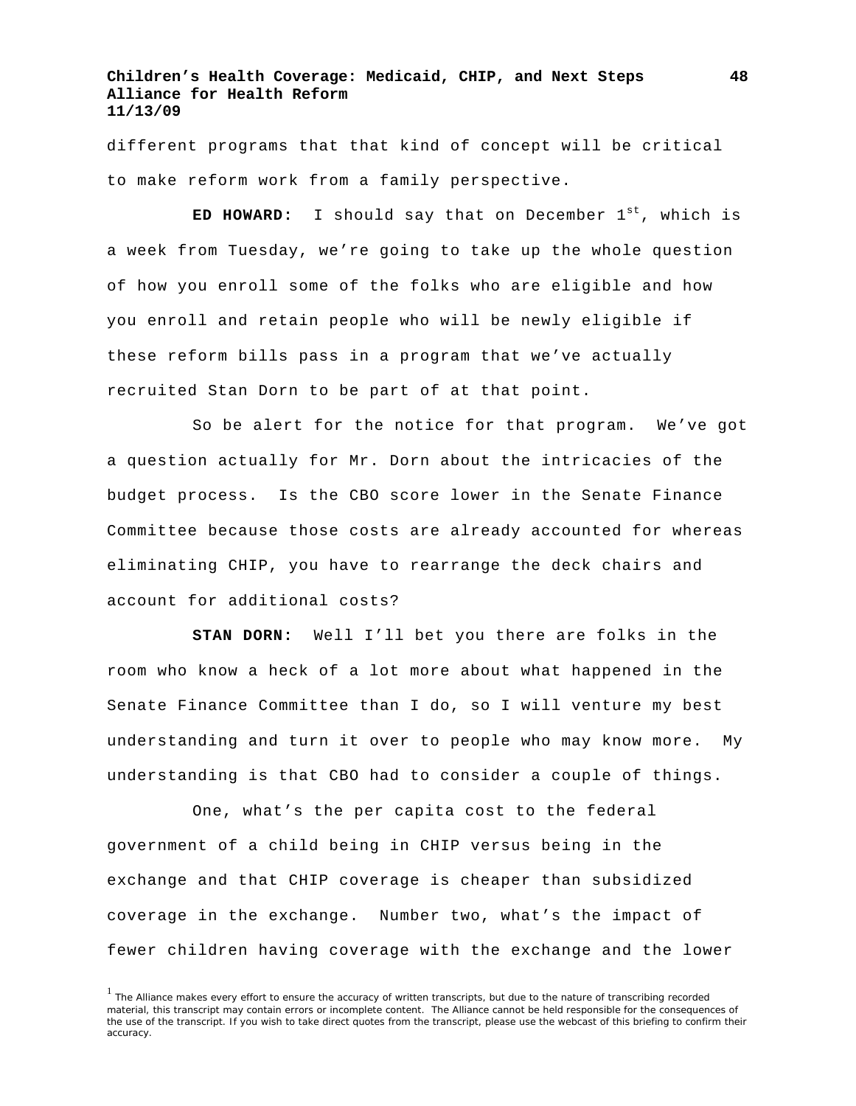different programs that that kind of concept will be critical to make reform work from a family perspective.

**ED HOWARD:** I should say that on December 1st, which is a week from Tuesday, we're going to take up the whole question of how you enroll some of the folks who are eligible and how you enroll and retain people who will be newly eligible if these reform bills pass in a program that we've actually recruited Stan Dorn to be part of at that point.

So be alert for the notice for that program. We've got a question actually for Mr. Dorn about the intricacies of the budget process. Is the CBO score lower in the Senate Finance Committee because those costs are already accounted for whereas eliminating CHIP, you have to rearrange the deck chairs and account for additional costs?

**STAN DORN:** Well I'll bet you there are folks in the room who know a heck of a lot more about what happened in the Senate Finance Committee than I do, so I will venture my best understanding and turn it over to people who may know more. My understanding is that CBO had to consider a couple of things.

One, what's the per capita cost to the federal government of a child being in CHIP versus being in the exchange and that CHIP coverage is cheaper than subsidized coverage in the exchange. Number two, what's the impact of fewer children having coverage with the exchange and the lower

<sup>&</sup>lt;sup>1</sup> The Alliance makes every effort to ensure the accuracy of written transcripts, but due to the nature of transcribing recorded material, this transcript may contain errors or incomplete content. The Alliance cannot be held responsible for the consequences of the use of the transcript. If you wish to take direct quotes from the transcript, please use the webcast of this briefing to confirm their accuracy.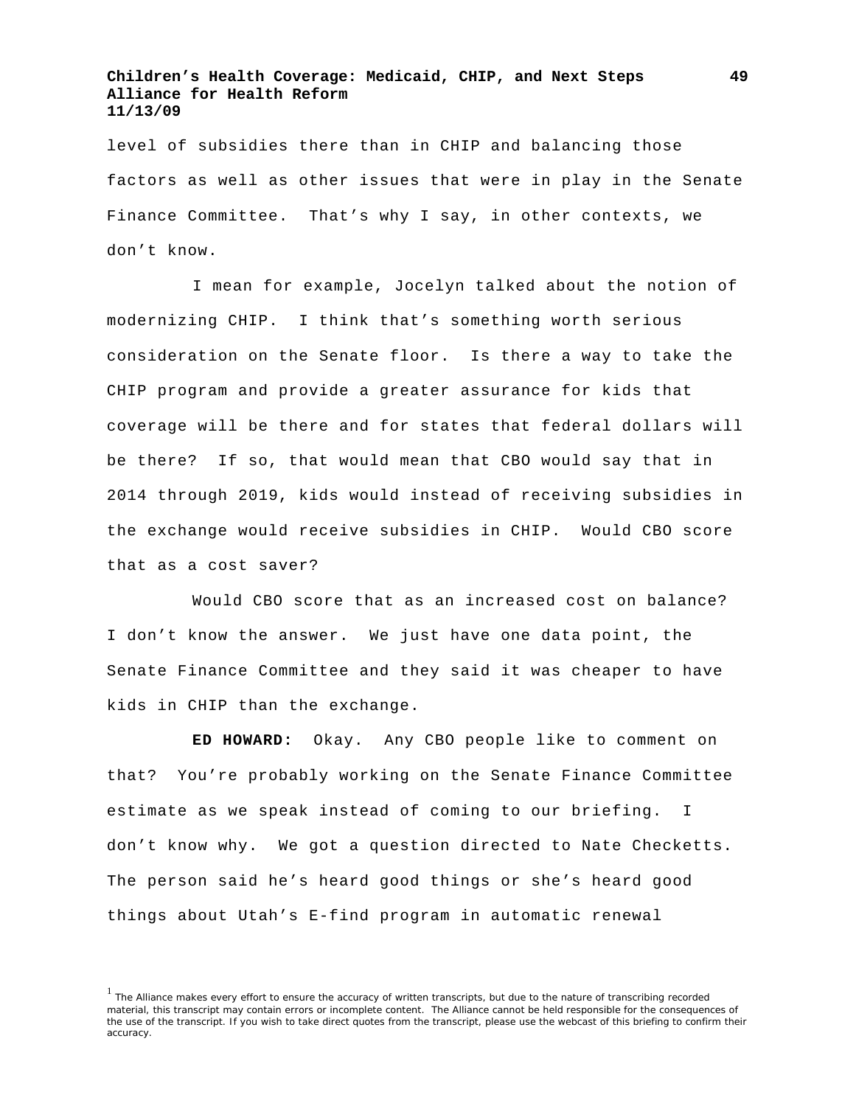level of subsidies there than in CHIP and balancing those factors as well as other issues that were in play in the Senate Finance Committee. That's why I say, in other contexts, we don't know.

I mean for example, Jocelyn talked about the notion of modernizing CHIP. I think that's something worth serious consideration on the Senate floor. Is there a way to take the CHIP program and provide a greater assurance for kids that coverage will be there and for states that federal dollars will be there? If so, that would mean that CBO would say that in 2014 through 2019, kids would instead of receiving subsidies in the exchange would receive subsidies in CHIP. Would CBO score that as a cost saver?

Would CBO score that as an increased cost on balance? I don't know the answer. We just have one data point, the Senate Finance Committee and they said it was cheaper to have kids in CHIP than the exchange.

**ED HOWARD:** Okay. Any CBO people like to comment on that? You're probably working on the Senate Finance Committee estimate as we speak instead of coming to our briefing. I don't know why. We got a question directed to Nate Checketts. The person said he's heard good things or she's heard good things about Utah's E-find program in automatic renewal

<sup>&</sup>lt;sup>1</sup> The Alliance makes every effort to ensure the accuracy of written transcripts, but due to the nature of transcribing recorded material, this transcript may contain errors or incomplete content. The Alliance cannot be held responsible for the consequences of the use of the transcript. If you wish to take direct quotes from the transcript, please use the webcast of this briefing to confirm their accuracy.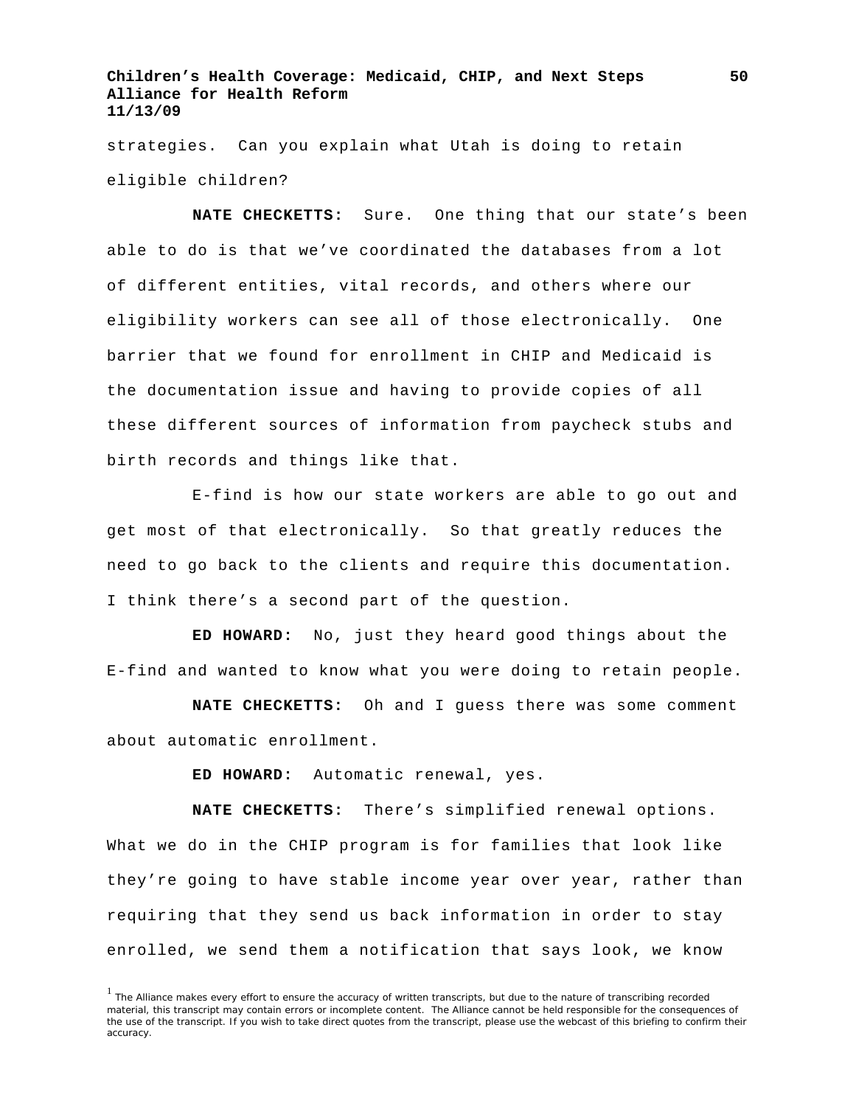strategies. Can you explain what Utah is doing to retain eligible children?

**NATE CHECKETTS:** Sure. One thing that our state's been able to do is that we've coordinated the databases from a lot of different entities, vital records, and others where our eligibility workers can see all of those electronically. One barrier that we found for enrollment in CHIP and Medicaid is the documentation issue and having to provide copies of all these different sources of information from paycheck stubs and birth records and things like that.

E-find is how our state workers are able to go out and get most of that electronically. So that greatly reduces the need to go back to the clients and require this documentation. I think there's a second part of the question.

**ED HOWARD:** No, just they heard good things about the E-find and wanted to know what you were doing to retain people.

**NATE CHECKETTS:** Oh and I guess there was some comment about automatic enrollment.

**ED HOWARD:** Automatic renewal, yes.

**NATE CHECKETTS:** There's simplified renewal options. What we do in the CHIP program is for families that look like they're going to have stable income year over year, rather than requiring that they send us back information in order to stay enrolled, we send them a notification that says look, we know

<sup>&</sup>lt;sup>1</sup> The Alliance makes every effort to ensure the accuracy of written transcripts, but due to the nature of transcribing recorded material, this transcript may contain errors or incomplete content. The Alliance cannot be held responsible for the consequences of the use of the transcript. If you wish to take direct quotes from the transcript, please use the webcast of this briefing to confirm their accuracy.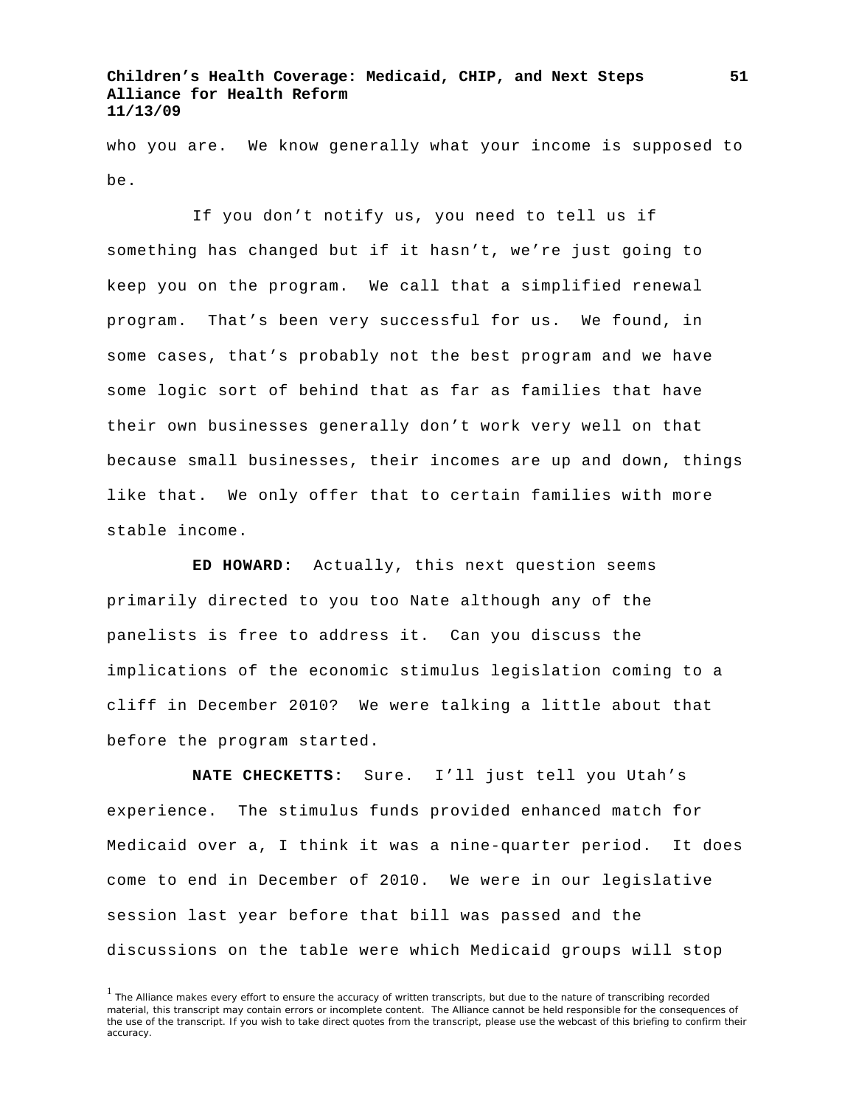who you are. We know generally what your income is supposed to be.

If you don't notify us, you need to tell us if something has changed but if it hasn't, we're just going to keep you on the program. We call that a simplified renewal program. That's been very successful for us. We found, in some cases, that's probably not the best program and we have some logic sort of behind that as far as families that have their own businesses generally don't work very well on that because small businesses, their incomes are up and down, things like that. We only offer that to certain families with more stable income.

**ED HOWARD:** Actually, this next question seems primarily directed to you too Nate although any of the panelists is free to address it. Can you discuss the implications of the economic stimulus legislation coming to a cliff in December 2010? We were talking a little about that before the program started.

**NATE CHECKETTS:** Sure. I'll just tell you Utah's experience. The stimulus funds provided enhanced match for Medicaid over a, I think it was a nine-quarter period. It does come to end in December of 2010. We were in our legislative session last year before that bill was passed and the discussions on the table were which Medicaid groups will stop

<sup>&</sup>lt;sup>1</sup> The Alliance makes every effort to ensure the accuracy of written transcripts, but due to the nature of transcribing recorded material, this transcript may contain errors or incomplete content. The Alliance cannot be held responsible for the consequences of the use of the transcript. If you wish to take direct quotes from the transcript, please use the webcast of this briefing to confirm their accuracy.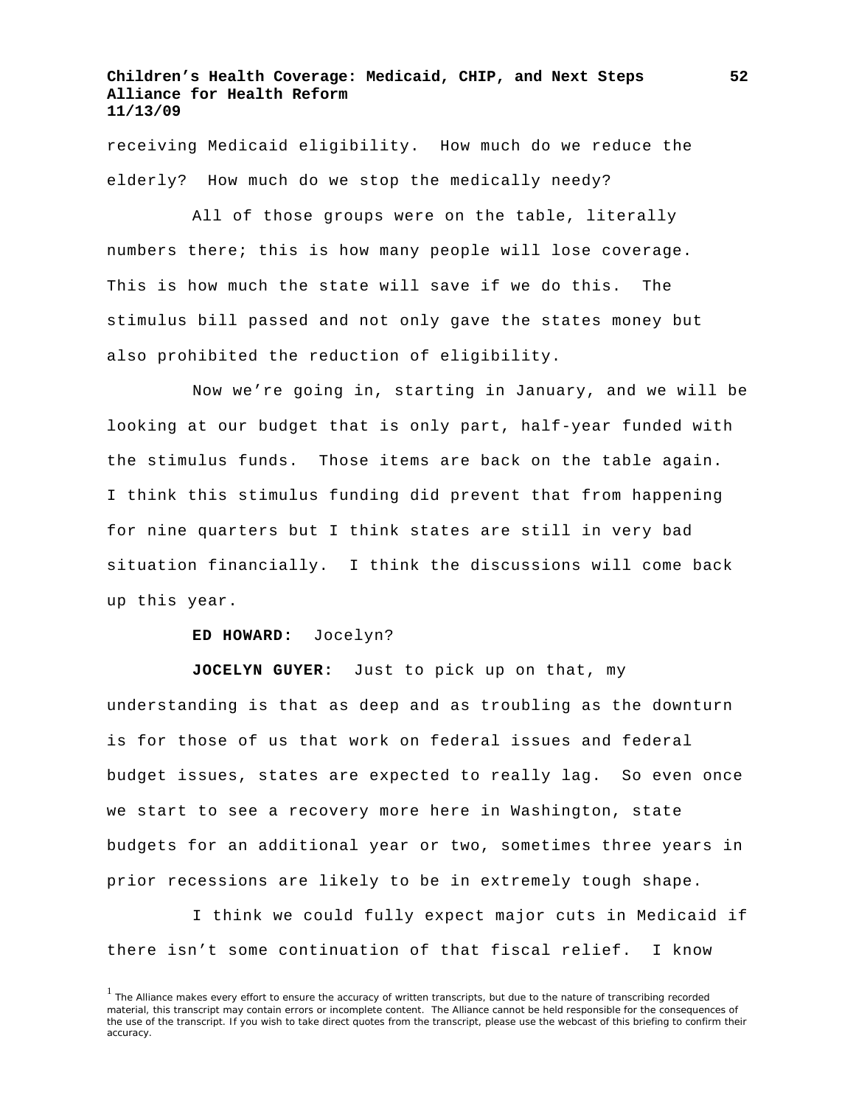receiving Medicaid eligibility. How much do we reduce the elderly? How much do we stop the medically needy?

All of those groups were on the table, literally numbers there; this is how many people will lose coverage. This is how much the state will save if we do this. The stimulus bill passed and not only gave the states money but also prohibited the reduction of eligibility.

Now we're going in, starting in January, and we will be looking at our budget that is only part, half-year funded with the stimulus funds. Those items are back on the table again. I think this stimulus funding did prevent that from happening for nine quarters but I think states are still in very bad situation financially. I think the discussions will come back up this year.

#### **ED HOWARD:** Jocelyn?

**JOCELYN GUYER:** Just to pick up on that, my understanding is that as deep and as troubling as the downturn is for those of us that work on federal issues and federal budget issues, states are expected to really lag. So even once we start to see a recovery more here in Washington, state budgets for an additional year or two, sometimes three years in prior recessions are likely to be in extremely tough shape.

I think we could fully expect major cuts in Medicaid if there isn't some continuation of that fiscal relief. I know

<sup>&</sup>lt;sup>1</sup> The Alliance makes every effort to ensure the accuracy of written transcripts, but due to the nature of transcribing recorded material, this transcript may contain errors or incomplete content. The Alliance cannot be held responsible for the consequences of the use of the transcript. If you wish to take direct quotes from the transcript, please use the webcast of this briefing to confirm their accuracy.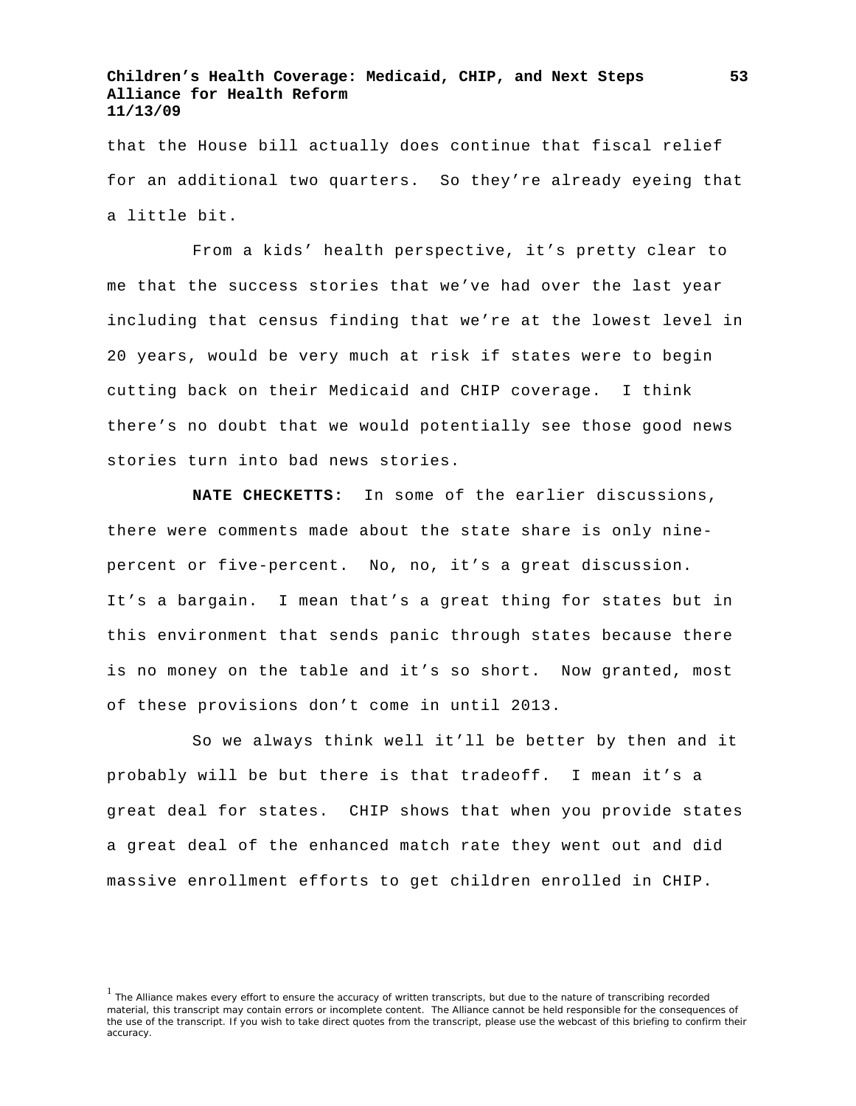that the House bill actually does continue that fiscal relief for an additional two quarters. So they're already eyeing that a little bit.

From a kids' health perspective, it's pretty clear to me that the success stories that we've had over the last year including that census finding that we're at the lowest level in 20 years, would be very much at risk if states were to begin cutting back on their Medicaid and CHIP coverage. I think there's no doubt that we would potentially see those good news stories turn into bad news stories.

**NATE CHECKETTS:** In some of the earlier discussions, there were comments made about the state share is only ninepercent or five-percent. No, no, it's a great discussion. It's a bargain. I mean that's a great thing for states but in this environment that sends panic through states because there is no money on the table and it's so short. Now granted, most of these provisions don't come in until 2013.

So we always think well it'll be better by then and it probably will be but there is that tradeoff. I mean it's a great deal for states. CHIP shows that when you provide states a great deal of the enhanced match rate they went out and did massive enrollment efforts to get children enrolled in CHIP.

<sup>&</sup>lt;sup>1</sup> The Alliance makes every effort to ensure the accuracy of written transcripts, but due to the nature of transcribing recorded material, this transcript may contain errors or incomplete content. The Alliance cannot be held responsible for the consequences of the use of the transcript. If you wish to take direct quotes from the transcript, please use the webcast of this briefing to confirm their accuracy.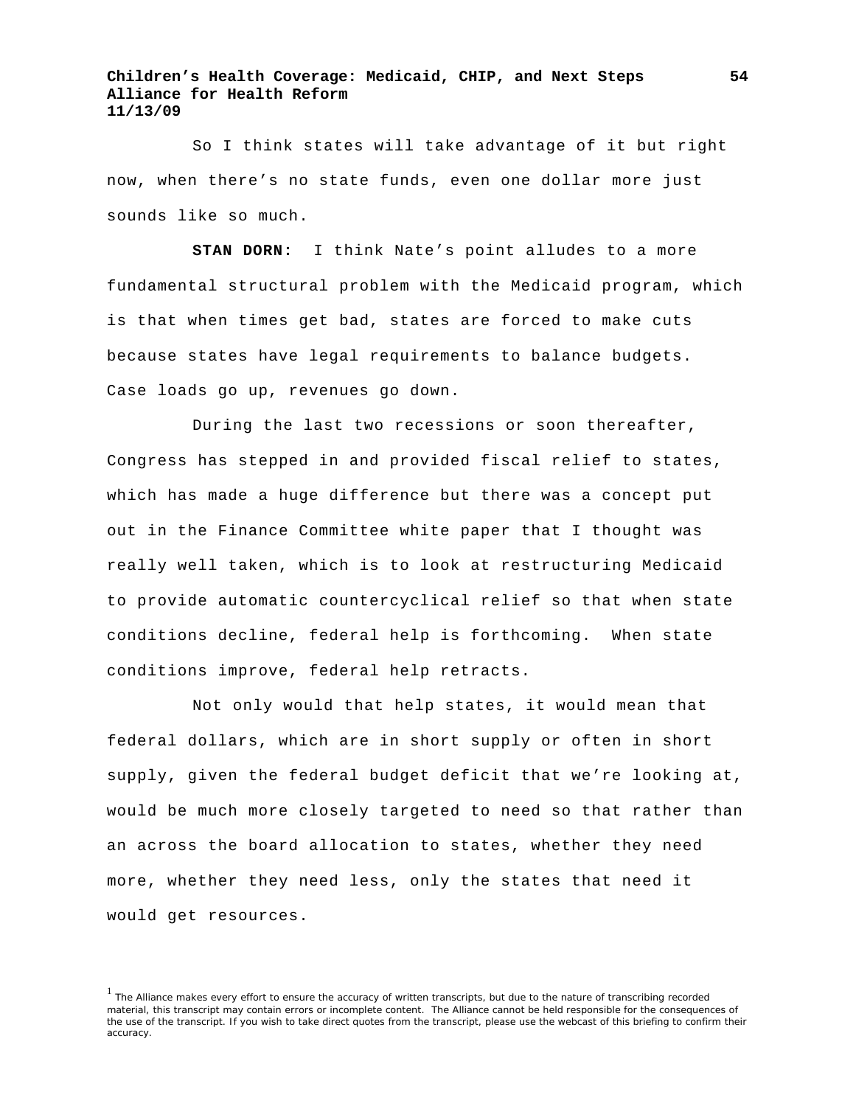So I think states will take advantage of it but right now, when there's no state funds, even one dollar more just sounds like so much.

**STAN DORN:** I think Nate's point alludes to a more fundamental structural problem with the Medicaid program, which is that when times get bad, states are forced to make cuts because states have legal requirements to balance budgets. Case loads go up, revenues go down.

During the last two recessions or soon thereafter, Congress has stepped in and provided fiscal relief to states, which has made a huge difference but there was a concept put out in the Finance Committee white paper that I thought was really well taken, which is to look at restructuring Medicaid to provide automatic countercyclical relief so that when state conditions decline, federal help is forthcoming. When state conditions improve, federal help retracts.

Not only would that help states, it would mean that federal dollars, which are in short supply or often in short supply, given the federal budget deficit that we're looking at, would be much more closely targeted to need so that rather than an across the board allocation to states, whether they need more, whether they need less, only the states that need it would get resources.

<sup>&</sup>lt;sup>1</sup> The Alliance makes every effort to ensure the accuracy of written transcripts, but due to the nature of transcribing recorded material, this transcript may contain errors or incomplete content. The Alliance cannot be held responsible for the consequences of the use of the transcript. If you wish to take direct quotes from the transcript, please use the webcast of this briefing to confirm their accuracy.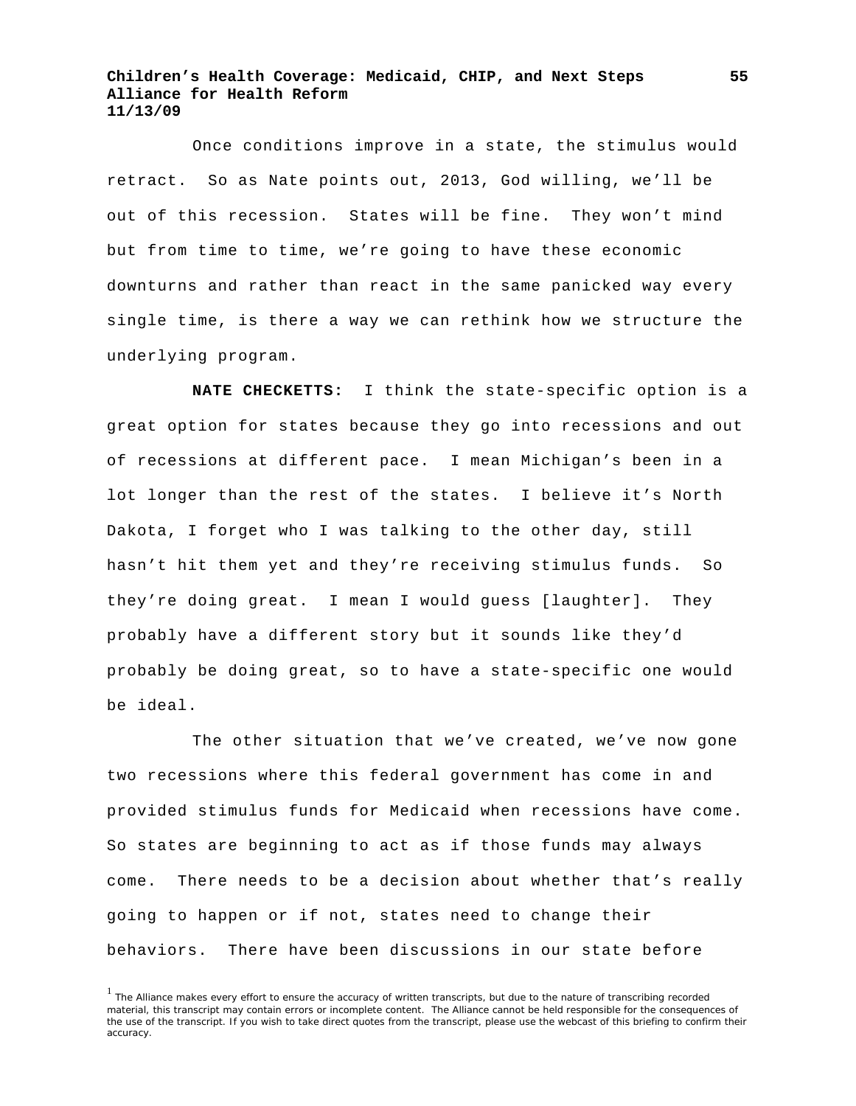Once conditions improve in a state, the stimulus would retract. So as Nate points out, 2013, God willing, we'll be out of this recession. States will be fine. They won't mind but from time to time, we're going to have these economic downturns and rather than react in the same panicked way every single time, is there a way we can rethink how we structure the underlying program.

**NATE CHECKETTS:** I think the state-specific option is a great option for states because they go into recessions and out of recessions at different pace. I mean Michigan's been in a lot longer than the rest of the states. I believe it's North Dakota, I forget who I was talking to the other day, still hasn't hit them yet and they're receiving stimulus funds. So they're doing great. I mean I would guess [laughter]. They probably have a different story but it sounds like they'd probably be doing great, so to have a state-specific one would be ideal.

The other situation that we've created, we've now gone two recessions where this federal government has come in and provided stimulus funds for Medicaid when recessions have come. So states are beginning to act as if those funds may always come. There needs to be a decision about whether that's really going to happen or if not, states need to change their behaviors. There have been discussions in our state before

<sup>1</sup> The Alliance makes every effort to ensure the accuracy of written transcripts, but due to the nature of transcribing recorded material, this transcript may contain errors or incomplete content. The Alliance cannot be held responsible for the consequences of the use of the transcript. If you wish to take direct quotes from the transcript, please use the webcast of this briefing to confirm their accuracy.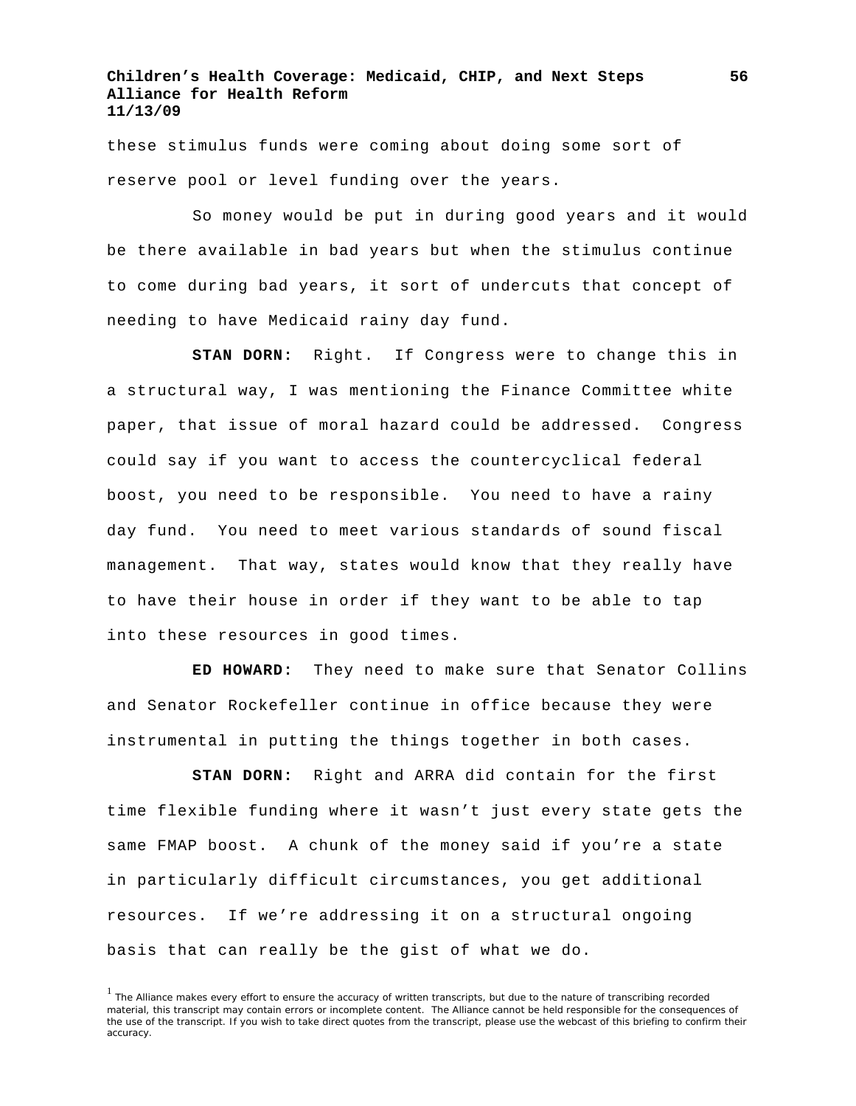these stimulus funds were coming about doing some sort of reserve pool or level funding over the years.

So money would be put in during good years and it would be there available in bad years but when the stimulus continue to come during bad years, it sort of undercuts that concept of needing to have Medicaid rainy day fund.

**STAN DORN:** Right. If Congress were to change this in a structural way, I was mentioning the Finance Committee white paper, that issue of moral hazard could be addressed. Congress could say if you want to access the countercyclical federal boost, you need to be responsible. You need to have a rainy day fund. You need to meet various standards of sound fiscal management. That way, states would know that they really have to have their house in order if they want to be able to tap into these resources in good times.

**ED HOWARD:** They need to make sure that Senator Collins and Senator Rockefeller continue in office because they were instrumental in putting the things together in both cases.

**STAN DORN:** Right and ARRA did contain for the first time flexible funding where it wasn't just every state gets the same FMAP boost. A chunk of the money said if you're a state in particularly difficult circumstances, you get additional resources. If we're addressing it on a structural ongoing basis that can really be the gist of what we do.

<sup>&</sup>lt;sup>1</sup> The Alliance makes every effort to ensure the accuracy of written transcripts, but due to the nature of transcribing recorded material, this transcript may contain errors or incomplete content. The Alliance cannot be held responsible for the consequences of the use of the transcript. If you wish to take direct quotes from the transcript, please use the webcast of this briefing to confirm their accuracy.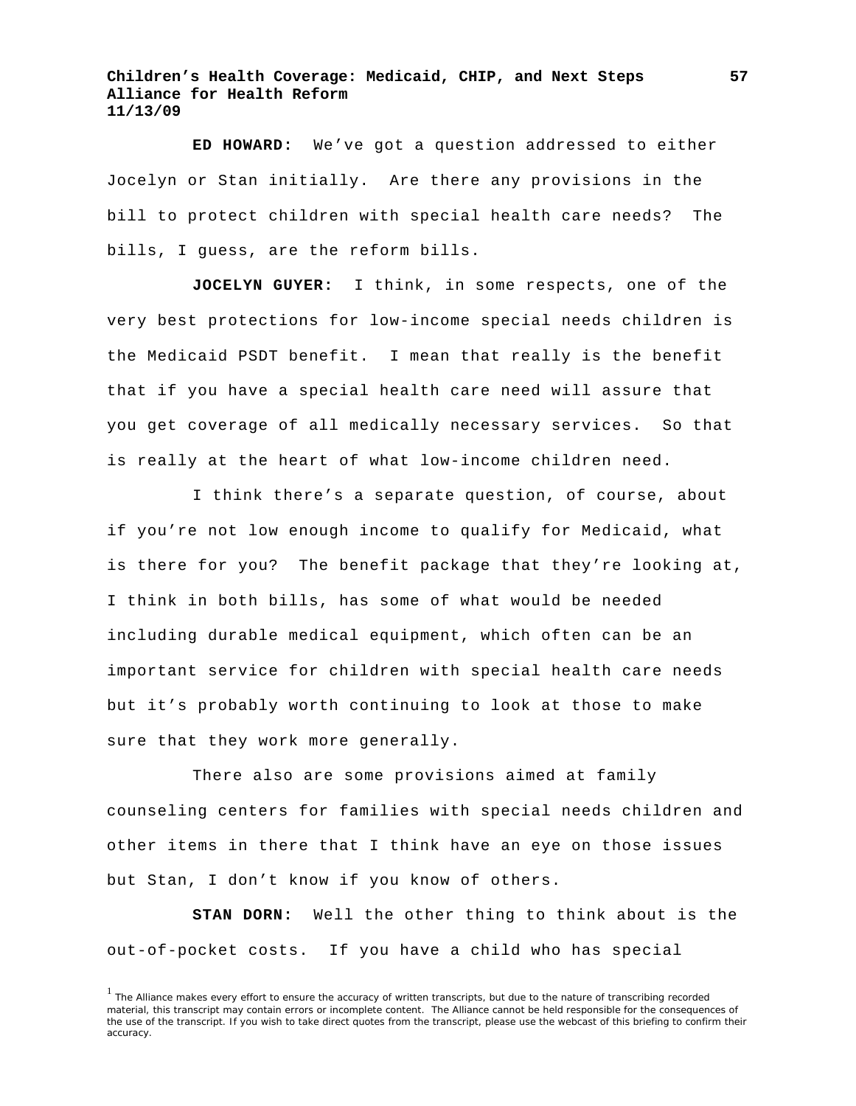**ED HOWARD:** We've got a question addressed to either Jocelyn or Stan initially. Are there any provisions in the bill to protect children with special health care needs? The bills, I guess, are the reform bills.

**JOCELYN GUYER:** I think, in some respects, one of the very best protections for low-income special needs children is the Medicaid PSDT benefit. I mean that really is the benefit that if you have a special health care need will assure that you get coverage of all medically necessary services. So that is really at the heart of what low-income children need.

I think there's a separate question, of course, about if you're not low enough income to qualify for Medicaid, what is there for you? The benefit package that they're looking at, I think in both bills, has some of what would be needed including durable medical equipment, which often can be an important service for children with special health care needs but it's probably worth continuing to look at those to make sure that they work more generally.

There also are some provisions aimed at family counseling centers for families with special needs children and other items in there that I think have an eye on those issues but Stan, I don't know if you know of others.

**STAN DORN:** Well the other thing to think about is the out-of-pocket costs. If you have a child who has special

<sup>&</sup>lt;sup>1</sup> The Alliance makes every effort to ensure the accuracy of written transcripts, but due to the nature of transcribing recorded material, this transcript may contain errors or incomplete content. The Alliance cannot be held responsible for the consequences of the use of the transcript. If you wish to take direct quotes from the transcript, please use the webcast of this briefing to confirm their accuracy.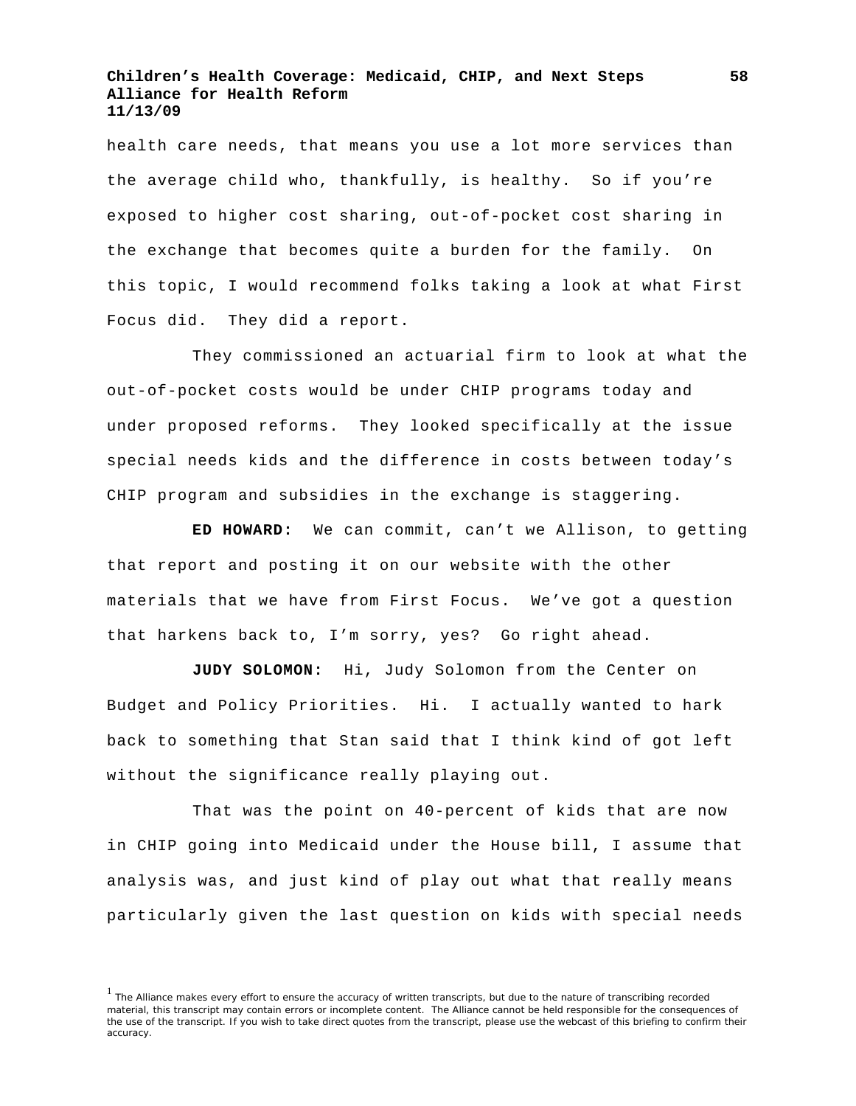health care needs, that means you use a lot more services than the average child who, thankfully, is healthy. So if you're exposed to higher cost sharing, out-of-pocket cost sharing in the exchange that becomes quite a burden for the family. On this topic, I would recommend folks taking a look at what First Focus did. They did a report.

They commissioned an actuarial firm to look at what the out-of-pocket costs would be under CHIP programs today and under proposed reforms. They looked specifically at the issue special needs kids and the difference in costs between today's CHIP program and subsidies in the exchange is staggering.

**ED HOWARD:** We can commit, can't we Allison, to getting that report and posting it on our website with the other materials that we have from First Focus. We've got a question that harkens back to, I'm sorry, yes? Go right ahead.

**JUDY SOLOMON:** Hi, Judy Solomon from the Center on Budget and Policy Priorities. Hi. I actually wanted to hark back to something that Stan said that I think kind of got left without the significance really playing out.

That was the point on 40-percent of kids that are now in CHIP going into Medicaid under the House bill, I assume that analysis was, and just kind of play out what that really means particularly given the last question on kids with special needs

<sup>&</sup>lt;sup>1</sup> The Alliance makes every effort to ensure the accuracy of written transcripts, but due to the nature of transcribing recorded material, this transcript may contain errors or incomplete content. The Alliance cannot be held responsible for the consequences of the use of the transcript. If you wish to take direct quotes from the transcript, please use the webcast of this briefing to confirm their accuracy.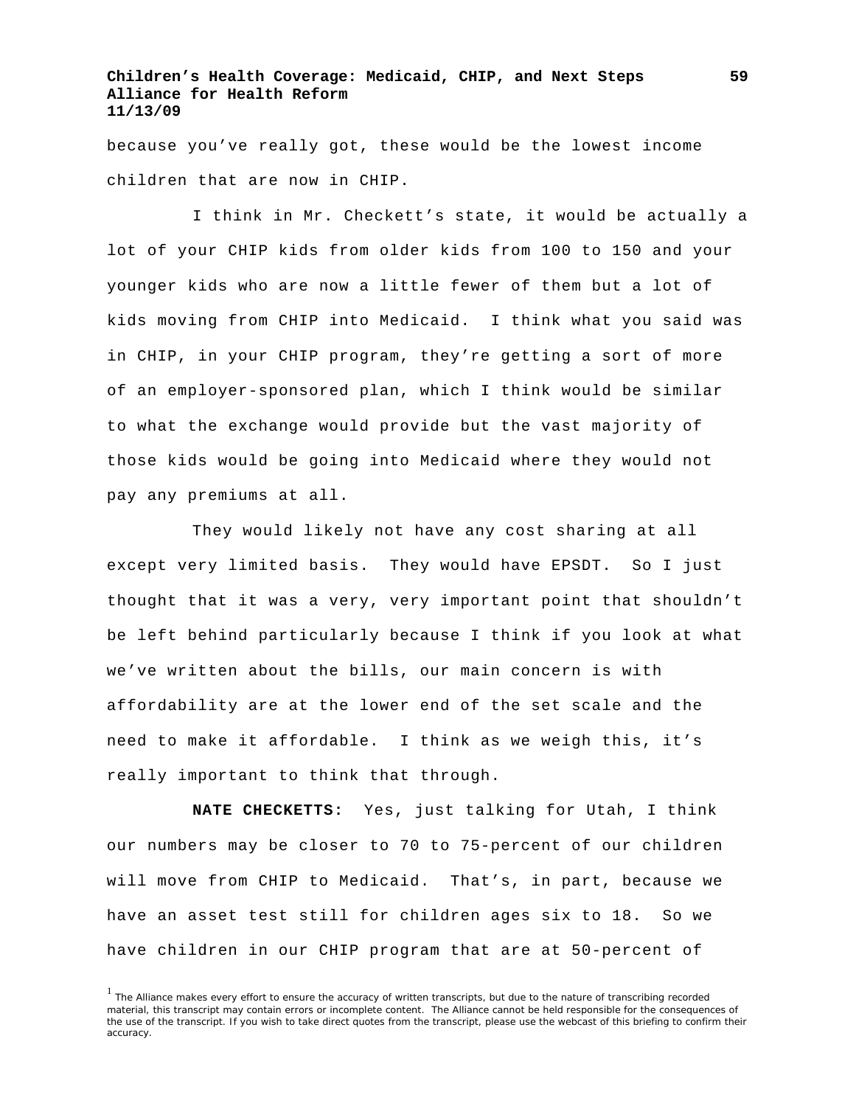because you've really got, these would be the lowest income children that are now in CHIP.

I think in Mr. Checkett's state, it would be actually a lot of your CHIP kids from older kids from 100 to 150 and your younger kids who are now a little fewer of them but a lot of kids moving from CHIP into Medicaid. I think what you said was in CHIP, in your CHIP program, they're getting a sort of more of an employer-sponsored plan, which I think would be similar to what the exchange would provide but the vast majority of those kids would be going into Medicaid where they would not pay any premiums at all.

They would likely not have any cost sharing at all except very limited basis. They would have EPSDT. So I just thought that it was a very, very important point that shouldn't be left behind particularly because I think if you look at what we've written about the bills, our main concern is with affordability are at the lower end of the set scale and the need to make it affordable. I think as we weigh this, it's really important to think that through.

**NATE CHECKETTS:** Yes, just talking for Utah, I think our numbers may be closer to 70 to 75-percent of our children will move from CHIP to Medicaid. That's, in part, because we have an asset test still for children ages six to 18. So we have children in our CHIP program that are at 50-percent of

<sup>&</sup>lt;sup>1</sup> The Alliance makes every effort to ensure the accuracy of written transcripts, but due to the nature of transcribing recorded material, this transcript may contain errors or incomplete content. The Alliance cannot be held responsible for the consequences of the use of the transcript. If you wish to take direct quotes from the transcript, please use the webcast of this briefing to confirm their accuracy.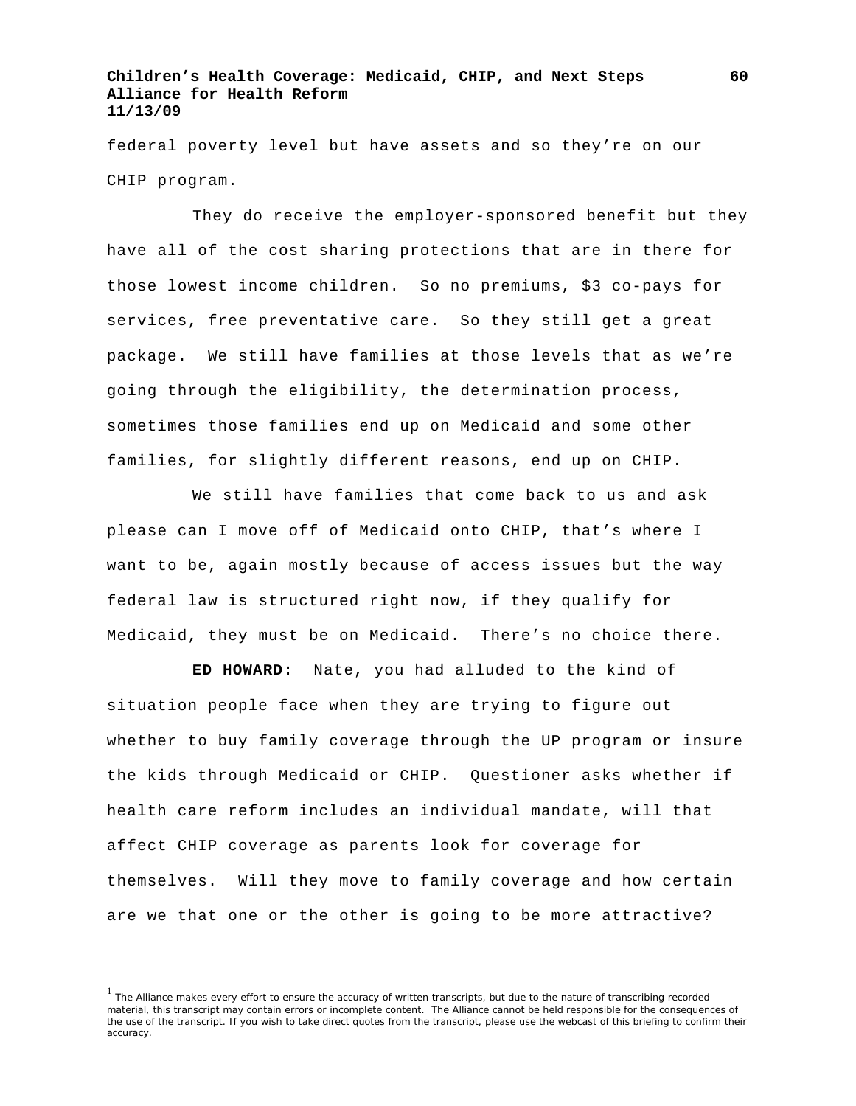federal poverty level but have assets and so they're on our CHIP program.

They do receive the employer-sponsored benefit but they have all of the cost sharing protections that are in there for those lowest income children. So no premiums, \$3 co-pays for services, free preventative care. So they still get a great package. We still have families at those levels that as we're going through the eligibility, the determination process, sometimes those families end up on Medicaid and some other families, for slightly different reasons, end up on CHIP.

We still have families that come back to us and ask please can I move off of Medicaid onto CHIP, that's where I want to be, again mostly because of access issues but the way federal law is structured right now, if they qualify for Medicaid, they must be on Medicaid. There's no choice there.

**ED HOWARD:** Nate, you had alluded to the kind of situation people face when they are trying to figure out whether to buy family coverage through the UP program or insure the kids through Medicaid or CHIP. Questioner asks whether if health care reform includes an individual mandate, will that affect CHIP coverage as parents look for coverage for themselves. Will they move to family coverage and how certain are we that one or the other is going to be more attractive?

 $<sup>1</sup>$  The Alliance makes every effort to ensure the accuracy of written transcripts, but due to the nature of transcribing recorded</sup> material, this transcript may contain errors or incomplete content. The Alliance cannot be held responsible for the consequences of the use of the transcript. If you wish to take direct quotes from the transcript, please use the webcast of this briefing to confirm their accuracy.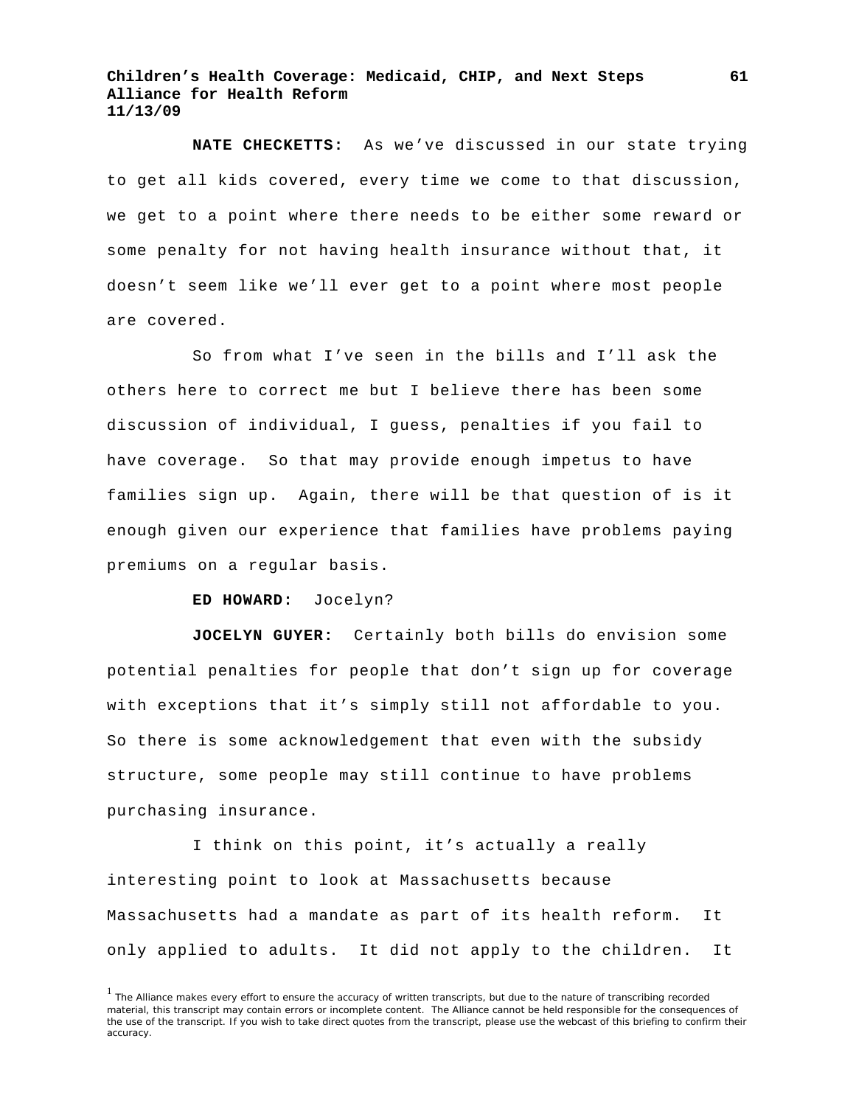**NATE CHECKETTS:** As we've discussed in our state trying to get all kids covered, every time we come to that discussion, we get to a point where there needs to be either some reward or some penalty for not having health insurance without that, it doesn't seem like we'll ever get to a point where most people are covered.

So from what I've seen in the bills and I'll ask the others here to correct me but I believe there has been some discussion of individual, I guess, penalties if you fail to have coverage. So that may provide enough impetus to have families sign up. Again, there will be that question of is it enough given our experience that families have problems paying premiums on a regular basis.

**ED HOWARD:** Jocelyn?

**JOCELYN GUYER:** Certainly both bills do envision some potential penalties for people that don't sign up for coverage with exceptions that it's simply still not affordable to you. So there is some acknowledgement that even with the subsidy structure, some people may still continue to have problems purchasing insurance.

I think on this point, it's actually a really interesting point to look at Massachusetts because Massachusetts had a mandate as part of its health reform. It only applied to adults. It did not apply to the children. It

<sup>&</sup>lt;sup>1</sup> The Alliance makes every effort to ensure the accuracy of written transcripts, but due to the nature of transcribing recorded material, this transcript may contain errors or incomplete content. The Alliance cannot be held responsible for the consequences of the use of the transcript. If you wish to take direct quotes from the transcript, please use the webcast of this briefing to confirm their accuracy.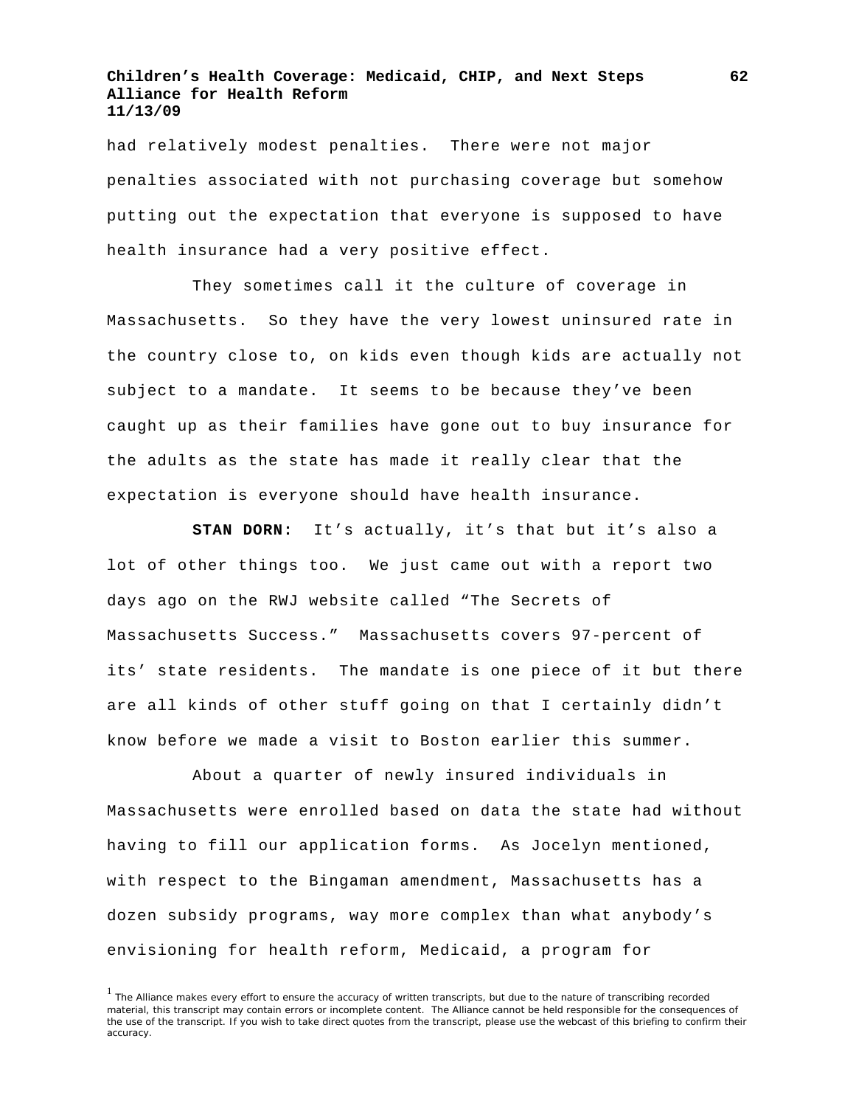had relatively modest penalties. There were not major penalties associated with not purchasing coverage but somehow putting out the expectation that everyone is supposed to have health insurance had a very positive effect.

They sometimes call it the culture of coverage in Massachusetts. So they have the very lowest uninsured rate in the country close to, on kids even though kids are actually not subject to a mandate. It seems to be because they've been caught up as their families have gone out to buy insurance for the adults as the state has made it really clear that the expectation is everyone should have health insurance.

**STAN DORN:** It's actually, it's that but it's also a lot of other things too. We just came out with a report two days ago on the RWJ website called "The Secrets of Massachusetts Success." Massachusetts covers 97-percent of its' state residents. The mandate is one piece of it but there are all kinds of other stuff going on that I certainly didn't know before we made a visit to Boston earlier this summer.

About a quarter of newly insured individuals in Massachusetts were enrolled based on data the state had without having to fill our application forms. As Jocelyn mentioned, with respect to the Bingaman amendment, Massachusetts has a dozen subsidy programs, way more complex than what anybody's envisioning for health reform, Medicaid, a program for

<sup>1</sup> The Alliance makes every effort to ensure the accuracy of written transcripts, but due to the nature of transcribing recorded material, this transcript may contain errors or incomplete content. The Alliance cannot be held responsible for the consequences of the use of the transcript. If you wish to take direct quotes from the transcript, please use the webcast of this briefing to confirm their accuracy.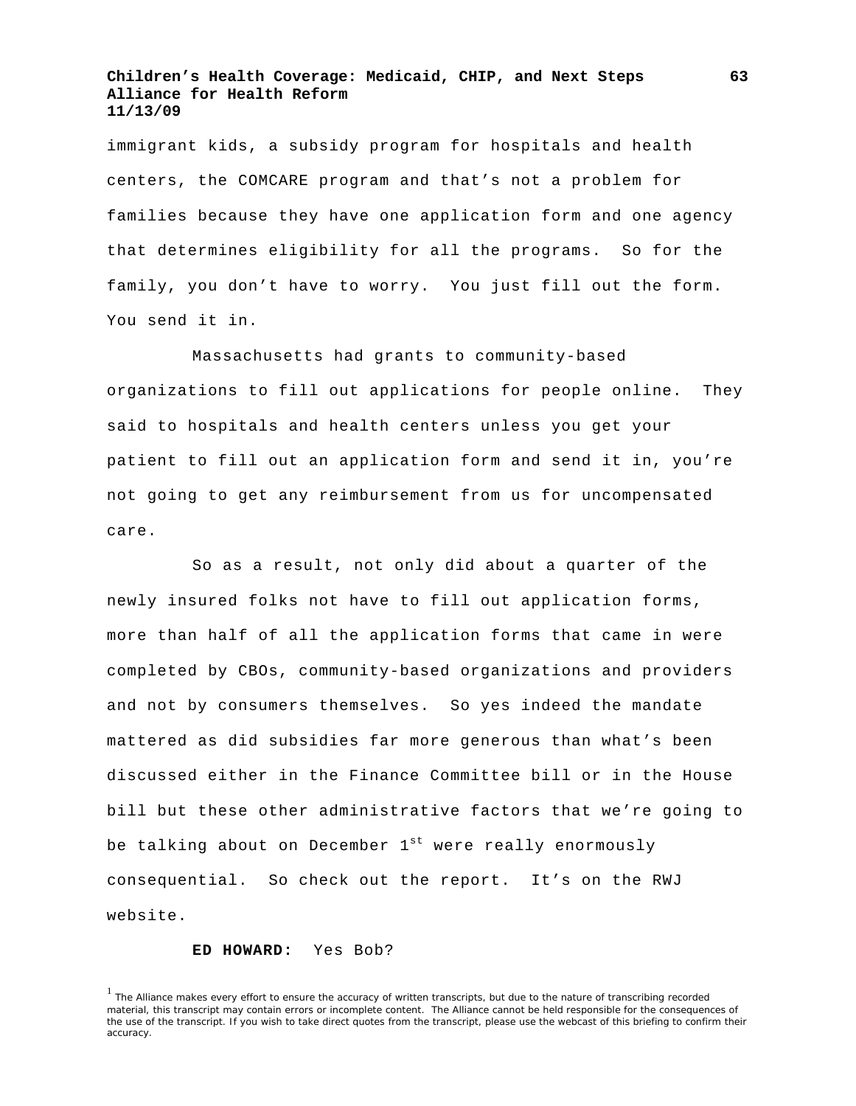immigrant kids, a subsidy program for hospitals and health centers, the COMCARE program and that's not a problem for families because they have one application form and one agency that determines eligibility for all the programs. So for the family, you don't have to worry. You just fill out the form. You send it in.

Massachusetts had grants to community-based organizations to fill out applications for people online. They said to hospitals and health centers unless you get your patient to fill out an application form and send it in, you're not going to get any reimbursement from us for uncompensated care.

So as a result, not only did about a quarter of the newly insured folks not have to fill out application forms, more than half of all the application forms that came in were completed by CBOs, community-based organizations and providers and not by consumers themselves. So yes indeed the mandate mattered as did subsidies far more generous than what's been discussed either in the Finance Committee bill or in the House bill but these other administrative factors that we're going to be talking about on December  $1^{st}$  were really enormously consequential. So check out the report. It's on the RWJ website.

## **ED HOWARD:** Yes Bob?

<sup>&</sup>lt;sup>1</sup> The Alliance makes every effort to ensure the accuracy of written transcripts, but due to the nature of transcribing recorded material, this transcript may contain errors or incomplete content. The Alliance cannot be held responsible for the consequences of the use of the transcript. If you wish to take direct quotes from the transcript, please use the webcast of this briefing to confirm their accuracy.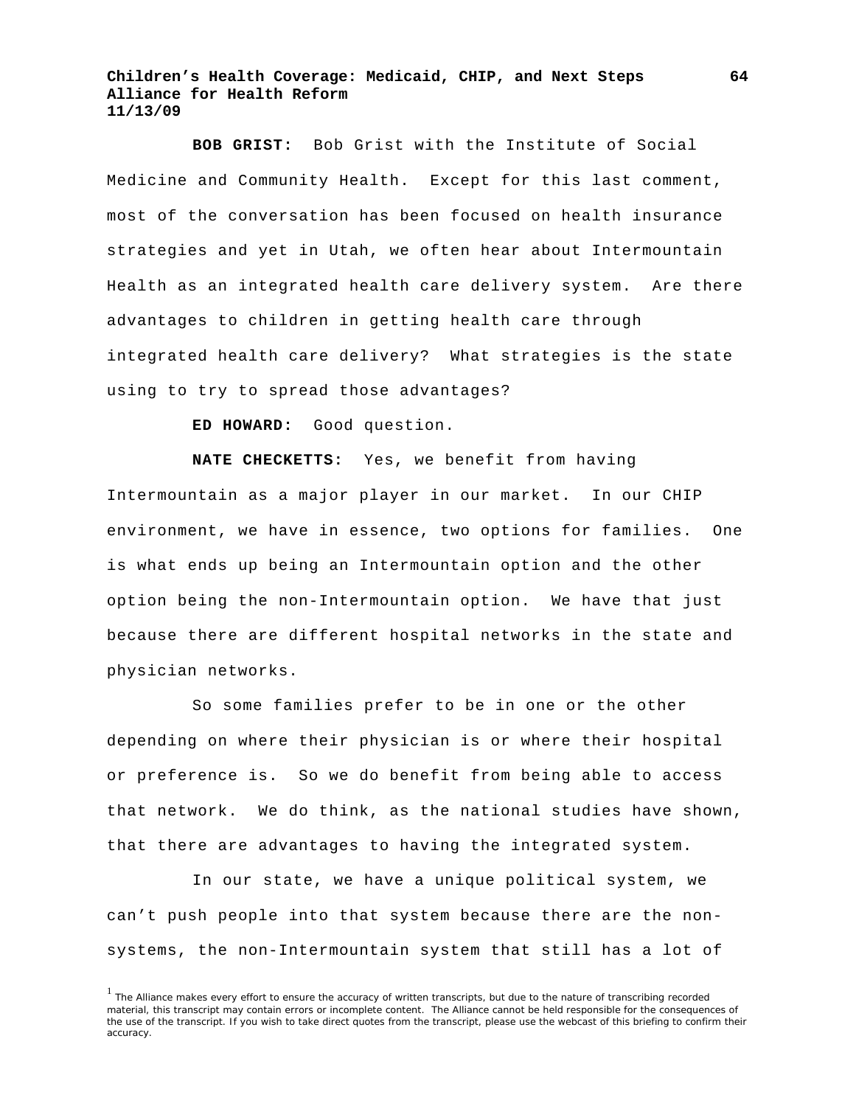**BOB GRIST:** Bob Grist with the Institute of Social Medicine and Community Health. Except for this last comment, most of the conversation has been focused on health insurance strategies and yet in Utah, we often hear about Intermountain Health as an integrated health care delivery system. Are there advantages to children in getting health care through integrated health care delivery? What strategies is the state using to try to spread those advantages?

**ED HOWARD:** Good question.

**NATE CHECKETTS:** Yes, we benefit from having Intermountain as a major player in our market. In our CHIP environment, we have in essence, two options for families. One is what ends up being an Intermountain option and the other option being the non-Intermountain option. We have that just because there are different hospital networks in the state and physician networks.

So some families prefer to be in one or the other depending on where their physician is or where their hospital or preference is. So we do benefit from being able to access that network. We do think, as the national studies have shown, that there are advantages to having the integrated system.

In our state, we have a unique political system, we can't push people into that system because there are the nonsystems, the non-Intermountain system that still has a lot of

<sup>&</sup>lt;sup>1</sup> The Alliance makes every effort to ensure the accuracy of written transcripts, but due to the nature of transcribing recorded material, this transcript may contain errors or incomplete content. The Alliance cannot be held responsible for the consequences of the use of the transcript. If you wish to take direct quotes from the transcript, please use the webcast of this briefing to confirm their accuracy.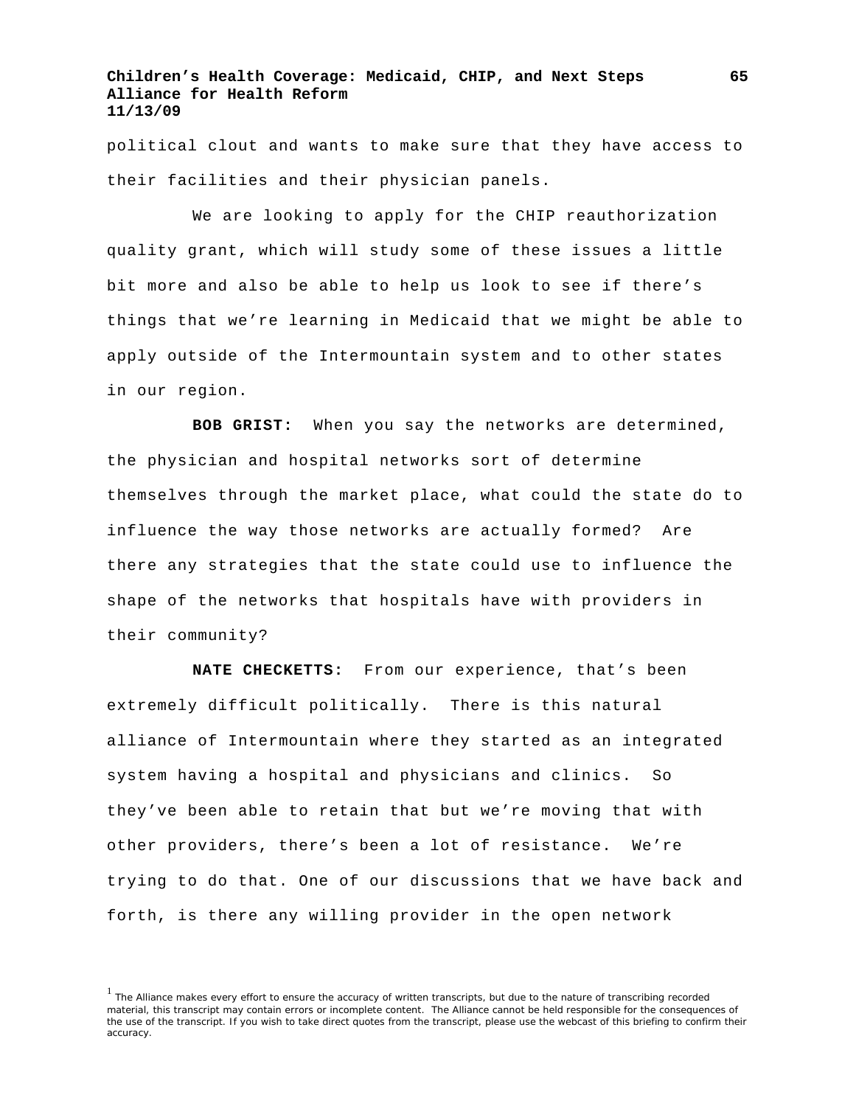political clout and wants to make sure that they have access to their facilities and their physician panels.

We are looking to apply for the CHIP reauthorization quality grant, which will study some of these issues a little bit more and also be able to help us look to see if there's things that we're learning in Medicaid that we might be able to apply outside of the Intermountain system and to other states in our region.

**BOB GRIST:** When you say the networks are determined, the physician and hospital networks sort of determine themselves through the market place, what could the state do to influence the way those networks are actually formed? Are there any strategies that the state could use to influence the shape of the networks that hospitals have with providers in their community?

**NATE CHECKETTS:** From our experience, that's been extremely difficult politically. There is this natural alliance of Intermountain where they started as an integrated system having a hospital and physicians and clinics. So they've been able to retain that but we're moving that with other providers, there's been a lot of resistance. We're trying to do that. One of our discussions that we have back and forth, is there any willing provider in the open network

<sup>&</sup>lt;sup>1</sup> The Alliance makes every effort to ensure the accuracy of written transcripts, but due to the nature of transcribing recorded material, this transcript may contain errors or incomplete content. The Alliance cannot be held responsible for the consequences of the use of the transcript. If you wish to take direct quotes from the transcript, please use the webcast of this briefing to confirm their accuracy.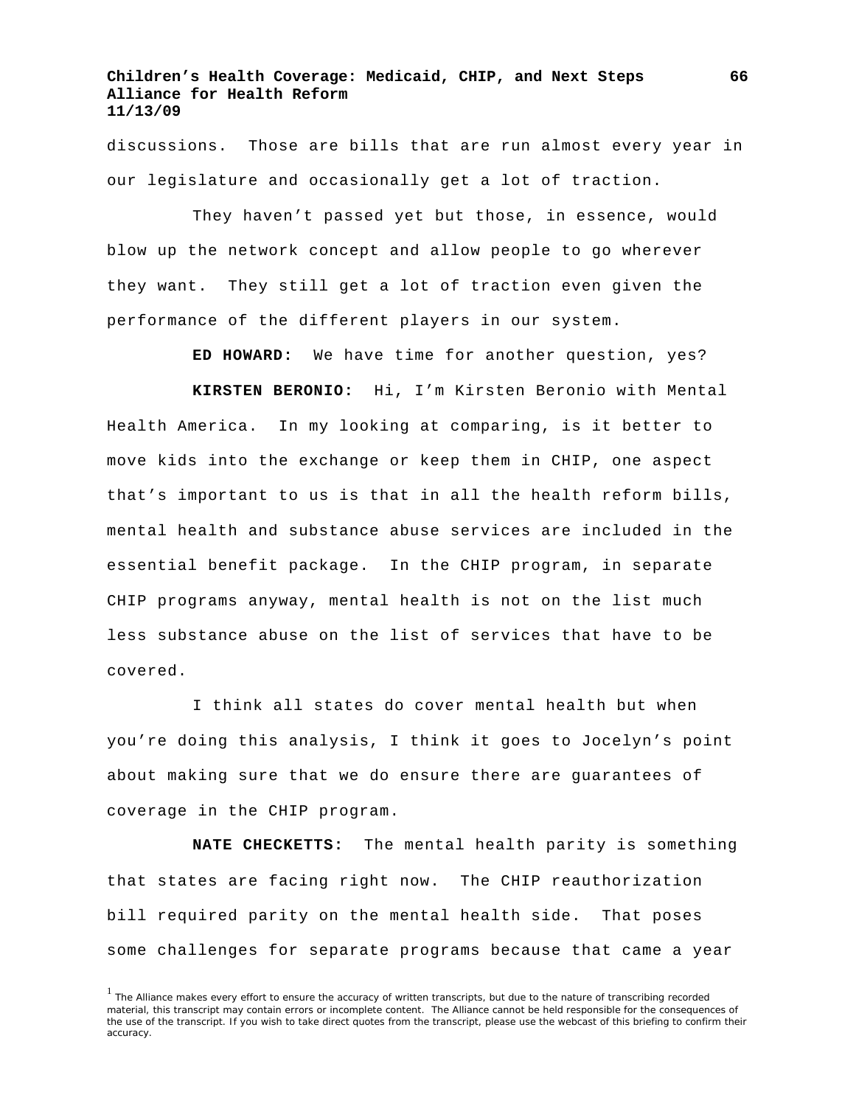discussions. Those are bills that are run almost every year in our legislature and occasionally get a lot of traction.

They haven't passed yet but those, in essence, would blow up the network concept and allow people to go wherever they want. They still get a lot of traction even given the performance of the different players in our system.

**ED HOWARD:** We have time for another question, yes?

**KIRSTEN BERONIO:** Hi, I'm Kirsten Beronio with Mental Health America. In my looking at comparing, is it better to move kids into the exchange or keep them in CHIP, one aspect that's important to us is that in all the health reform bills, mental health and substance abuse services are included in the essential benefit package. In the CHIP program, in separate CHIP programs anyway, mental health is not on the list much less substance abuse on the list of services that have to be covered.

I think all states do cover mental health but when you're doing this analysis, I think it goes to Jocelyn's point about making sure that we do ensure there are guarantees of coverage in the CHIP program.

**NATE CHECKETTS:** The mental health parity is something that states are facing right now. The CHIP reauthorization bill required parity on the mental health side. That poses some challenges for separate programs because that came a year

**66**

<sup>&</sup>lt;sup>1</sup> The Alliance makes every effort to ensure the accuracy of written transcripts, but due to the nature of transcribing recorded material, this transcript may contain errors or incomplete content. The Alliance cannot be held responsible for the consequences of the use of the transcript. If you wish to take direct quotes from the transcript, please use the webcast of this briefing to confirm their accuracy.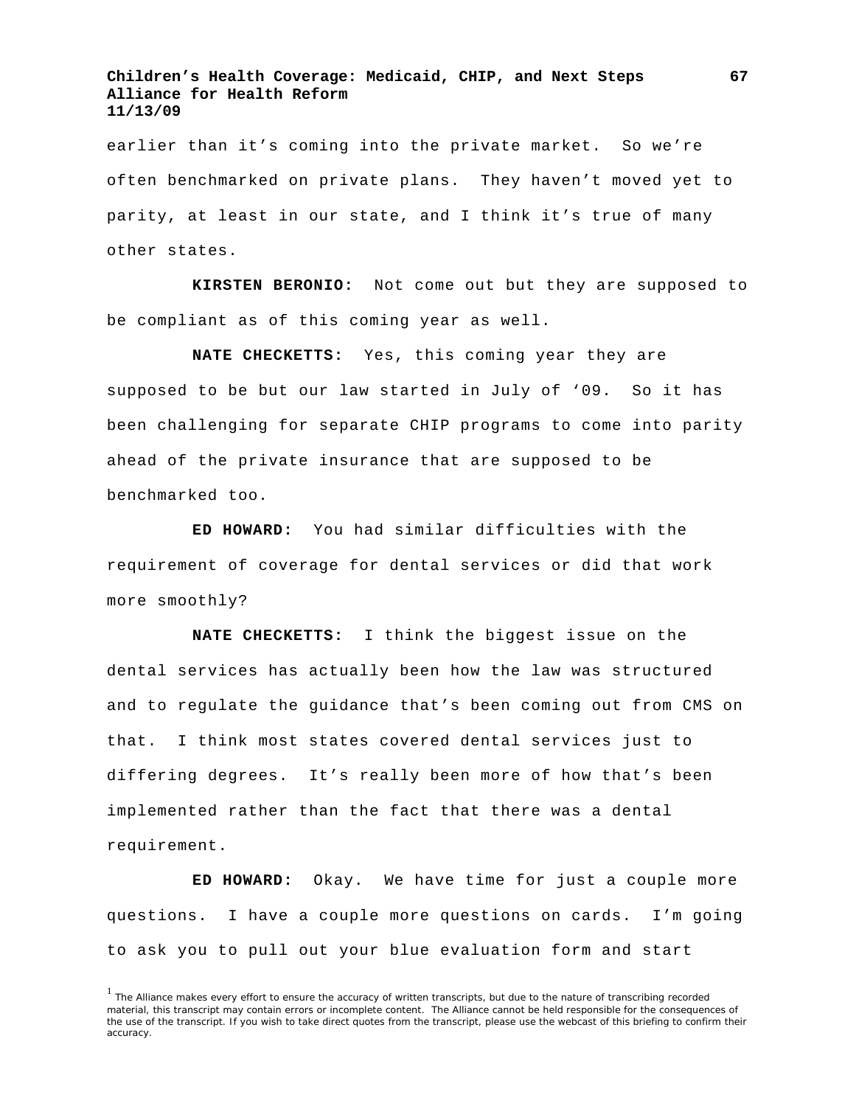earlier than it's coming into the private market. So we're often benchmarked on private plans. They haven't moved yet to parity, at least in our state, and I think it's true of many other states.

**KIRSTEN BERONIO:** Not come out but they are supposed to be compliant as of this coming year as well.

**NATE CHECKETTS:** Yes, this coming year they are supposed to be but our law started in July of '09. So it has been challenging for separate CHIP programs to come into parity ahead of the private insurance that are supposed to be benchmarked too.

**ED HOWARD:** You had similar difficulties with the requirement of coverage for dental services or did that work more smoothly?

**NATE CHECKETTS:** I think the biggest issue on the dental services has actually been how the law was structured and to regulate the guidance that's been coming out from CMS on that. I think most states covered dental services just to differing degrees. It's really been more of how that's been implemented rather than the fact that there was a dental requirement.

**ED HOWARD:** Okay. We have time for just a couple more questions. I have a couple more questions on cards. I'm going to ask you to pull out your blue evaluation form and start

 $<sup>1</sup>$  The Alliance makes every effort to ensure the accuracy of written transcripts, but due to the nature of transcribing recorded</sup> material, this transcript may contain errors or incomplete content. The Alliance cannot be held responsible for the consequences of the use of the transcript. If you wish to take direct quotes from the transcript, please use the webcast of this briefing to confirm their accuracy.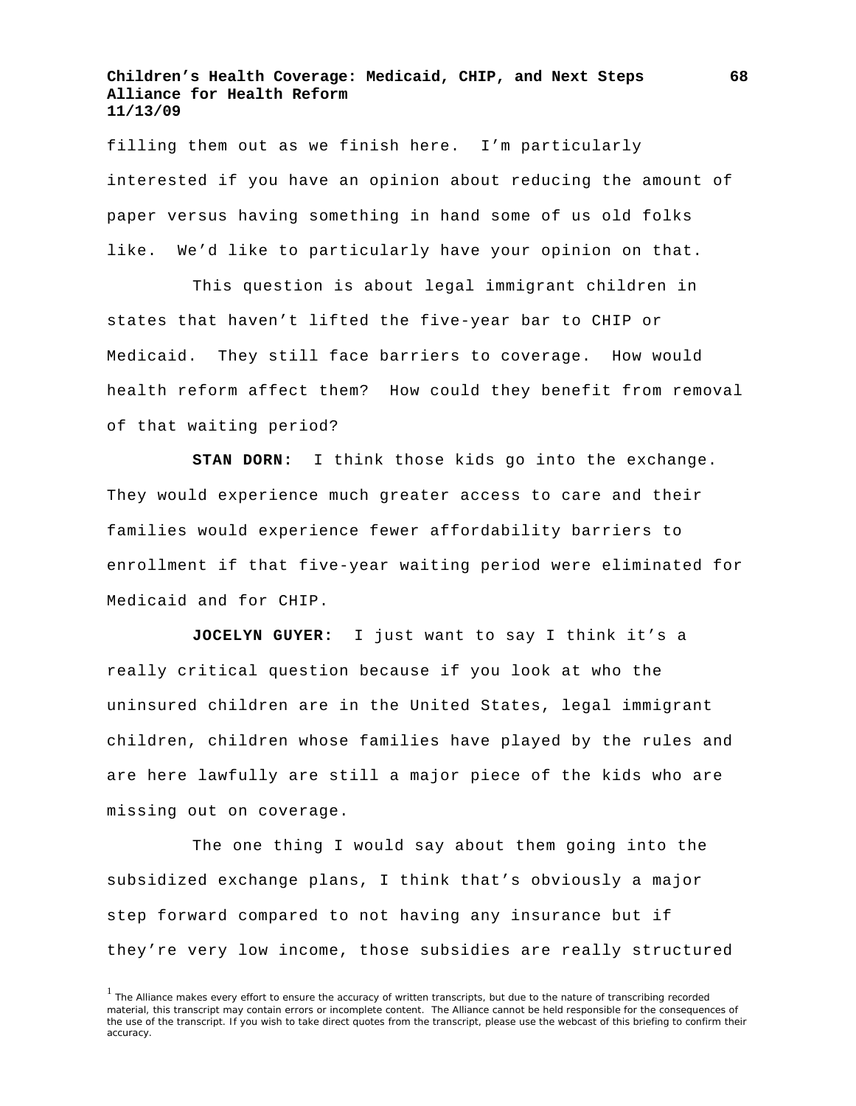filling them out as we finish here. I'm particularly interested if you have an opinion about reducing the amount of paper versus having something in hand some of us old folks like. We'd like to particularly have your opinion on that.

This question is about legal immigrant children in states that haven't lifted the five-year bar to CHIP or Medicaid. They still face barriers to coverage. How would health reform affect them? How could they benefit from removal of that waiting period?

**STAN DORN:** I think those kids go into the exchange. They would experience much greater access to care and their families would experience fewer affordability barriers to enrollment if that five-year waiting period were eliminated for Medicaid and for CHIP.

**JOCELYN GUYER:** I just want to say I think it's a really critical question because if you look at who the uninsured children are in the United States, legal immigrant children, children whose families have played by the rules and are here lawfully are still a major piece of the kids who are missing out on coverage.

The one thing I would say about them going into the subsidized exchange plans, I think that's obviously a major step forward compared to not having any insurance but if they're very low income, those subsidies are really structured

<sup>&</sup>lt;sup>1</sup> The Alliance makes every effort to ensure the accuracy of written transcripts, but due to the nature of transcribing recorded material, this transcript may contain errors or incomplete content. The Alliance cannot be held responsible for the consequences of the use of the transcript. If you wish to take direct quotes from the transcript, please use the webcast of this briefing to confirm their accuracy.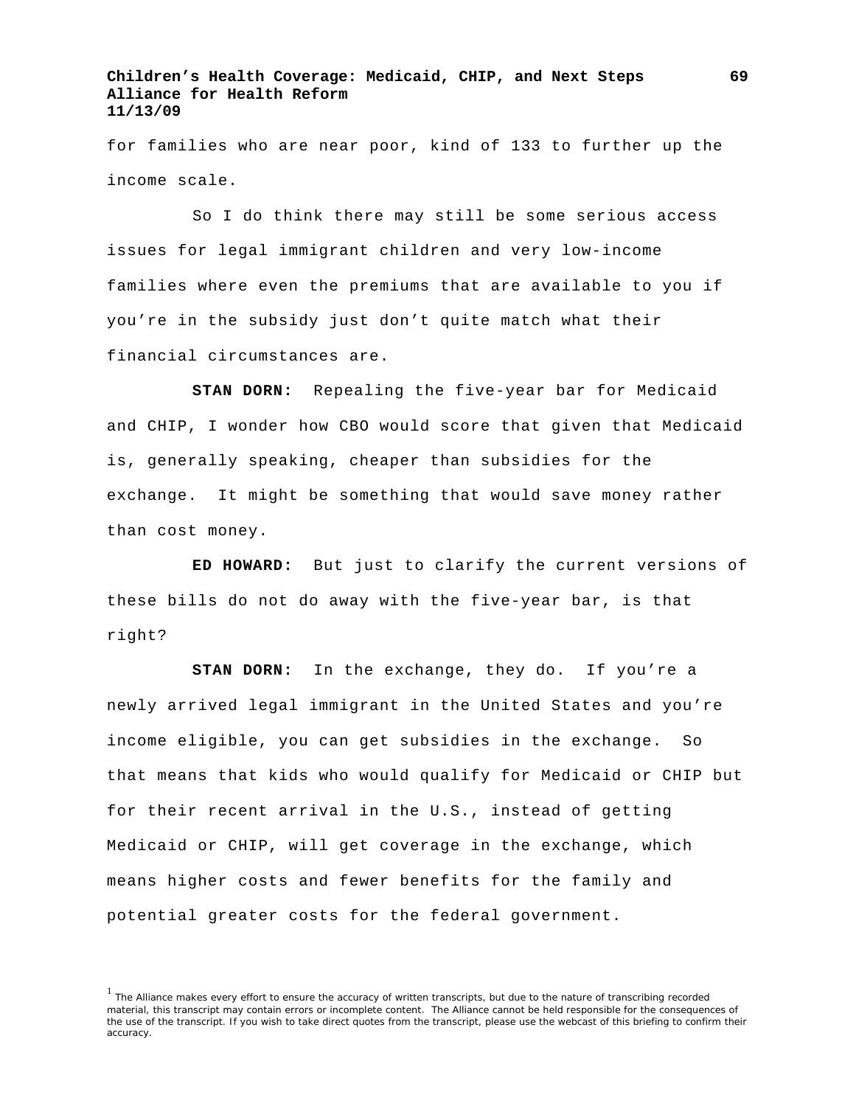for families who are near poor, kind of 133 to further up the income scale.

So I do think there may still be some serious access issues for legal immigrant children and very low-income families where even the premiums that are available to you if you're in the subsidy just don't quite match what their financial circumstances are.

**STAN DORN:** Repealing the five-year bar for Medicaid and CHIP, I wonder how CBO would score that given that Medicaid is, generally speaking, cheaper than subsidies for the exchange. It might be something that would save money rather than cost money.

**ED HOWARD:** But just to clarify the current versions of these bills do not do away with the five-year bar, is that right?

**STAN DORN:** In the exchange, they do. If you're a newly arrived legal immigrant in the United States and you're income eligible, you can get subsidies in the exchange. So that means that kids who would qualify for Medicaid or CHIP but for their recent arrival in the U.S., instead of getting Medicaid or CHIP, will get coverage in the exchange, which means higher costs and fewer benefits for the family and potential greater costs for the federal government.

<sup>&</sup>lt;sup>1</sup> The Alliance makes every effort to ensure the accuracy of written transcripts, but due to the nature of transcribing recorded material, this transcript may contain errors or incomplete content. The Alliance cannot be held responsible for the consequences of the use of the transcript. If you wish to take direct quotes from the transcript, please use the webcast of this briefing to confirm their accuracy.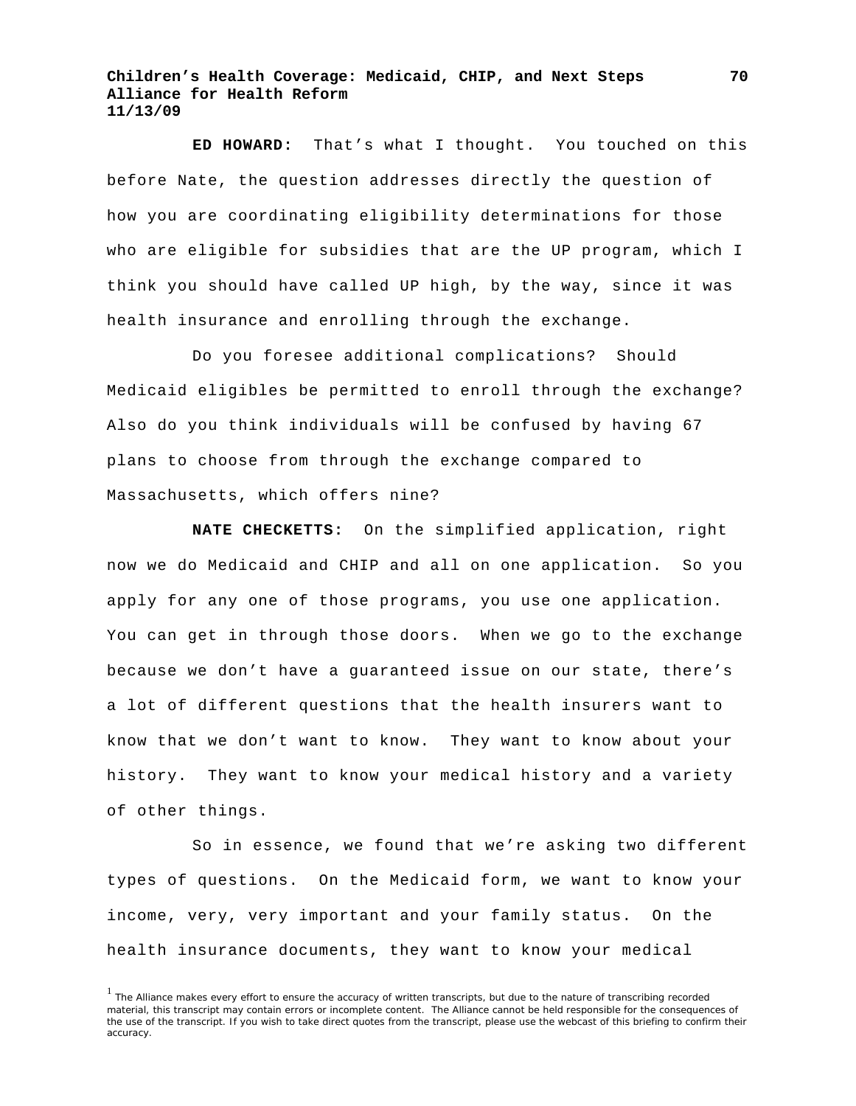**ED HOWARD:** That's what I thought. You touched on this before Nate, the question addresses directly the question of how you are coordinating eligibility determinations for those who are eligible for subsidies that are the UP program, which I think you should have called UP high, by the way, since it was health insurance and enrolling through the exchange.

Do you foresee additional complications? Should Medicaid eligibles be permitted to enroll through the exchange? Also do you think individuals will be confused by having 67 plans to choose from through the exchange compared to Massachusetts, which offers nine?

**NATE CHECKETTS:** On the simplified application, right now we do Medicaid and CHIP and all on one application. So you apply for any one of those programs, you use one application. You can get in through those doors. When we go to the exchange because we don't have a guaranteed issue on our state, there's a lot of different questions that the health insurers want to know that we don't want to know. They want to know about your history. They want to know your medical history and a variety of other things.

So in essence, we found that we're asking two different types of questions. On the Medicaid form, we want to know your income, very, very important and your family status. On the health insurance documents, they want to know your medical

<sup>&</sup>lt;sup>1</sup> The Alliance makes every effort to ensure the accuracy of written transcripts, but due to the nature of transcribing recorded material, this transcript may contain errors or incomplete content. The Alliance cannot be held responsible for the consequences of the use of the transcript. If you wish to take direct quotes from the transcript, please use the webcast of this briefing to confirm their accuracy.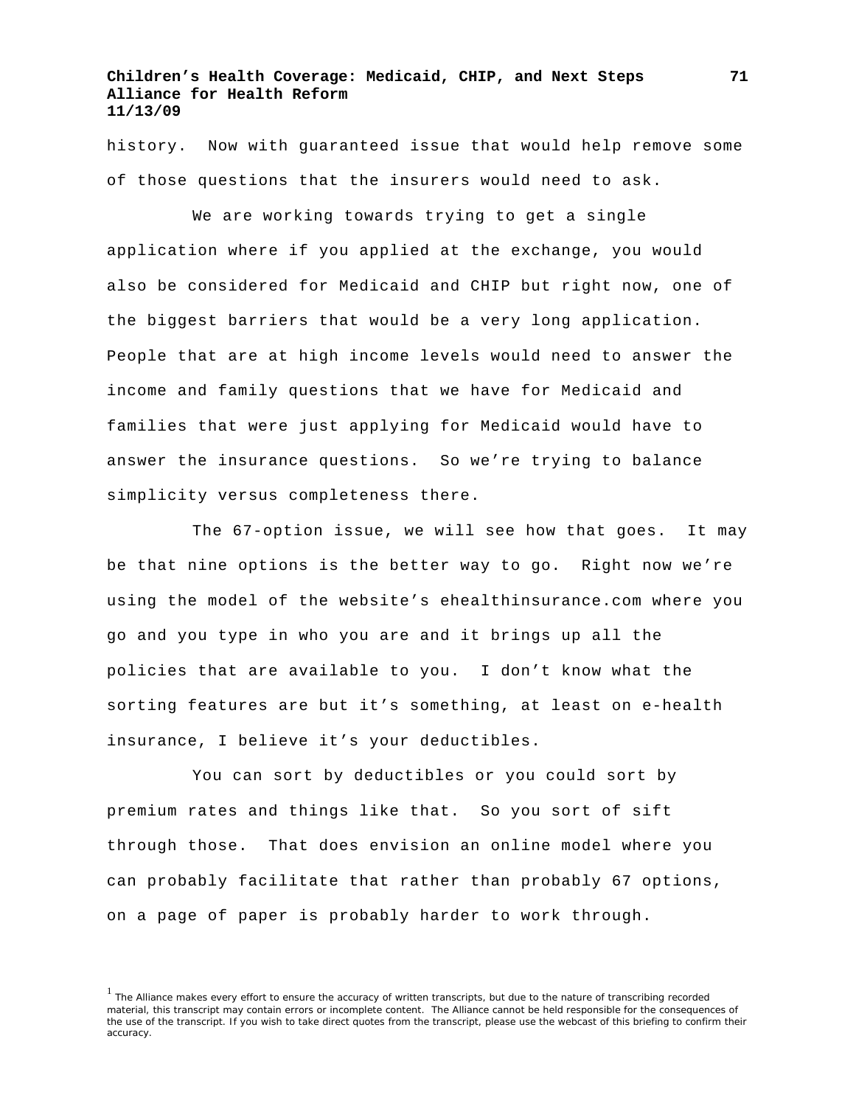history. Now with guaranteed issue that would help remove some of those questions that the insurers would need to ask.

We are working towards trying to get a single application where if you applied at the exchange, you would also be considered for Medicaid and CHIP but right now, one of the biggest barriers that would be a very long application. People that are at high income levels would need to answer the income and family questions that we have for Medicaid and families that were just applying for Medicaid would have to answer the insurance questions. So we're trying to balance simplicity versus completeness there.

The 67-option issue, we will see how that goes. It may be that nine options is the better way to go. Right now we're using the model of the website's ehealthinsurance.com where you go and you type in who you are and it brings up all the policies that are available to you. I don't know what the sorting features are but it's something, at least on e-health insurance, I believe it's your deductibles.

You can sort by deductibles or you could sort by premium rates and things like that. So you sort of sift through those. That does envision an online model where you can probably facilitate that rather than probably 67 options, on a page of paper is probably harder to work through.

<sup>&</sup>lt;sup>1</sup> The Alliance makes every effort to ensure the accuracy of written transcripts, but due to the nature of transcribing recorded material, this transcript may contain errors or incomplete content. The Alliance cannot be held responsible for the consequences of the use of the transcript. If you wish to take direct quotes from the transcript, please use the webcast of this briefing to confirm their accuracy.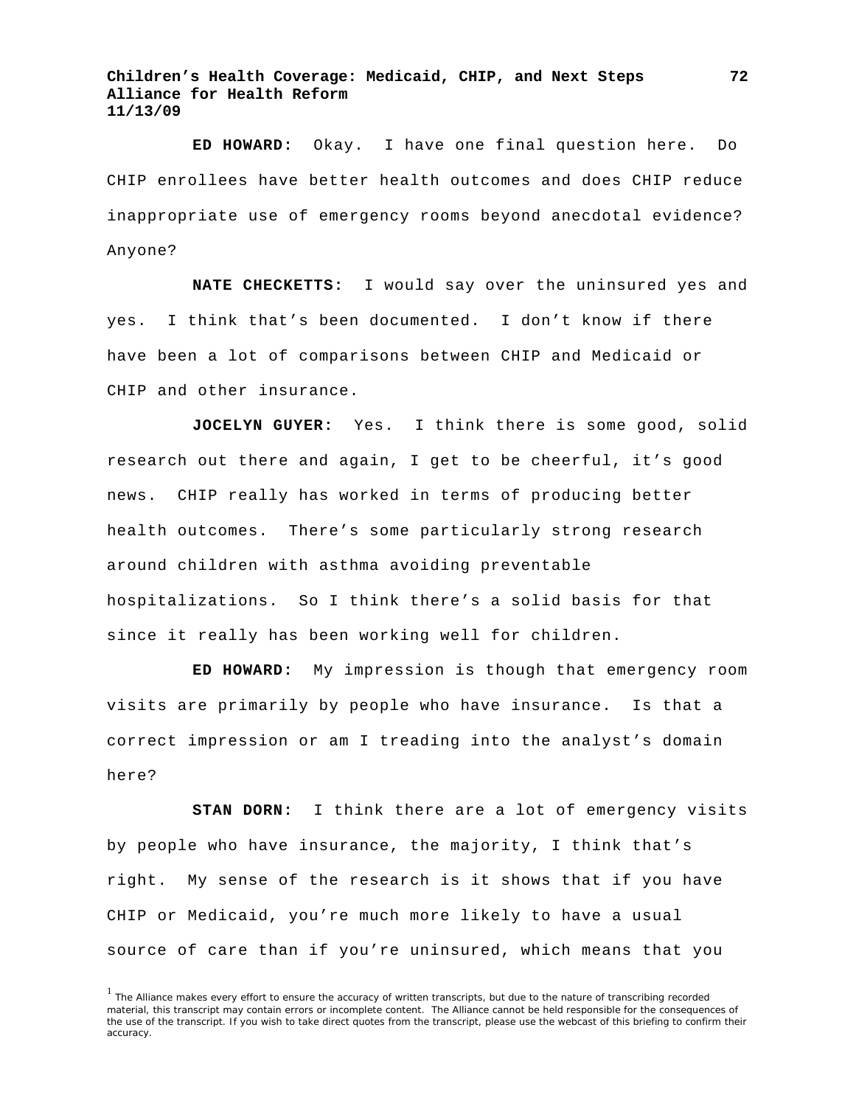**ED HOWARD:** Okay. I have one final question here. Do CHIP enrollees have better health outcomes and does CHIP reduce inappropriate use of emergency rooms beyond anecdotal evidence? Anyone?

**NATE CHECKETTS:** I would say over the uninsured yes and yes. I think that's been documented. I don't know if there have been a lot of comparisons between CHIP and Medicaid or CHIP and other insurance.

**JOCELYN GUYER:** Yes. I think there is some good, solid research out there and again, I get to be cheerful, it's good news. CHIP really has worked in terms of producing better health outcomes. There's some particularly strong research around children with asthma avoiding preventable hospitalizations. So I think there's a solid basis for that since it really has been working well for children.

**ED HOWARD:** My impression is though that emergency room visits are primarily by people who have insurance. Is that a correct impression or am I treading into the analyst's domain here?

**STAN DORN:** I think there are a lot of emergency visits by people who have insurance, the majority, I think that's right. My sense of the research is it shows that if you have CHIP or Medicaid, you're much more likely to have a usual source of care than if you're uninsured, which means that you

<sup>&</sup>lt;sup>1</sup> The Alliance makes every effort to ensure the accuracy of written transcripts, but due to the nature of transcribing recorded material, this transcript may contain errors or incomplete content. The Alliance cannot be held responsible for the consequences of the use of the transcript. If you wish to take direct quotes from the transcript, please use the webcast of this briefing to confirm their accuracy.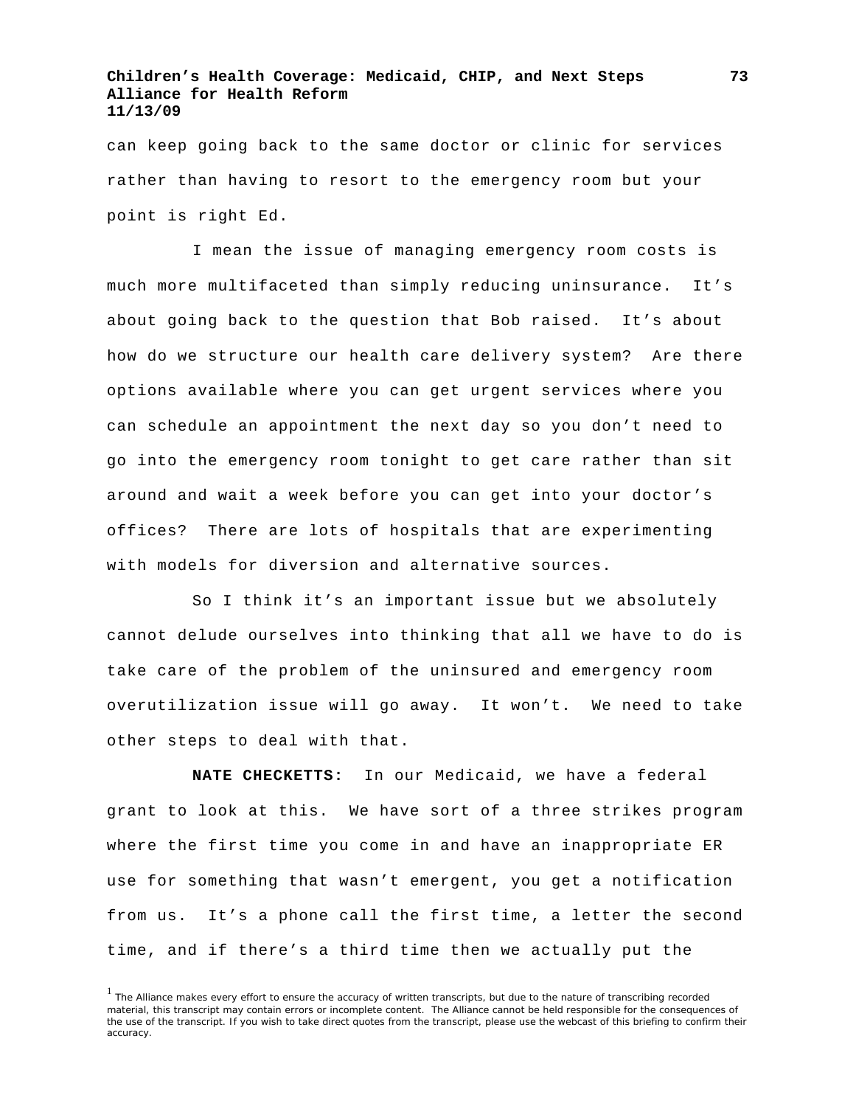## **Children's Health Coverage: Medicaid, CHIP, and Next Steps Alliance for Health Reform 11/13/09**

can keep going back to the same doctor or clinic for services rather than having to resort to the emergency room but your point is right Ed.

I mean the issue of managing emergency room costs is much more multifaceted than simply reducing uninsurance. It's about going back to the question that Bob raised. It's about how do we structure our health care delivery system? Are there options available where you can get urgent services where you can schedule an appointment the next day so you don't need to go into the emergency room tonight to get care rather than sit around and wait a week before you can get into your doctor's offices? There are lots of hospitals that are experimenting with models for diversion and alternative sources.

So I think it's an important issue but we absolutely cannot delude ourselves into thinking that all we have to do is take care of the problem of the uninsured and emergency room overutilization issue will go away. It won't. We need to take other steps to deal with that.

**NATE CHECKETTS:** In our Medicaid, we have a federal grant to look at this. We have sort of a three strikes program where the first time you come in and have an inappropriate ER use for something that wasn't emergent, you get a notification from us. It's a phone call the first time, a letter the second time, and if there's a third time then we actually put the

<sup>&</sup>lt;sup>1</sup> The Alliance makes every effort to ensure the accuracy of written transcripts, but due to the nature of transcribing recorded material, this transcript may contain errors or incomplete content. The Alliance cannot be held responsible for the consequences of the use of the transcript. If you wish to take direct quotes from the transcript, please use the webcast of this briefing to confirm their accuracy.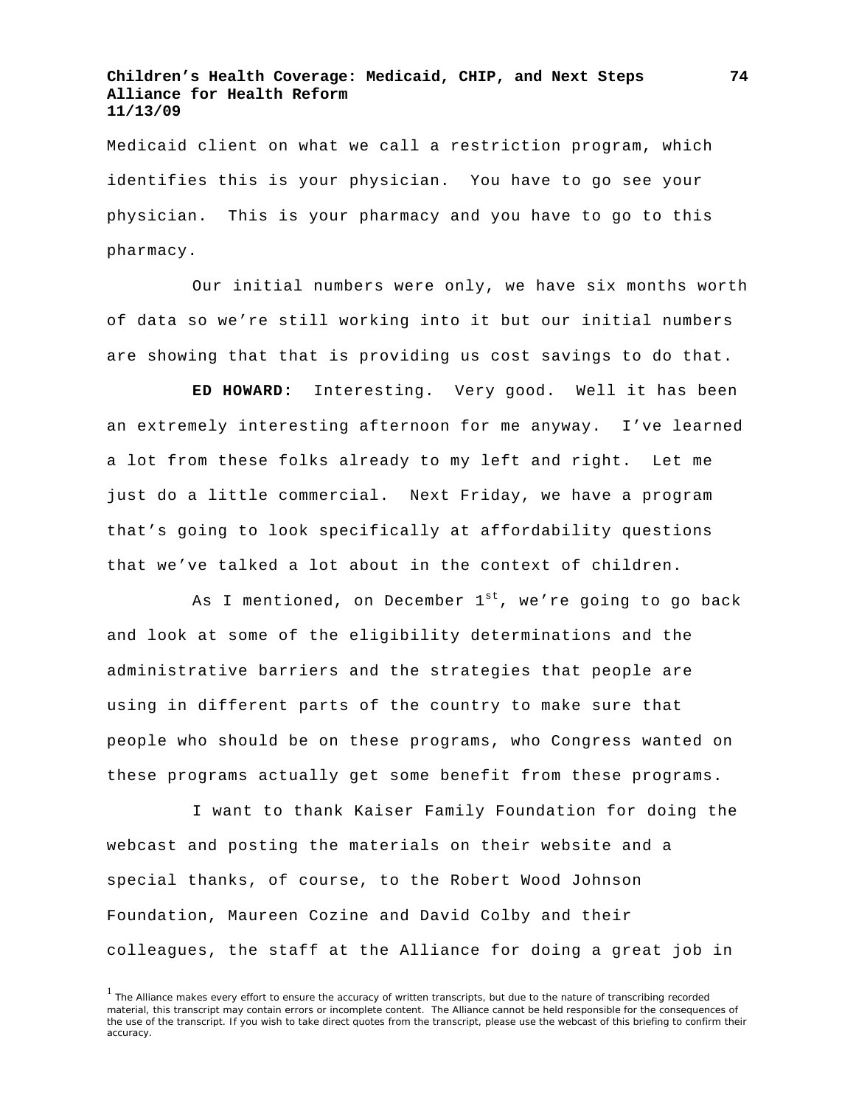## **Children's Health Coverage: Medicaid, CHIP, and Next Steps Alliance for Health Reform 11/13/09**

Medicaid client on what we call a restriction program, which identifies this is your physician. You have to go see your physician. This is your pharmacy and you have to go to this pharmacy.

Our initial numbers were only, we have six months worth of data so we're still working into it but our initial numbers are showing that that is providing us cost savings to do that.

**ED HOWARD:** Interesting. Very good. Well it has been an extremely interesting afternoon for me anyway. I've learned a lot from these folks already to my left and right. Let me just do a little commercial. Next Friday, we have a program that's going to look specifically at affordability questions that we've talked a lot about in the context of children.

As I mentioned, on December  $1^{st}$ , we're going to go back and look at some of the eligibility determinations and the administrative barriers and the strategies that people are using in different parts of the country to make sure that people who should be on these programs, who Congress wanted on these programs actually get some benefit from these programs.

I want to thank Kaiser Family Foundation for doing the webcast and posting the materials on their website and a special thanks, of course, to the Robert Wood Johnson Foundation, Maureen Cozine and David Colby and their colleagues, the staff at the Alliance for doing a great job in

<sup>&</sup>lt;sup>1</sup> The Alliance makes every effort to ensure the accuracy of written transcripts, but due to the nature of transcribing recorded material, this transcript may contain errors or incomplete content. The Alliance cannot be held responsible for the consequences of the use of the transcript. If you wish to take direct quotes from the transcript, please use the webcast of this briefing to confirm their accuracy.